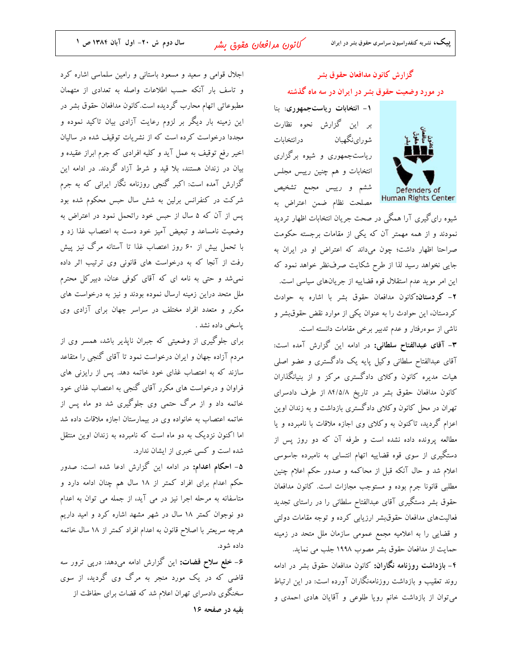# گزارش كانون مدافعان حقوق بشر در مورد وضعیت حقوق بشر در ایران در سه ماه گذشته

١- انتخابات رياستجمهوري: بنا بر این گزارش نحوه نظارت شورای نگهبان درانتخابات ریاستجمهوری و شیوه برگزاری انتخابات و هم چنین رییس مجلس ششم و رییس مجمع تشخیص مصلحت نظام ضمن اعتراض به



شیوه رای گیری آرا همگی در صحت جریان انتخابات اظهار تردید .<br>نمودند و از همه مهمتر آن که یکی از مقامات برجسته حکومت صراحتا اظهار داشت؛ چون میداند که اعتراض او در ایران به جایی نخواهد رسید لذا از طرح شکایت صرفنظر خواهد نمود که این امر موید عدم استقلال قوه قضاییه از جریانهای سیاسی است. ۲- کردستان:کانون مدافعان حقوق بشر با اشاره به حوادث کردستان، این حوادث را به عنوان یکی از موارد نقض حقوق بشر و ناشی از سوءرفتار و عدم تدبیر برخی مقامات دانسته است.

۳- آقای عبدالفتاح سلطانی: در ادامه این گزارش آمده است: آقای عبدالفتاح سلطانی وکیل پایه یک دادگستری و عضو اصلی هیات مدیره کانون وکلای دادگستری مرکز و از بنیانگذاران کانون مدافعان حقوق بشر در تاریخ ۸۴/۵/۸ از طرف دادسرای تهران در محل کانون وکلای دادگستری بازداشت و به زندان اوین اعزام گردید، تاکنون به وکلای وی اجازه ملاقات با نامبرده و یا مطالعه پرونده داده نشده است و طرفه آن که دو روز پس از دستگیری از سوی قوه قضاییه اتهام انتسابی به نامبرده جاسوسی اعلام شد و حال آنکه قبل از محاکمه و صدور حکم اعلام چنین مطلبی قانونا جرم بوده و مستوجب مجازات است. کانون مدافعان حقوق بشر دستگیری آقای عبدالفتاح سلطانی را در راستای تجدید فعالیتهای مدافعان حقوق بشر ارزیابی کرده و توجه مقامات دولتی و قضایی را به اعلامیه مجمع عمومی سازمان ملل متحد در زمینه حمایت از مدافعان حقوق بشر مصوب ۱۹۹۸ جلب می نماید.

۴- بازداشت روزنامه نگاران: کانون مدافعان حقوق بشر در ادامه روند تعقیب و بازداشت روزنامهنگاران آورده است: در این ارتباط میتوان از بازداشت خانم رویا طلوعی و آقایان هادی احمدی و

اجلال قوامی و سعید و مسعود باستانی و رامین سلماسی اشاره کرد و تاسف بار آنکه حسب اطلاعات واصله به تعدادی از متهمان مطبوعاتی اتهام محارب گردیده است.کانون مدافعان حقوق بشر در این زمینه بار دیگر بر لزوم رعایت آزادی بیان تاکید نموده و مجددا درخواست کرده است که از نشریات توقیف شده در سالیان اخیر رفع توقیف به عمل آید و کلیه افرادی که جرم ابراز عقیده و بیان در زندان هستند، بلا قید و شرط آزاد گردند. در ادامه این گزارش آمده است: اکبر گنجی روزنامه نگار ایرانی که به جرم شرکت در کنفرانس برلین به شش سال حبس محکوم شده بود پس از آن که ۵ سال از حبس خود راتحمل نمود در اعتراض به وضعیت نامساعد و تبعیض آمیز خود دست به اعتصاب غذا زد و با تحمل بیش از ۶۰ روز اعتصاب غذا تا آستانه مرگ نیز پیش رفت از آنجا که به درخواست های قانونی وی ترتیب اثر داده نمیشد و حتی به نامه ای که آقای کوفی عنان، دبیرکل محترم ملل متحد دراین زمینه ارسال نموده بودند و نیز به درخواست های مکرر و متعدد افراد مختلف در سراسر جهان برای آزادی وی ياسخى دادە نشد .

برای جلوگیری از وضعیتی که جبران ناپذیر باشد، همسر وی از مردم آزاده جهان و ایران درخواست نمود تا آقای گنجی را متقاعد سازند که به اعتصاب غذای خود خاتمه دهد. پس از رایزنی های فراوان و درخواست های مکرر آقای گنجی به اعتصاب غذای خود خاتمه داد و از مرگ حتمی وی جلوگیری شد دو ماه پس از خاتمه اعتصاب به خانواده وی در بیمارستان اجازه ملاقات داده شد اما اکنون نزدیک به دو ماه است که نامبرده به زندان اوین منتقل شده است و کسی خبری از ایشان ندارد.

۵- احکام اعدام: در ادامه این گزارش ادعا شده است: صدور حکم اعدام برای افراد کمتر از ۱۸ سال هم چنان ادامه دارد و متاسفانه به مرحله اجرا نیز در می آید، از جمله می توان به اعدام دو نوجوان کمتر ۱۸ سال در شهر مشهد اشاره کرد و امید داریم هرچه سریعتر با اصلاح قانون به اعدام افراد کمتر از ۱۸ سال خاتمه داده شود.

۶- خلع سلاح قضات: این گزارش ادامه میدهد: درپی ترور سه قاضی که در یک مورد منجر به مرگ وی گردید، از سوی سخنگوی دادسرای تهران اعلام شد که قضات برای حفاظت از بقیه در صفحه ۱۶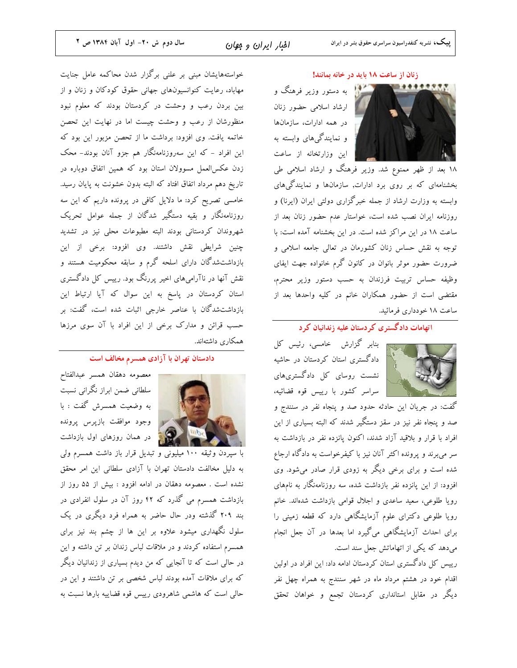خواستههایشان مبنی بر علنی برگزار شدن محاکمه عامل جنایت مهاباد، رعایت کنوانسیونهای جهانی حقوق کودکان و زنان و از بین بردن رعب و وحشت در کردستان بودند که معلوم نبود منظورشان از رعب و وحشت چیست اما در نهایت این تحصن خاتمه یافت. وی افزود: برداشت ما از تحصن مزبور این بود که این افراد – که این سهروزنامهنگار هم جزو آنان بودند- محک زدن عکسالعمل مسوولان استان بود که همین اتفاق دوباره در تاریخ دهم مرداد اتفاق افتاد که البته بدون خشونت به پایان رسید. خامسی تصریح کرد: ما دلایل کافی در پرونده داریم که این سه روزنامهنگار و بقیه دستگیر شدگان از جمله عوامل تحریک شهروندان كردستاني بودند البته مطبوعات محلي نيز در تشديد چنین شرایطی نقش داشتند. وی افزود: برخی از این بازداشتشدگان دارای اسلحه گرم و سابقه محکومیت هستند و نقش آنها در ناآرامیهای اخیر پررنگ بود. رییس کل دادگستری استان کردستان در پاسخ به این سوال که آیا ارتباط این بازداشتشدگان با عناصر خارجی اثبات شده است، گفت: بر حسب قرائن و مدارک برخی از این افراد با آن سوی مرزها همكاري داشتهاند.

# دادستان تهران با آزادی همسرم مخالف است



معصومه دهقان همسر عبدالفتاح سلطانی ضمن ابراز نگرانی نسبت به وضعیت همسرش گفت : با وجود موافقت بازپرس پرونده .<br>و در همان روزهای اول بازداشت

با سپردن وثیقه ۱۰۰ میلیونی و تبدیل قرار باز داشت همسرم ولی به دلیل مخالفت دادستان تهران با آزادی سلطانی این امر محقق نشده است . معصومه دهقان در ادامه افزود : بیش از ۵۵ روز از بازداشت همسرم می گذرد که ۴۲ روز آن در سلول انفرادی در بند ۲۰۹ گذشته ودر حال حاضر به همراه فرد دیگری در یک سلول نگهداری میشود علاوه بر این ها از چشم بند نیز برای همسرم استفاده كردند و در ملاقات لباس زندان بر تن داشته و اين در حالی است که تا آنجایی که من دیدم بسیاری از زندانیان دیگر که برای ملاقات آمده بودند لباس شخصی بر تن داشتند و این در حالی است که هاشمی شاهرودی رییس قوه قضاییه بارها نسبت به

#### زنان از ساعت ١٨ بايد در خانه بمانند!

به دستور وزیر فرهنگ و ارشاد اسلامی حضور زنان در همه ادارات، سازمانها و نمایندگیهای وابسته به این وزارتخانه از ساعت



۱۸ بعد از ظهر ممنوع شد. وزیر فرهنگ و ارشاد اسلامی طی بخشنامهای که بر روی برد ادارات, سازمانها و نمایندگیهای وابسته به وزارت ارشاد از جمله خبرگزاری دولتی ایران (ایرنا) و روزنامه ایران نصب شده است، خواستار عدم حضور زنان بعد از ساعت ١٨ در اين مراكز شده است. در اين بخشنامه آمده است: با .<br>توجه به نقش حساس زنان کشورمان در تعال<sub>ی</sub> جامعه اسلامی و ضرورت حضور موثر بانوان در کانون گرم خانواده جهت ایفای وظیفه حساس تربیت فرزندان به حسب دستور وزیر محترم، مقتضی است از حضور همکاران خانم در کلیه واحدها بعد از ساعت ١٨ خودداري فرمائيد.

# <mark>اتهامات دادگستری کردستان علیه زندانیان کرد</mark>



بنابر گزارش خامسی، رئیس کل دادگستری استان کردستان در حاشیه نشست روسای کل دادگستریهای سراسر كشور با رييس قوه قضائيه،

گفت: در جریان این حادثه حدود صد و پنجاه نفر در سنندج و صد و پنجاه نفر نیز در سقز دستگیر شدند که البته بسیاری از این افراد با قرار و بلاقید آزاد شدند، اکنون پانزده نفر در بازداشت به سر میبرند و پرونده اکثر آنان نیز با کیفرخواست به دادگاه ارجاع شده است و برای برخی دیگر به زودی قرار صادر میشود. وی افزود: از این پانزده نفر بازداشت شده، سه روزنامهنگار به نامهای رویا طلوعی، سعید ساعدی و اجلال قوامی بازداشت شدهاند. خانم رویا طلوعی دکترای علوم آزمایشگاهی دارد که قطعه زمینی را برای احداث آزمایشگاهی میگیرد اما بعدها در آن جعل انجام میدهد که یکی از اتهاماتش جعل سند است.

رییس کل دادگستری استان کردستان ادامه داد: این افراد در اولین اقدام خود در هشتم مرداد ماه در شهر سنندج به همراه چهل نفر دیگر در مقابل استانداری کردستان تجمع و خواهان تحقق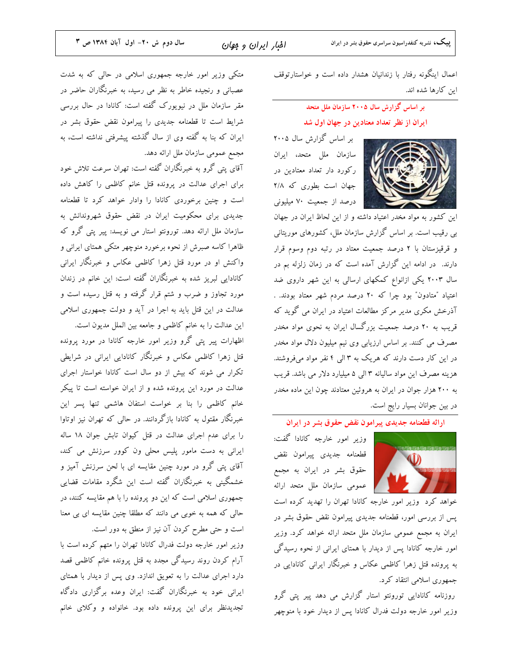اعمال اینگونه رفتار با زندانیان هشدار داده است و خواستارتوقف این کارها شده اند.

### بر اساس گزارش سال ۲۰۰۵ سازمان ملل متحد

ایران از نظر تعداد معتادین در جهان اول شد

بر اساس گزارش سال ۲۰۰۵ سازمان ملل متحد، ايران رکورد دار تعداد معتادین در جهان است بطوری که ۲/۸ درصد از جمعیت ۷۰ میلیونی



این کشور به مواد مخدر اعتیاد داشته و از این لحاظ ایران در جهان بی رقیب است. بر اساس گزارش سازمان ملل، کشورهای موریتانی و قرقیزستان با ۲ درصد جمعیت معتاد در رتبه دوم وسوم قرار دارند. در ادامه این گزارش آمده است که در زمان زلزله بم در سال ۲۰۰۳ یکی ازانواع کمکهای ارسالی به این شهر داروی ضد اعتیاد "متادون" بود چرا که ۲۰ درصد مردم شهر معتاد بودند. . آذرخش مکری مدیر مرکز مطالعات اعتیاد در ایران می گوید که قریب به ۲۰ درصد جمعیت بزرگسال ایران به نحوی مواد مخدر مصرف می کنند. بر اساس ارزیابی وی نیم میلیون دلال مواد مخدر در این کار دست دارند که هریک به ۳ الی ۴ نفر مواد میفروشند. هزینه مصرف این مواد سالیانه ۳ الی ۵ میلیارد دلار می باشد. قریب به ۲۰۰ هزار جوان در ایران به هروئین معتادند چون این ماده مخدر در بین جوانان بسیار رایج است.

## ارائه قطعنامه جديدى پيرامون نقض حقوق بشر در ايران

وزیر امور خارجه کانادا گفت: قطعنامه جديدى پيرامون نقض حقوق بشر در ايران به مجمع عمومی سازمان ملل متحد ارائه

خواهد کرد وزیر امور خارجه کانادا تهران را تهدید کرده است پس از بررسی امور، قطعنامه جدیدی پیرامون نقض حقوق بشر در ایران به مجمع عمومی سازمان ملل متحد ارائه خواهد کرد. وزیر امور خارجه کانادا پس از دیدار با همتای ایرانی از نحوه رسیدگی به پرونده قتل زهرا کاظمی عکاس و خبرنگار ایرانی کانادایی در جمهوری اسلامی انتقاد کرد.

روزنامه کانادایی تورونتو استار گزارش می دهد پیر پتی گرو وزیر امور خارجه دولت فدرال کانادا پس از دیدار خود با منوچهر

متکی وزیر امور خارجه جمهوری اسلامی در حالی که به شدت عصبانی و رنجیده خاطر به نظر می رسید، به خبرنگاران حاضر در مقر سازمان ملل در نیویورک گفته است: کانادا در حال بررسی شرایط است تا قطعنامه جدیدی را پیرامون نقض حقوق بشر در ایران که بنا به گفته وی از سال گذشته پیشرفتی نداشته است، به مجمع عمومی سازمان ملل ارائه دهد.

آقای پتی گرو به خبرنگاران گفته است: تهران سرعت تلاش خود برای اجرای عدالت در پرونده قتل خانم کاظمی را کاهش داده است و چنین برخوردی کانادا را وادار خواهد کرد تا قطعنامه جدیدی برای محکومیت ایران در نقض حقوق شهروندانش به سازمان ملل ارائه دهد. تورونتو استار می نویسد: پیر پتی گرو که ظاهرا کاسه صبرش از نحوه برخورد منوچهر متکی همتای ایرانی و واکنش او در مورد قتل زهرا کاظمی عکاس و خبرنگار ایرانی کانادایی لبریز شده به خبرنگاران گفته است: این خانم در زندان مورد تجاوز و ضرب و شتم قرار گرفته و به قتل رسیده است و عدالت در این قتل باید به اجرا در آید و دولت جمهوری اسلامی این عدالت را به خانم کاظمی و جامعه بین الملل مدیون است.

اظهارات پیر پتی گرو وزیر امور خارجه کانادا در مورد پرونده قتل زهرا کاظمی عکاس و خبرنگار کانادایی ایرانی در شرایطی تکرار می شوند که بیش از دو سال است کانادا خواستار اجرای عدالت در مورد این پرونده شده و از ایران خواسته است تا پیکر خانم كاظمى را بنا بر خواست استفان هاشمى تنها يسر اين خبرنگار مقتول به کانادا بازگردانند. در حالی که تهران نیز اوتاوا را برای عدم اجرای عدالت در قتل کیوان تابش جوان ١٨ ساله ایرانی به دست مامور پلیس محلی ون کوور سرزنش می کند، آقای پتی گرو در مورد چنین مقایسه ای با لحن سرزنش آمیز و خشمگینی به خبرنگاران گفته است این شگرد مقامات قضایی جمهوری اسلامی است که این دو پرونده را با هم مقایسه کنند، در حالی که همه به خوبی می دانند که مطلقا چنین مقایسه ای بی معنا است و حتی مطرح کردن آن نیز از منطق به دور است.

وزیر امور خارجه دولت فدرال کانادا تهران را متهم کرده است با آرام کردن روند رسیدگی مجدد به قتل پرونده خانم کاظمی قصد دارد اجرای عدالت را به تعویق اندازد. وی پس از دیدار با همتای ایرانی خود به خبرنگاران گفت: ایران وعده برگزاری دادگاه تجدیدنظر برای این پرونده داده بود. خانواده و وکلای خانم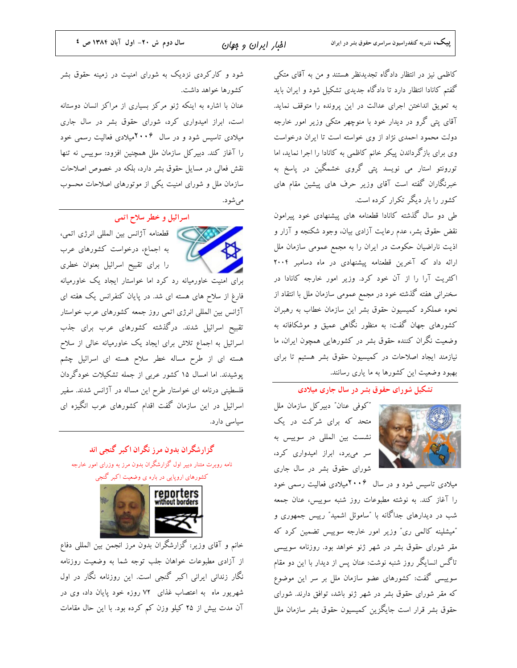**پییک،** نشریه کنفدراسیون سراسری حقوق بشر در ایران

کاظمی نیز در انتظار دادگاه تجدیدنظر هستند و من به آقای متکی گفتم کانادا انتظار دارد تا دادگاه جدیدی تشکیل شود و ایران باید به تعويق انداختن اجراي عدالت در اين پرونده را متوقف نمايد. آقای پتی گرو در دیدار خود با منوچهر متکی وزیر امور خارجه دولت محمود احمدی نژاد از وی خواسته است تا ایران درخواست وی برای بازگرداندن پیکر خانم کاظمی به کانادا را اجرا نماید، اما تورونتو استار می نویسد پتی گروی خشمگین در پاسخ به خبرنگاران گفته است آقای وزیر حرف های پیشین مقام های کشور را بار دیگر تکرار کرده است.

طی دو سال گذشته کانادا قطعنامه های پیشنهادی خود پیرامون نقض حقوق بشر، عدم رعایت آزادی بیان، وجود شکنجه و آزار و اذیت ناراضیان حکومت در ایران را به مجمع عمومی سازمان ملل ارائه داد که آخرین قطعنامه پیشنهادی در ماه دسامبر ۲۰۰۴ اکثریت آرا را از آن خود کرد. وزیر امور خارجه کانادا در سخنرانی هفته گذشته خود در مجمع عمومی سازمان ملل با انتقاد از نحوه عملکرد کمیسیون حقوق بشر این سازمان خطاب به رهبران کشورهای جهان گفت: به منظور نگاهی عمیق و موشکافانه به وضعیت نگران کننده حقوق بشر در کشورهایی همچون ایران، ما نیازمند ایجاد اصلاحات در کمیسیون حقوق بشر هستیم تا برای بهبود وضعیت این کشورها به ما یاری رسانند.

# ۔<br>تشکیل شورای حقوق بشر در سال جاری میلادی



میلادی تاسیس شود و در سال ۲۰۰۶میلادی فعالیت رسمی خود را آغاز كند. به نوشته مطبوعات روز شنبه سوييس، عنان جمعه شب در دیدارهای جداگانه با ″ساموئل اشمید″ رییس جمهوری و "میشلینه کالمی ری" وزیر امور خارجه سوییس تضمین کرد که مقر شورای حقوق بشر در شهر ژنو خواهد بود. روزنامه سوییسی تاگس انسایگر روز شنبه نوشت: عنان پس از دیدار با این دو مقام سوییسی گفت: کشورهای عضو سازمان ملل بر سر این موضوع که مقر شورای حقوق بشر در شهر ژنو باشد، توافق دارند. شورای حقوق بشر قرار است جایگزین کمیسیون حقوق بشر سازمان ملل

شود و کارکردی نزدیک به شورای امنیت در زمینه حقوق بشر كشورها خواهد داشت.

عنان با اشاره به اینکه ژنو مرکز بسیاری از مراکز انسان دوستانه است، ابراز امیدواری کرد، شورای حقوق بشر در سال جاری میلادی تاسیس شود و در سال ۲۰۰۶میلادی فعالیت رسمی خود را آغاز کند. دبیرکل سازمان ملل همچنین افزود: سوییس نه تنها نقش فعالی در مسایل حقوق بشر دارد، بلکه در خصوص اصلاحات سازمان ملل و شورای امنیت یکی از موتورهای اصلاحات محسوب مي شود.

اسرائیل و خطر سلاح اتمی



المسلم العام المسلم العام المسلمي العراضي الله عن الله عن الله عن الله عن الله عن الله عن الله عن ا به اجماع، درخواست کشورهای عرب را برای تقبیح اسرائیل بعنوان خطری

برای امنیت خاورمیانه رد کرد اما خواستار ایجاد یک خاورمیانه فارغ از سلاح های هسته ای شد. در پایان کنفرانس یک هفته ای آژانس بین المللی انرژی اتمی روز جمعه کشورهای عرب خواستار تقبیح اسرائیل شدند. درگذشته کشورهای عرب برای جذب اسرائیل به اجماع تلاش برای ایجاد یک خاورمیانه خالی از سلاح هسته ای از طرح مساله خطر سلاح هسته ای اسرائیل چشم پوشیدند. اما امسال ۱۵ کشور عربی از جمله تشکیلات خودگردان فلسطینی درنامه ای خواستار طرح این مساله در آژانس شدند. سفیر اسرائیل در این سازمان گفت اقدام کشورهای عرب انگیزه ای سیاسی دارد.

گزارشگران بدون مرز نگران اکبر گنجی اند نامه روبرت مئنار دبیر اول گزارشگران بدون مرز به وزرای امور خارجه کشورهای اروپایی در باره ی وضعیت اکبر گنجی



خانم و آقای وزیر: گزارشگران بدون مرز انجمن بین المللی دفاع از آزادی مطبوعات خواهان جلب توجه شما به وضعیت روزنامه نگار زندانی ایرانی اکبر گنجی است. این روزنامه نگار در اول شهریور ماه به اعتصاب غذای ۷۲ روزه خود پایان داد، وی در آن مدت بیش از ۲۵ کیلو وزن کم کرده بود. با این حال مقامات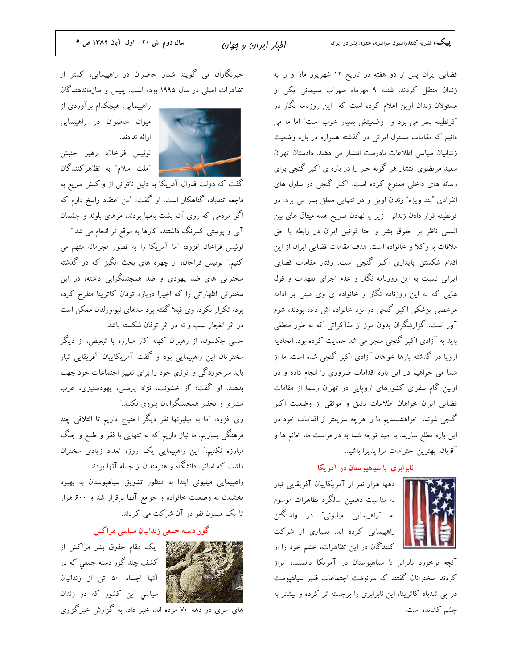خبرنگاران می گویند شمار حاضران در راهپیمایی، کمتر از تظاهرات اصلی در سال ۱۹۹۵ بوده است. پلیس و سازماندهندگان

راهپیمایی، هیچکدام برآوردی از میزان حاضران در راهییمایی ارائه ندادند.

لوئيس فراخان، رهبر جنبش "ملت اسلام" به تظاهر كنندگان

فاجعه تندباد، گناهکار است. او گفت: "من اعتقاد راسخ دارم که اگر مردمی که روی آن پشت بامها بودند، موهای بلوند و چشمان آبی و پوستی کمرنگ داشتند، کارها به موقع تر انجام می شد." لوئیس فراخان افزود: "ما آمریکا را به قصور مجرمانه متهم می کنیم." لوئیس فراخان، از چهره های بحث انگیز که در گذشته سخنرانی های ضد یهودی و ضد همجنسگرایی داشته، در این سخنرانی اظهاراتی را که اخیرا درباره توفان کاترینا مطرح کرده بود، تکرار نکرد. وی قبلا گفته بود سدهای نیواورلئان ممکن است در اثر انفجار بمب و نه در اثر توفان شکسته باشد.

جسی جکسون، از رهبران کهنه کار مبارزه با تبعیض، از دیگر سخنرانان این راهپیمایی بود و گفت آمریکاییان آفریقایی تبار باید سرخوردگی و انرژی خود را برای تغییر اجتماعات خود جهت بدهند. او گفت: "از خشونت، نژاد پرستی، یهودستیزی، عرب ستیزی و تحقیر همجنسگرایان پیروی نکنید."

وی افزود: "ما به میلیونها نفر دیگر احتیاج داریم تا ائتلافی چند فرهنگی بسازیم. ما نیاز داریم که به تنهایی با فقر و طمع و جنگ مبارزه نکنیم." این راهپیمایی یک روزه تعداد زیادی سخنران داشت که اساتید دانشگاه و هنرمندان از جمله آنها بودند.

راهپیمایی میلیونی ابتدا به منظور تشویق سیاهپوستان به بهبود بخشیدن به وضعیت خانواده و جوامع آنها برقرار شد و ۶۰۰ هزار تا یک میلیون نفر در آن شرکت می کردند.

گور دسته جمعي زندانيان سياسي مراكش



المحصول المحصول المعلم المحقوق بشر مراكش از .<br>په کشف چند گور دسته جمعی که در من از زندانیان<br>تصلیم آنها اجساد ۵۰ تن از زندانیان الله است اين کشور که در زندان<br>موضوع ای 

قضایی ایران پس از دو هفته در تاریخ ۱۲ شهریور ماه او را به زندان منتقل کردند. شنبه ۹ مهرماه سهراب سلیمانی یکی از مسئولان زندان اوین اعلام کرده است که این روزنامه نگار در "قرنطینه بسر می برد و ً وضعیتش بسیار خوب است" اما ما می دانیم که مقامات مسئول ایرانی در گذشته همواره در باره وضعیت زندانیان سیاسی اطلاعات نادرست انتشار می دهند. دادستان تهران سعید مرتضوی انتشار هر گونه خبر را در باره ی اکبر گنجی برای رسانه های داخلی ممنوع کرده است. اکبر گنجی در سلول های انفرادي "بند ويژه" زندان اوين و در تنهايي مطلق بسر مي برد. در قرنطینه قرار دادن زندانی زیر پا نهادن صریح همه میثاق های بین المللي ناظر بر حقوق بشر وحتا قوانين ايران در رابطه با حق ملاقات با وكلا و خانواده است. هدف مقامات قضايي ايران از اين اقدام شکستن پایداری اکبر گنجی است. رفتار مقامات قضایی ایرانی نسبت به این روزنامه نگار و عدم اجرای تعهدات و قول هایی که به این روزنامه نگار و خانواده ی وی مبنی بر ادامه مرخصی پزشکی اکبر گنجی در نزد خانواده اش داده بودند، شرم آور است. گزارشگران بدون مرز از مذاکراتی که به طور منطقی باید به آزادی اکبر گنجی منجر می شد حمایت کرده بود. اتحادیه اروپا در گذشته بارها خواهان آزادی اکبر گنجی شده است. ما از شما می خواهیم در این باره اقدامات ضروری را انجام داده و در اولین گام سفرای کشورهای اروپایی در تهران رسما از مقامات قضایی ایران خواهان اطلاعات دقیق و موثقی از وضعیت اکبر گنجی شوند. خواهشمندیم ما را هرچه سریعتر از اقدامات خود در این باره مطلع سازید. با امید توجه شما به درخواست ما، خانم ها و آقایان، بهترین احترامات مرا پذیرا باشید.

## نابرابری با سیاهپوستان در آمریکا



[ | | دهها هزار نفر از آمریکاییان آفریقایی تبار به مناسبت دهمین سالگرد تظاهرات موسوم به "راهپیمایی میلیونی" در واشنگتن راهپیمایی کرده اند. بسیاری از شرکت کنندگان در این تظاهرات، خشم خود را از

آنچه برخورد نابرابر با سیاهپوستان در آمریکا دانستند، ابراز کردند. سخنرانان گفتند که سرنوشت اجتماعات فقیر سیاهیوست در پی تندباد کاترینا، این نابرابری را برجسته تر کرده و بیشتر به چشم كشانده است.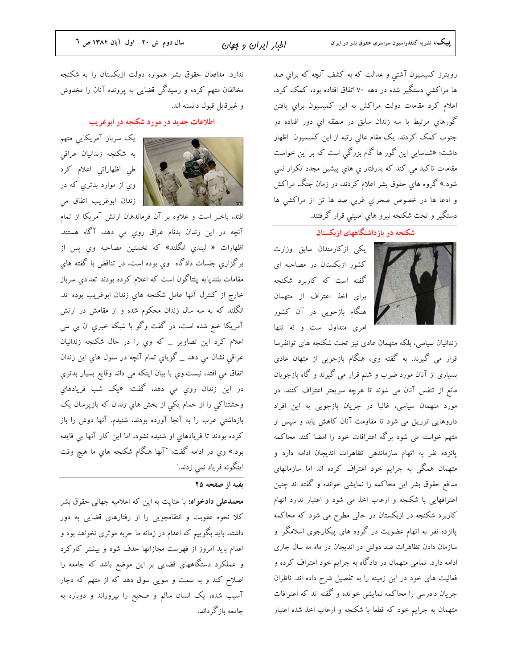رویترز کمیسیون آشتی و عدالت که به کشف آنچه که برای صد ها مراکشی دستگیر شده در دهه ۷۰ اتفاق افتاده بود، کمک کرد، اعلام کرد مقامات دولت مراکش به این کمیسیون برای یافتن گورهای مرتبط با سه زندان سابق در منطقه ای دور افتاده در جنوب کمک کردند. یک مقام عالیِ رتبه از این کمیسیون اظهار داشت: «شناسایی این گور ها گام بزرگی است که بر این خواست مقامات تاکید می کند که بدرفتار ی های پیشین مجدد تکرار نمی شود.» گروه های حقوق بشر اعلام کردند، در زمان جنگ مراکش و ادعا ها در خصوص صحراي غربي صد ها تن از مراكشي ها دستگير و تحت شکنجه نيرو هاي امنيتي قرار گرفتند.

## .<br>شکنجه در بازداشتگاههای ازبکستا**ن**



زندانیان سیاسی، بلکه متهمان عادی نیز تحت شکنجه های توانفرسا قرار می گیرند. به گفته وی، هنگام بازجویی از متهان عادی بسیاری از آنان مورد ضرب و شتم قرار می گیرند و گاه بازجویان مانع از تنفس آنان می شوند تا هرچه سریعتر اعتراف کنند. در مورد متهمان سیاسی، غالبا در جریان بازجویی به این افراد داروهایی تزریق می شود تا مقاومت آنان کاهش یابد و سپس از متهم خواسته می شود برگه اعترافات خود را امضا کند. محاکمه پانزده نفر به اتهام سازماندهی تظاهرات اندیجان ادامه دارد و متهمان همگی به جرایم خود اعتراف کرده اند اما سازمانهای مدافع حقوق بشر این محاکمه را نمایشی خوانده و گفته اند چنین اعترافهایی با شکنجه و ارعاب اخذ می شود و اعتبار ندارد اتهام کاربرد شکنجه در ازبکستان در حالی مطرح می شود که محاکمه پانزده نفر به اتهام عضویت در گروه های پیکارجوی اسلامگرا و سازمان دادن تظاهرات ضد دولتی در اندیجان در ماه مه سال جاری ادامه دارد. تمامی متهمان در دادگاه به جرایم خود اعتراف کرده و فعالیت های خود در این زمینه را به تفصیل شرح داده اند. ناظران جریان دادرسی را محاکمه نمایشی خوانده و گفته اند که اعترافات متهمان به جرایم خود که قطعا با شکنجه و ارعاب اخذ شده اعتبار

ندارد. مدافعان حقوق بشر همواره دولت ازبکستان را به شکنجه مخالفان متهم کرده و رسیدگی قضایی به پرونده آنان را مخدوش و غيرقابل قبول دانسته اند.

## اطلاعات جدید در مورد شکنجه در ابوغریب

یک سرباز آمریکایی متهم به شکنجه زندانیان عراقی طی اظهاراتی اعلام کرد وی از موارد بدتری که در زندان ابوغريب اتفاق مي

افتد، باخبر است و علاوه بر آن فرماندهان ارتش آمریکا از تمام آنچه در این زندان بدنام عراق رویِ می دهد، آگاه هستند. اظهارات « لیندی انگلند» که نخستین مصاحبه وی پس از برگزاري جلسات دادگاه وي بوده است، در تناقض با گفته هاي مقامات بلندپایه پنتاگون است که اعلام کرده بودند تعدادی سرباز خارج از کنترل آنها عامل شکنجه های زندان ابوغریب بوده اند. انگلند که به سه سال زندان محکوم شده و از مقامش در ارتش آمریکا خلع شده است، در گفت وگو با شبکه خبری ان بی سی اعلام کرد این تصاویر \_ که وي را در حال شکنجه زندانیان عراقی نشان می دهد \_ گویای تمام آنچه در سلول های این زندان اتفاق می افتد، نیست.وي با بیان اینکه می داند وقایع بسیار بدتري در اين زندان روي مي دهد، گفت: «يک شب فريادهاي وحشتناکی را از حمام یکی از بخش هاي زندان که بازپرسان یک بازداشتی عرب را به آنجا آورده بودند، شنیدم. آنها دوش را باز کرده بودند تا فریادهای او شنیده نشود، اما این کار آنها بی فایده بود.» وي در ادامه گفت: "آنها هنگام شکنجه هاي ما هيچ وقت اينگونه فرياد نمي زدند.″

## بقيه از صفحه ٢۵

محمدعلی دادخواه: با عنایت به این که اعلامیه جهانی حقوق بشر کلا نحوه عقوبت و انتقامجویی را از رفتارهای قضایی به دور داشته، باید بگوییم که اعدام در زمانه ما حربه موثری نخواهد بود و اعدام باید امروز از فهرست مجازاتها حذف شود و بیشتر کارکرد و عملکرد دستگاههای قضایی بر این موضع باشد که جامعه را اصلاح کند و به سمت و سویی سوق دهد که از متهم که دچار آسیب شده، یک انسان سالم و صحیح را بپروراند و دوباره به جامعه بازگر داند.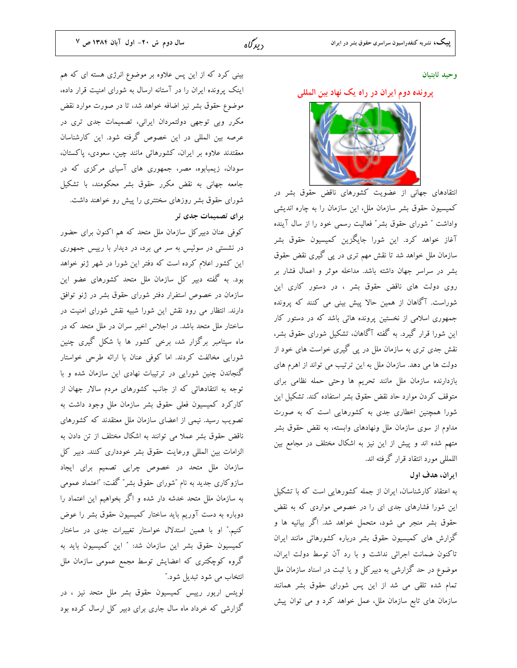#### وحيد ثابتيان

## پرونده دوم ایران در راه یک نهاد بین المللی



.<br>انتقادهای جهانی از عضویت کشورهای ناقض حقوق بشر در کمیسیون حقوق بشر سازمان ملل، این سازمان را به چاره اندیشی واداشت " شورای حقوق بشر" فعالیت رسمی خود را از سال آینده آغاز خواهد کرد. این شورا جایگزین کمیسیون حقوق بشر سازمان ملل خواهد شد تا نقش مهم تری در یی گیری نقض حقوق بشر در سراسر جهان داشته باشد. مداخله موثر و اعمال فشار بر روی دولت های ناقض حقوق بشر ، در دستور کاری این شوراست. آگاهان از همین حالا پیش بینی می کنند که پرونده جمهوری اسلامی از نخستین پرونده هائی باشد که در دستور کار این شورا قرار گیرد. به گفته آگاهان، تشکیل شورای حقوق بشر، نقش جدی تری به سازمان ملل در یی گیری خواست های خود از دولت ها می دهد. سازمان ملل به این ترتیب می تواند از اهرم های بازدارنده سازمان ملل مانند تحريم ها وحتى حمله نظامى براى متوقف کردن موارد حاد نقض حقوق بشر استفاده کند. تشکیل این شورا همچنین اخطاری جدی به کشورهایی است که به صورت مداوم از سوی سازمان ملل ونهادهای وابسته، به نقض حقوق بشر متهم شده اند و پیش از این نیز به اشکال مختلف در مجامع بین اللمللي مورد انتقاد قرار گرفته اند.

### ايران، هدف اول

به اعتقاد کارشناسان، ایران از جمله کشورهایی است که با تشکیل این شورا فشارهای جدی ای را در خصوص مواردی که به نقض حقوق بشر منجر می شود، متحمل خواهد شد. اگر بیانیه ها و گزارش های کمیسیون حقوق بشر درباره کشورهائی مانند ایران تاکنون ضمانت اجرائی نداشت و با رد آن توسط دولت ایران، موضوع در حد گزارشی به دبیرکل و یا ثبت در اسناد سازمان ملل تمام شده تلقی می شد از این پس شورای حقوق بشر همانند سازمان های تابع سازمان ملل، عمل خواهد کرد و می توان پیش

بینی کرد که از این پس علاوه بر موضوع انرژی هسته ای که هم اینک پرونده ایران را در آستانه ارسال به شورای امنیت قرار داده، موضوع حقوق بشر نيز اضافه خواهد شد، تا در صورت موارد نقض مکرر وبی توجهی دولتمردان ایرانی، تصمیمات جدی تری در عرصه بين المللي در اين خصوص گرفته شود. اين كارشناسان معقتدند علاوه بر ایران، کشورهائی مانند چین، سعودی، پاکستان، سودان، زیمبابوه، مصر، جمهوری های آسیای مرکزی که در جامعه جهانی به نقض مکرر حقوق بشر محکومند، با تشکیل شورای حقوق بشر روزهای سختتری را پیش رو خواهند داشت. برای تصمیمات جدی تر

کوفی عنان دبیرکل سازمان ملل متحد که هم اکنون برای حضور در نشستی در سوئیس به سر می برد، در دیدار با رییس جمهوری این کشور اعلام کرده است که دفتر این شورا در شهر ژنو خواهد بود. به گفته دبیر کل سازمان ملل متحد کشورهای عضو این سازمان در خصوص استفرار دفتر شورای حقوق بشر در ژنو توافق دارند. انتظار می رود نقش این شورا شبیه نقش شورای امنیت در ساختار ملل متحد باشد. در اجلاس اخیر سران در ملل متحد که در ماه سپتامبر برگزار شد، برخی کشور ها با شکل گیری چنین شورایی مخالفت کردند. اما کوفی عنان با ارائه طرحی خواستار گنجاندن چنین شورایی در ترتیبات نهادی این سازمان شده و با توجه به انتقادهائی که از جانب کشورهای مردم سالار جهان از کارکرد کمیسیون فعلی حقوق بشر سازمان ملل وجود داشت به تصویب رسید. نیمی از اعضای سازمان ملل معتقدند که کشورهای ناقض حقوق بشر عملاً می توانند به اشکال مختلف از تن دادن به الزامات بين المللي ورعايت حقوق بشر خودداري كنند. دبير كل سازمان ملل متحد در خصوص چرایی تصمیم برای ایجاد سازوکاری جدید به نام ″شورای حقوق بشر″ گفت: ″اعتماد عمومی به سازمان ملل متحد خدشه دار شده و اگر بخواهیم این اعتماد را دوباره به دست آوریم باید ساختار کمیسیون حقوق بشر را عوض کنیم." او با همین استدلال خواستار تغییرات جدی در ساختار كميسيون حقوق بشر اين سازمان شد: " اين كميسيون بايد به گروه کوچکتری که اعضایش توسط مجمع عمومی سازمان ملل انتخاب مي شود تبديل شود.″

لویئس اریور رییس کمیسیون حقوق بشر ملل متحد نیز ، در گزارشی که خرداد ماه سال جاری برای دبیر کل ارسال کرده بود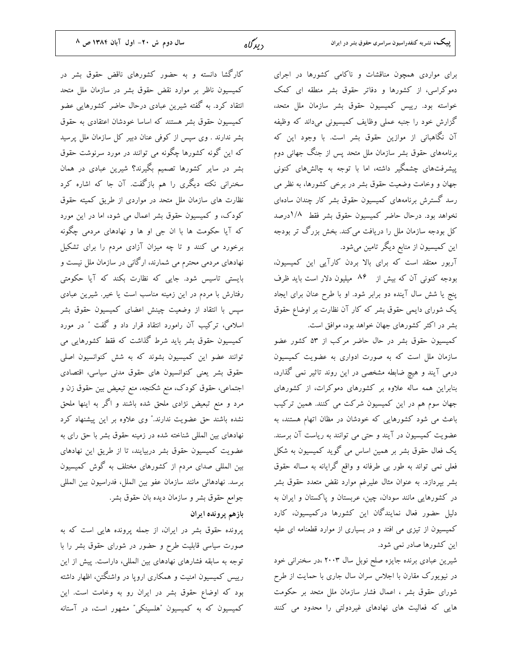کارگشا دانسته و به حضور کشورهای ناقض حقوق بشر در کمیسیون ناظر بر موارد نقض حقوق بشر در سازمان ملل متحد انتقاد کرد. به گفته شیرین عبادی درحال حاضر کشورهایی عضو کمیسیون حقوق بشر هستند که اساسا خودشان اعتقادی به حقوق بشر ندارند . وی سپس از کوفی عنان دبیر کل سازمان ملل پرسید که این گونه کشورها چگونه می توانند در مورد سرنوشت حقوق بشر در سایر کشورها تصمیم بگیرند؟ شیرین عبادی در همان سخنرانی نکته دیگری را هم بازگفت. آن جا که اشاره کرد نظارت های سازمان ملل متحد در مواردی از طریق کمیته حقوق کودک، و کمیسیون حقوق بشر اعمال می شود، اما در این مورد که آیا حکومت ها با ان جی او ها و نهادهای مردمی چگونه برخورد می کنند و تا چه میزان آزادی مردم را برای تشکیل نهادهای مردمی محترم می شمارند، ارگانی در سازمان ملل نیست و بایستی تاسیس شود. جایی که نظارت بکند که آیا حکومتی رفتارش با مردم در این زمینه مناسب است یا خیر. شیرین عبادی سپس با انتقاد از وضعیت چینش اعضای کمیسیون حقوق بشر اسلامی، ترکیب آن رامورد انتقاد قرار داد و گفت " در مورد کمیسیون حقوق بشر باید شرط گذاشت که فقط کشورهایی می توانند عضو این کمیسیون بشوند که به شش کنوانسیون اصلی حقوق بشر یعنی کنوانسیون های حقوق مدنی سیاسی، اقتصادی اجتماعی، حقوق کودک، منع شکنجه، منع تبعیض بین حقوق زن و مرد و منع تبعیض نژادی ملحق شده باشند و اگر به اینها ملحق نشده باشند حق عضویت ندارند." وی علاوه بر این پیشنهاد کرد نهادهای بین المللی شناخته شده در زمینه حقوق بشر با حق رای به عضویت کمیسیون حقوق بشر دربیایند، تا از طریق این نهادهای بین المللی صدای مردم از کشورهای مختلف به گوش کمیسیون برسد. نهادهائی مانند سازمان عفو بین الملل، فدراسیون بین المللی

## جوامع حقوق بشر و سازمان ديده بان حقوق بشر. بازهم پرونده ايران

پرونده حقوق بشر در ایران، از جمله پرونده هایی است که به صورت سیاسی قابلیت طرح و حضور در شورای حقوق بشر را با توجه به سابقه فشارهای نهادهای بین المللی، داراست. پیش از این رییس کمیسیون امنیت و همکاری اروپا در واشنگتن، اظهار داشته بود كه اوضاع حقوق بشر در ايران رو به وخامت است. اين کمیسیون که به کمیسیون "هلسینکی" مشهور است، در آستانه

برای مواردی همچون مناقشات و ناکامی کشورها در اجرای دموکراسی، از کشورها و دفاتر حقوق بشر منطقه ای کمک خواسته بود. رییس کمیسیون حقوق بشر سازمان ملل متحد، گزارش خود را جنبه عملی وظایف کمیسیونی می،داند که وظیفه آن نگاهبانی از موازین حقوق بشر است. با وجود این که برنامههای حقوق بشر سازمان ملل متحد پس از جنگ جهانی دوم پیشرفتهای چشمگیر داشته، اما با توجه به چالشهای کنونی جهان و وخامت وضعیت حقوق بشر در برخی کشورها، به نظر می رسد گسترش برنامههای کمیسیون حقوق بشر کار چندان سادهای نخواهد بود. درحال حاضر كميسيون حقوق بشر فقط ١/٨درصد کل بودجه سازمان ملل را دریافت می کند. بخش بزرگ تر بودجه این کمیسیون از منابع دیگر تامین میشود.

آربور معتقد است که برای بالا بردن کارآیی این کمیسیون، بودجه کنونی آن که بیش از <sup>۸۶</sup> میلیون دلار است باید ظرف پنج یا شش سال آینده دو برابر شود. او با طرح عنان برای ایجاد یک شورای دایمی حقوق بشر که کار آن نظارت بر اوضاع حقوق بشر در اکثر کشورهای جهان خواهد بود، موافق است.

کمیسیون حقوق بشر در حال حاضر مرکب از ۵۳ کشور عضو سازمان ملل است که به صورت ادواری به عضویت کمیسیون درمی آیند و هیچ ضابطه مشخصی در این روند تاثیر نمی گذارد، بنابراین همه ساله علاوه بر کشورهای دموکرات، از کشورهای جهان سوم هم در این کمیسیون شرکت می کنند. همین ترکیب باعث می شود کشورهایی که خودشان در مظان اتهام هستند، به عضویت کمیسیون در آیند و حتی می توانند به ریاست آن برسند. یک فعال حقوق بشر بر همین اساس می گوید کمیسیون به شکل فعلی نمی تواند به طور بی طرفانه و واقع گرایانه به مساله حقوق بشر بپردازد. به عنوان مثال علیرغم موارد نقض متعدد حقوق بشر در کشورهایی مانند سودان، چین، عربستان و پاکستان و ایران به دلیل حضور فعال نمایندگان این کشورها درکمیسیون، کارد کمیسیون از تیزی می افتد و در بسیاری از موارد قطعنامه ای علیه این کشورها صادر نمی شود.

شیرین عبادی برنده جایزه صلح نوبل سال ۲۰۰۳ ،در سخنرانی خود در نیویورک مقارن با اجلاس سران سال جاری با حمایت از طرح شورای حقوق بشر ، اعمال فشار سازمان ملل متحد بر حکومت هایی که فعالیت های نهادهای غیردولتی را محدود می کنند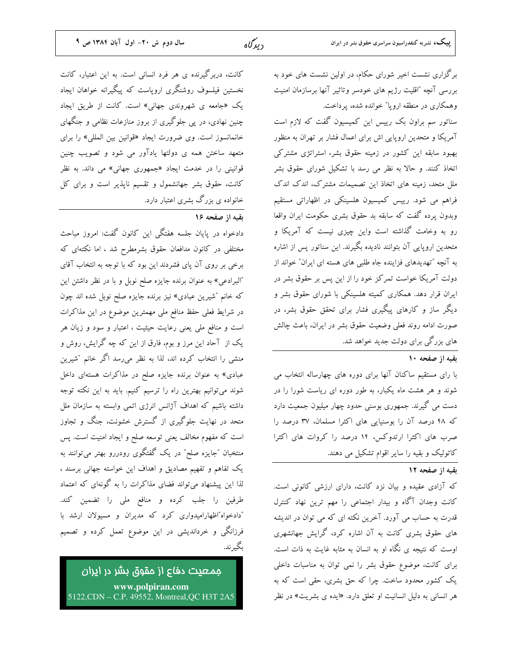دىدگاە

برگزاری نشست اخیر شورای حکام، در اولین نشست های خود به بررسی آنچه "اقلیت رژیم های خودسر وتاثیر آنها برسازمان امنیت وهمکاری در منطقه اروپا″ خوانده شده، پرداخت. سناتور سم براون بک رییس این کمیسیون گفت که لازم است آمریکا و متحدین اروپایی اش برای اعمال فشار بر تهران به منظور بهبود سابقه این کشور در زمینه حقوق بشر، استراتژی مشترکی اتخاذ کنند. و حالا به نظر می رسد با تشکیل شورای حقوق بشر ملل متحد، زمینه های اتخاذ این تصمیمات مشترک، اندک اندک

فراهم می شود. رییس کمیسیون هلسینکی در اظهاراتی مستقیم وبدون پرده گفت که سابقه بد حقوق بشری حکومت ایران واقعا رو به وخامت گذاشته است واین چیزی نیست که آمریکا و متحدین اروپایی آن بتوانند نادیده بگیرند. این سناتور پس از اشاره به آنچه "تهدیدهای فزاینده جاه طلبی های هسته ای ایران" خواند از دولت آمریکا خواست تمرکز خود را از این پس بر حقوق بشر در ایران قرار دهد. همکاری کمیته هلسینکی با شورای حقوق بشر و دیگر ساز و کارهای پیگیری فشار برای تحقق حقوق بشر، در صورت ادامه روند فعلي وضعيت حقوق بشر در ايران، باعث چالش های بزرگی برای دولت جدید خواهد شد.

بقيه از صفحه ١٠

با رای مستقیم ساکنان آنها برای دوره های چهارساله انتخاب می .<br>شوند و هر هشت ماه یکبار، به طور دوره ای ریاست شورا را در دست مي گيرند. جمهوري بوسنې حدود چهار ميليون جمعيت دارد که ۴۸ درصد آن را بوسنیایی های اکثرا مسلمان، ۳۷ درصد را صرب های اکثرا ارتدوکس، ۱۴ درصد را کروات های اکثرا کاتولیک و بقیه را سایر اقوام تشکیل می دهند.

## بقيه از صفحه ١٢

که آزادی عقیده و بیان نزد کانت، دارای ارزشی کانونی است. کانت وجدان آگاه و بیدار اجتماعی را مهم ترین نهاد کنترل قدرت به حساب می آورد. آخرین نکته ای که می توان در اندیشه های حقوق بشری کانت به آن اشاره کرد، گرایش جهانشهری اوست که نتیجه ی نگاه او به انسان به مثابه غایت به ذات است. برای کانت، موضوع حقوق بشر را نمی توان به مناسبات داخلی یک کشور محدود ساخت. چرا که حق بشری، حقی است که به هر انسانی به دلیل انسانیت او تعلق دارد. «ایده ی بشریت» در نظر

کانت، دربرگیرنده ی هر فرد انسانی است. به این اعتبار، کانت نخستین فیلسوف روشنگری اروپاست که پیگیرانه خواهان ایجاد یک «جامعه ی شهروندی جهانی» است. کانت از طریق ایجاد چنین نهادی، در پی جلوگیری از بروز منازعات نظامی و جنگهای خانمانسوز است. وى ضرورت ايجاد «قوانين بين المللي» را براي متعهد ساختن همه ی دولتها یادآور می شود و تصویب چنین قوانینی را در خدمت ایجاد «جمهوری جهانی» می داند. به نظر کانت، حقوق بشر جهانشمول و تقسیم ناپذیر است و برای کل خانواده ی بزرگ بشری اعتبار دارد.

بقيه از صفحه ١۶

دادخواه در پایان جلسه هفتگی این کانون گفت: امروز مباحث مختلفی در کانون مدافعان حقوق بشرمطرح شد ، اما نکتهای که برخی بر روی آن پای فشردند این بود که با توجه به انتخاب آقای <sup>"</sup>البرادعي» به عنوان برنده جايزه صلح نوبل و با در نظر داشتن اين که خانم ″شیرین عبادی» نیز برنده جایزه صلح نوبل شده اند چون در شرایط فعلی حفظ منافع ملی مهمترین موضوع در این مذاکرات است و منافع ملی یعنی رعایت حیثیت ، اعتبار و سود و زیان هر یک از آحاد این مرز و بوم، فارق از این که چه گرایش، روش و منشی را انتخاب کرده اند، لذا به نظر میرسد اگر خانم ″شیرین عبادی» به عنوان برنده جایزه صلح در مذاکرات هستهای داخل شوند می توانیم بهترین راه را ترسیم کنیم. باید به این نکته توجه داشته باشیم که اهداف آژانس انرژی اتمی وابسته به سازمان ملل متحد در نهایت جلوگیری از گسترش خشونت، جنگ و تجاوز است که مفهوم مخالف یعنی توسعه صلح و ایجاد امنیت است. پس منتخبان ″جایزه صلح″ در یک گفتگوی رودررو بهتر میتوانند به یک تفاهم و تفهیم مصادیق و اهداف این خواسته جهانی برسند ، لذا این پیشنهاد میتواند فضای مذاکرات را به گونهای که اعتماد طرفین را جلب کرده و منافع ملی را تضمین کند. "دادخواه"اظهارامیدواری کرد که مدیران و مسیولان ارشد با فرزانگی و خرداندیشی در این موضوع تعمل کرده و تصمیم بگير ند.

مِمعيت دفاع از مقوق بشر در ايران www.polpiran.com 5122,CDN – C.P. 49552, Montreal, QC H3T 2A5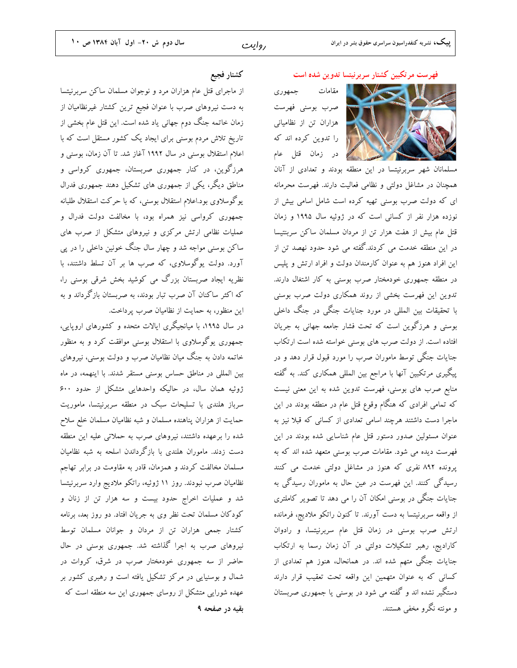كشتار فجيع

از ماجرای قتل عام هزاران مرد و نوجوان مسلمان ساکن سربرنیتسا به دست نیروهای صرب با عنوان فجیع ترین کشتار غیرنظامیان از زمان خاتمه جنگ دوم جهانی یاد شده است. این قتل عام بخشی از تاریخ تلاش مردم بوسنی برای ایجاد یک کشور مستقل است که با اعلام استقلال بوسنی در سال ۱۹۹۲ آغاز شد. تا آن زمان، بوسنی و هرزگوین، در کنار جمهوری صربستان، جمهوری کرواسی و مناطق دیگر، یکی از جمهوری های تشکیل دهند جمهوری فدرال یوگوسلاوی بود.اعلام استقلال بوسنی، که با حرکت استقلال طلبانه جمهوری کرواسی نیز همراه بود، با مخالفت دولت فدرال و عملیات نظامی ارتش مرکزی و نیروهای متشکل از صرب های ساکن بوسنی مواجه شد و چهار سال جنگ خونین داخلی را در پی آورد. دولت یوگوسلاوی، که صرب ها بر آن تسلط داشتند، با نظریه ایجاد صربستان بزرگ می کوشید بخش شرقی بوسنی را، که اکثر ساکنان آن صرب تبار بودند، به صربستان بازگرداند و به این منظور، به حمایت از نظامیان صرب پرداخت.

در سال ۱۹۹۵، با میانجیگری ایالات متحده و کشورهای اروپایی، جمهوری یوگوسلاوی با استقلال بوسنی موافقت کرد و به منظور خاتمه دادن به جنگ میان نظامیان صرب و دولت بوسنی، نیروهای بین المللی در مناطق حساس بوسنی مستقر شدند. با اینهمه، در ماه ژوئیه همان سال، در حالیکه واحدهایی متشکل از حدود ۶۰۰ سرباز هلندی با تسلیحات سبک در منطقه سربرنیتسا، ماموریت حمایت از هزاران پناهنده مسلمان و شبه نظامیان مسلمان خلع سلاح .<br>شده را برعهده داشتند، نیروهای صرب به حملاتی علیه این منطقه دست زدند. ماموران هلندی با بازگرداندن اسلحه به شبه نظامیان مسلمان مخالفت کردند و همزمان، قادر به مقاومت در برابر تهاجم نظامیان صرب نبودند. روز ۱۱ ژوئیه، راتکو ملادیج وارد سربرنیتسا شد و عملیات اخراج حدود بیست و سه هزار تن از زنان و کودکان مسلمان تحت نظر وی به جریان افتاد. دو روز بعد، برنامه کشتار جمعی هزاران تن از مردان و جوانان مسلمان توسط نیروهای صرب به اجرا گذاشته شد. جمهوری بوسنی در حال حاضر از سه جمهوری خودمختار صرب در شرق، کروات در شمال و بوسنیایی در مرکز تشکیل یافته است و رهبری کشور بر عهده شورایی متشکل از روسای جمهوری این سه منطقه است که بقيه در صفحه ۹

فهرست مرتكبين كشتار سربرنيتسا تدوين شده است

مقامات جمهوري صرب بوسنى فهرست هزاران تن از نظامیانی را تدوین کرده اند که ای از این معنی از معنای عنام است.<br>معنای این معنای معنای معنا



مسلمانان شهر سربرنیتسا در این منطقه بودند و تعدادی از آنان همچنان در مشاغل دولتی و نظامی فعالیت دارند. فهرست محرمانه ای که دولت صرب بوسنی تهیه کرده است شامل اسامی بیش از نوزده هزار نفر از کسانی است که در ژوئیه سال ۱۹۹۵ و زمان قتل عام بیش از هفت هزار تن از مردان مسلمان ساکن سربنتیسا در این منطقه خدمت می کردند.گفته می شود حدود نهصد تن از این افراد هنوز هم به عنوان کارمندان دولت و افراد ارتش و پلیس در منطقه جمهوری خودمختار صرب بوسنی به کار اشتغال دارند. تدوین این فهرست بخشی از روند همکاری دولت صرب بوسنی با تحقیقات بین المللی در مورد جنایات جنگی در جنگ داخلی بوسنی و هرزگوین است که تحت فشار جامعه جهانی به جریان افتاده است. از دولت صرب های بوسنی خواسته شده است ارتکاب جنایات جنگی توسط ماموران صرب را مورد قبول قرار دهد و در پیگیری مرتکبین آنها با مراجع بین المللی همکاری کند. به گفته منابع صرب های بوسنی، فهرست تدوین شده به این معنی نیست که تمامی افرادی که هنگام وقوع قتل عام در منطقه بودند در این ماجرا دست داشتند هرچند اسامی تعدادی از کسانی که قبلا نیز به عنوان مسئولین صدور دستور قتل عام شناسایی شده بودند در این فهرست دیده می شود. مقامات صرب بوسنی متعهد شده اند که به پرونده ۸۹۲ نفری که هنوز در مشاغل دولتی خدمت می کنند رسیدگی کنند. این فهرست در عین حال به ماموران رسیدگی به جنایات جنگی در بوسنی امکان آن را می دهد تا تصویر کاملتری از واقعه سربرنیتسا به دست آورند. تا کنون راتکو ملادیج، فرمانده ارتش صرب بوسنی در زمان قتل عام سربرنیتسا، و رادوان کارادیج، رهبر تشکیلات دولتی در آن زمان رسما به ارتکاب جنایات جنگی متهم شده اند. در همانحال، هنوز هم تعدادی از کسانی که به عنوان متهمین این واقعه تحت تعقیب قرار دارند دستگیر نشده اند و گفته می شود در بوسنی یا جمهوری صربستان و مونته نگرو مخفی هستند.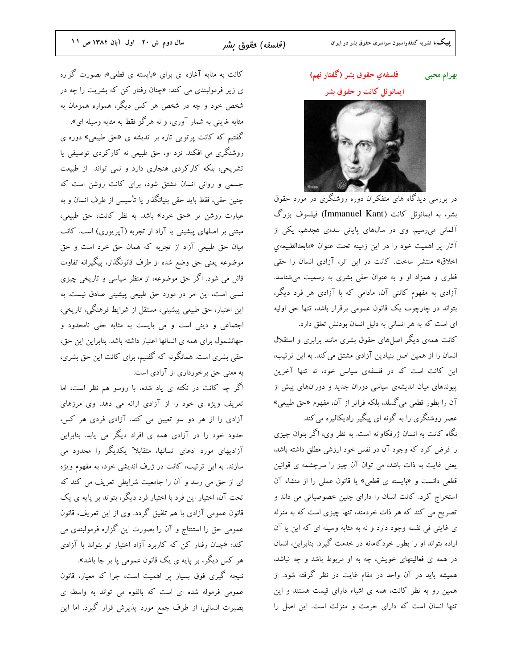#### فلسفهي حقوق بشر (گفتار نهم) بهرام محبى ایمانوئل کانت و حقوق بشر



در بررسی دیدگاه های متفکران دوره روشنگری در مورد حقوق بشر، به ایمانوئل کانت (Immanuel Kant) فیلسوف بزرگ آلمانی میرسیم. وی در سالهای پایانی سدهی هجدهم، یکی از آثار پر اهمیت خود را در این زمینه تحت عنوان «مابعدالطبیعهی اخلاق» منتشر ساخت. كانت در اين اثر، آزادي انسان را حقى فطری و همزاد او و به عنوان حقی بشری به رسمیت میشناسد. آزادی به مفهوم کانتی آن، مادامی که با آزادی هر فرد دیگر، بتواند در چارچوب یک قانون عمومی برقرار باشد، تنها حق اولیه ای است که به هر انسانی به دلیل انسان بودنش تعلق دارد.

کانت همهی دیگر اصلهای حقوق بشری مانند برابری و استقلال انسان را از همین اصل بنیادین آزادی مشتق می کند. به این ترتیب، این کانت است که در فلسفهی سیاسی خود، نه تنها آخرین پیوندهای میان اندیشهی سیاسی دوران جدید و دورانهای پیش از آن را بطور قطعی میگسلد، بلکه فراتر از آن، مفهوم «حق طبیعی» عصر روشنگری را به گونه ای پیگیر رادیکالیزه می کند.

نگاه کانت به انسان ژرفکاوانه است. به نظر وی، اگر بتوان چیزی را فرض کرد که وجود آن در نفس خود ارزشی مطلق داشته باشد، یعنی غایت به ذات باشد، می توان آن چیز را سرچشمه ی قوانین قطعی دانست و «بایسته ی قطعی» یا قانون عملی را از منشاء آن استخراج کرد. کانت انسان را دارای چنین خصوصیاتی می داند و تصریح می کند که هر ذات خردمند، تنها چیزی است که به منزله ی غایتی فی نفسه وجود دارد و نه به مثابه وسیله ای که این یا آن اراده بتواند او را بطور خودکامانه در خدمت گیرد. بنابراین، انسان در همه ی فعالیتهای خویش، چه به او مربوط باشد و چه نباشد، همیشه باید در آن واحد در مقام غایت در نظر گرفته شود. از همین رو به نظر کانت، همه ی اشیاء دارای قیمت هستند و این تنها انسان است كه داراى حرمت و منزلت است. اين اصل را

کانت به مثابه آغازه ای برای «بایسته ی قطعی»، بصورت گزاره ی زیر فرمولبندی می کند: «چنان رفتار کن که بشریت را چه در شخص خود و چه در شخص هر کس دیگر، همواره همزمان به مثابه غایتی به شمار آوری، و نه هرگز فقط به مثابه وسیله ای». گفتیم که کانت پرتویی تازه بر اندیشه ی «حق طبیعی» دوره ی روشنگری می افکند. نزد او، حق طبیعی نه کارکردی توصیفی یا تشریحی، بلکه کارکردی هنجاری دارد و نمی تواند از طبیعت جسمی و روانی انسان مشتق شود، برای کانت روشن است که چنین حقی، فقط باید حقی بنیانگذار یا تأسیسی از طرف انسان و به عبارت روشن تر «حق خرد» باشد. به نظر کانت، حق طبیعی، مبتنی بر اصلهای پیشینی یا آزاد از تجربه (آپریوری) است. کانت میان حق طبیعی آزاد از تجربه که همان حق خرد است و حق موضوعه یعنی حق وضع شده از طرف قانونگذار، پیگیرانه تفاوت قائل می شود. اگر حق موضوعه، از منظر سیاسی و تاریخی چیزی نسبی است، این امر در مورد حق طبیعی پیشینی صادق نیست. به این اعتبار، حق طبیعی پیشینی، مستقل از شرایط فرهنگی، تاریخی، اجتماعی و دینی است و می بایست به مثابه حقی نامحدود و جهانشمول برای همه ی انسانها اعتبار داشته باشد. بنابراین این حق، حقی بشری است. همانگونه که گفتیم، برای کانت این حق بشری، به معنی حق برخورداری از آزادی است.

اگر چه کانت در نکته ی یاد شده، با روسو هم نظر است، اما تعریف ویژه ی خود را از آزادی ارائه می دهد. وی مرزهای آزادی را از هر دو سو تعیین می کند. آزادی فردی هر کس، حدود خود را در آزادی همه ی افراد دیگر می یابد. بنابراین آزادیهای مورد ادعای انسانها، متقابلا" یکدیگر را محدود می سازند. به این ترتیب، کانت در ژرف اندیشی خود، به مفهوم ویژه ای از حق می رسد و آن را جامعیت شرایطی تعریف می کند که تحت آن، اختیار این فرد با اختیار فرد دیگر، بتواند بر پایه ی یک قانون عمومی آزادی با هم تلفیق گردد. وی از این تعریف، قانون عمومی حق را استنتاج و آن را بصورت این گزاره فرمولبندی می کند: «چنان رفتار کن که کاربرد آزاد اختیار تو بتواند با آزادی هر کس دیگر، بر پایه ی یک قانون عمومی پا بر جا باشد». نتیجه گیری فوق بسیار پر اهمیت است، چرا که معیار، قانون عمومی فرموله شده ای است که بالقوه می تواند به واسطه ی بصیرت انسانی، از طرف جمع مورد پذیرش قرار گیرد. اما این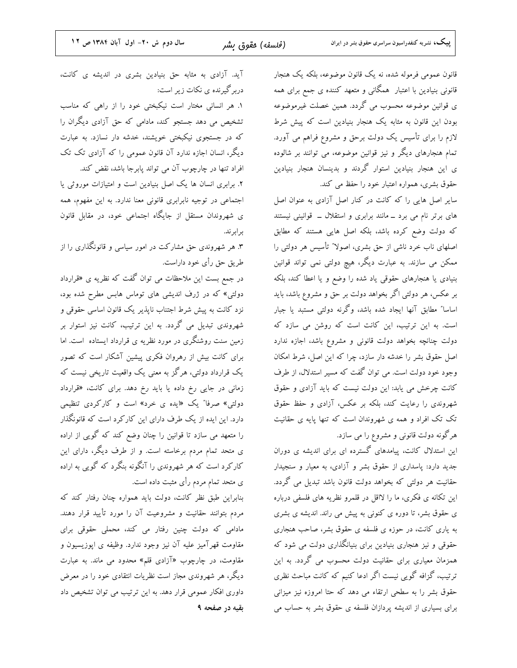**پییک،** نشریه کنفدراسیون سراسری حقوق بشر در ایران

قانون عمومی فرموله شده، نه یک قانون موضوعه، بلکه یک هنجار قانونی بنیادین با اعتبار ًهمگانی و متعهد کننده ی جمع برای همه ی قوانین موضوعه محسوب می گردد. همین خصلت غیرموضوعه بودن این قانون به مثابه یک هنجار بنیادین است که پیش شرط لازم را برای تأسیس یک دولت برحق و مشروع فراهم می آورد. تمام هنجارهای دیگر و نیز قوانین موضوعه، می توانند بر شالوده ی این هنجار بنیادین استوار گردند و بدینسان هنجار بنیادین حقوق بشری، همواره اعتبار خود را حفظ می کند.

سایر اصل هایی را که کانت در کنار اصل آزادی به عنوان اصل های برتر نام می برد ــ مانند برابری و استقلال ــ قوانینی نیستند که دولت وضع کرده باشد، بلکه اصل هایی هستند که مطابق اصلهای ناب خرد ناشی از حق بشری، اصولاً" تأسیس هر دولتی را ممکن می سازند. به عبارت دیگر، هیچ دولتی نمی تواند قوانین بنیادی یا هنجارهای حقوقی یاد شده را وضع و یا اعطا کند، بلکه بر عکس، هر دولتی اگر بخواهد دولت بر حق و مشروع باشد، باید اساسا" مطابق آنها ایجاد شده باشد، وگرنه دولتی مستبد یا جبار است. به این ترتیب، این کانت است که روشن می سازد که دولت چنانچه بخواهد دولت قانونی و مشروع باشد، اجازه ندارد اصل حقوق بشر را خدشه دار سازد، چرا که این اصل، شرط امکان وجود خود دولت است. می توان گفت که مسیر استدلال، از طرف کانت چرخش می یابد: این دولت نیست که باید آزادی و حقوق شهروندی را رعایت کند، بلکه بر عکس، آزادی و حفظ حقوق تک تک افراد و همه ی شهروندان است که تنها پایه ی حقانیت هرگونه دولت قانونی و مشروع را می سازد.

این استدلال کانت، پیامدهای گسترده ای برای اندیشه ی دوران جدید دارد: پاسداری از حقوق بشر و آزادی، به معیار و سنجیدار حقانیت هر دولتی که بخواهد دولت قانون باشد تبدیل می گردد. این تکانه ی فکری، ما را لااقل در قلمرو نظریه های فلسفی درباره ی حقوق بشر، تا دوره ی کنونی به پیش می راند. اندیشه ی بشری به یاری کانت، در حوزه ی فلسفه ی حقوق بشر، صاحب هنجاری حقوقی و نیز هنجاری بنیادین برای بنیانگذاری دولت می شود که همزمان معیاری برای حقانیت دولت محسوب می گردد. به این ترتیب، گزافه گویی نیست اگر ادعا کنیم که کانت مباحث نظری حقوق بشر را به سطحی ارتقاء می دهد که حتا امروزه نیز میزانی برای بسیاری از اندیشه پردازان فلسفه ی حقوق بشر به حساب می

آید. آزادی به مثابه حق بنیادین بشری در اندیشه ی کانت، دربر گیرنده ی نکات زیر است: ١. هر انسانی مختار است نیکبختی خود را از راهی که مناسب تشخیص می دهد جستجو کند، مادامی که حق آزادی دیگران را که در جستجوی نیکبختی خویشند، خدشه دار نسازد. به عبارت دیگر، انسان اجازه ندارد آن قانون عمومی را که آزادی تک تک افراد تنها در چارچوب آن می تواند پابرجا باشد، نقض کند.

۲. برابری انسان ها یک اصل بنیادین است و امتیازات موروثی یا اجتماعی در توجیه نابرابری قانونی معنا ندارد. به این مفهوم، همه ی شهروندان مستقل از جایگاه اجتماعی خود، در مقابل قانون بر ابر ند.

۳. هر شهروندی حق مشارکت در امور سیاسی و قانونگذاری را از طريق حق رأى خود داراست.

در جمع بست این ملاحظات می توان گفت که نظریه ی «قرارداد دولتی» که در ژرف اندیشی های توماس هابس مطرح شده بود، نزد کانت به پیش شرط اجتناب ناپذیر یک قانون اساسی حقوقی و شهروندی تبدیل می گردد. به این ترتیب، کانت نیز استوار بر زمین سنت روشنگری در مورد نظریه ی قرارداد ایستاده است. اما برای کانت بیش از رهروان فکری پیشین آشکار است که تصور یک قرارداد دولتی، هرگز به معنی یک واقعیت تاریخی نیست که زمانی در جایی رخ داده یا باید رخ دهد. برای کانت، «قرارداد دولتی» صرفا″ یک «ایده ی خرد» است و کارکردی تنظیمی دارد. این ایده از یک طرف دارای این کارکرد است که قانونگذار را متعهد می سازد تا قوانین را چنان وضع کند که گویی از اراده ی متحد تمام مردم برخاسته است. و از طرف دیگر، دارای این کارکرد است که هر شهروندی را آنگونه بنگرد که گویی به اراده ی متحد تمام مردم رأی مثبت داده است.

بنابراین طبق نظر کانت، دولت باید همواره چنان رفتار کند که مردم بتوانند حقانیت و مشروعیت آن را مورد تأیید قرار دهند. مادامی که دولت چنین رفتار می کند، محملی حقوقی برای مقاومت قهرآمیز علیه آن نیز وجود ندارد. وظیفه ی اپوزیسیون و مقاومت، در چارچوب «آزادی قلم» محدود می ماند. به عبارت دیگر، هر شهروندی مجاز است نظریات انتقادی خود را در معرض داوری افکار عمومی قرار دهد. به این ترتیب می توان تشخیص داد بقیه در صفحه ۹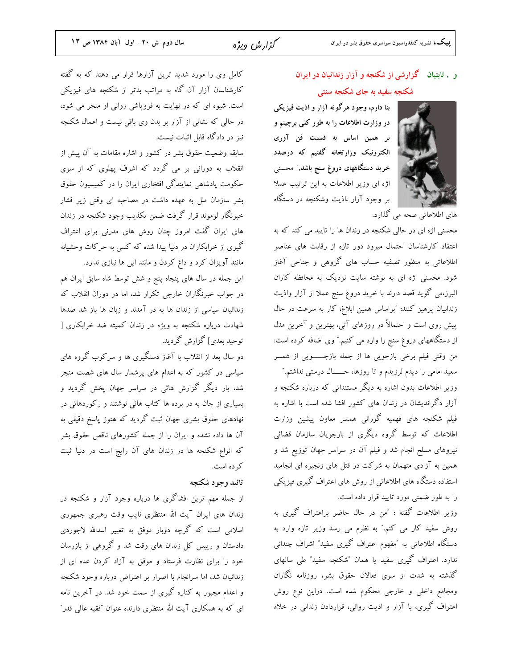## و . ثابتیان گزارشی از شکنجه و آزار زندانیان در ایران شکنجه سفید به جای شکنجه سنتی



بنا دارم، وجود هرگونه آزار و اذيت فيزيکي در وزارت اطلاعات را به طور کلی برچینم و بر همین اساس به قسمت فن آوری الکترونیک وزارتخانه گفتیم که درصدد خرید دستگاههای دروغ سنج باشد." محسنی اژه ای وزیر اطلاعات به این ترتیب عملا بر وجود آزار ،اذیت وشکنجه در دستگاه

های اطلاعاتی صحه می گذارد.

محسنی اژه ای در حالی شکنجه در زندان ها را تایید می کند که به اعتقاد کارشناسان احتمال میرود دور تازه از رقابت های عناصر اطلاعاتی به منظور تصفیه حساب های گروهی و جناحی آغاز شود. محسنی اژه ای به نوشته سایت نزدیک به محافظه کاران البرز،می گوید قصد دارند با خرید دروغ سنج عملا از آزار واذیت زندانیان پرهیز کنند: "براساس همین ابلاغ، کار به سرعت در حال پیش روی است و احتمالاً در روزهای آتی، بهترین و آخرین مدل از دستگاههای دروغ سنج را وارد می کنیم." وی اضافه کرده است: من وقتی فیلم برخی بازجویی ها از جمله بازجـــــویی از همسر سعید امامی را دیدم لرزیدم و تا روزها، حـــــال درستی نداشتم." وزیر اطلاعات بدون اشاره به دیگر مستنداتی که درباره شکنجه و آزار دگراندیشان در زندان های کشور افشا شده است با اشاره به فیلم شکنجه های فهمیه گورانی همسر معاون پیشین وزارت اطلاعات که توسط گروه دیگری از بازجویان سازمان قضائی نیروهای مسلح انجام شد و فیلم آن در سراسر جهان توزیع شد و همین به آزادی متهمان به شرکت در قتل های زنجیره ای انجامید استفاده دستگاه های اطلاعاتی از روش های اعتراف گیری فیزیکی را به طور ضمنی مورد تایید قرار داده است.

وزیر اطلاعات گفته : "من در حال حاضر براعتراف گیری به روش سفید کار می کنم." به نظرم می رسد وزیر تازه وارد به دستگاه اطلاعاتی به "مفهوم اعتراف گیری سفید" اشراف چندانی ندارد. اعتراف گیری سفید یا همان "شکنجه سفید" طی سالهای گذشته به شدت از سوی فعالان حقوق بشر، روزنامه نگاران ومجامع داخلی و خارجی محکوم شده است. دراین نوع روش اعتراف گیری، با آزار و اذیت روانی، قراردادن زندانی در خلاء

کامل وی را مورد شدید ترین آزارها قرار می دهند که به گفته کارشناسان آزار آن گاه به مراتب بدتر از شکنجه های فیزیکی است. شیوه ای که در نهایت به فروپاشی روانی او منجر می شود، در حالی که نشانی از آزار بر بدن وی باقی نیست و اعمال شکنجه نیز در دادگاه قابل اثبات نیست.

سابقه وضعیت حقوق بشر در کشور و اشاره مقامات به آن پیش از انقلاب به دورانی بر می گردد که اشرف پهلوی که از سوی حکومت یادشاهی نمایندگی افتخاری ایران را در کمیسیون حقوق بشر سازمان ملل به عهده داشت در مصاحبه ای وقتی زیر فشار خبرنگار لوموند قرار گرفت ضمن تکذیب وجود شکنجه در زندان های ایران گفت امروز چنان روش های مدرنی برای اعتراف گیری از خرابکاران در دنیا پیدا شده که کسی به حرکات وحشیانه مانند آویزان کرد و داغ کردن و مانند این ها نیازی ندارد.

این جمله در سال های پنجاه پنج و شش توسط شاه سابق ایران هم در جواب خبرنگاران خارجی تکرار شد، اما در دوران انقلاب که زندانیان سیاسی از زندان ها به در آمدند و زبان ها باز شد صدها شهادت درباره شکنجه به ویژه در زندان کمیته ضد خرابکاری [ توحید بعدی] گزارش گردید.

دو سال بعد از انقلاب با آغاز دستگیری ها و سرکوب گروه های سیاسی در کشور که به اعدام های پرشمار سال های شصت منجر شد، بار دیگر گزارش هائی در سراسر جهان پخش گردید و بسیاری از جان به در برده ها کتاب هائی نوشتند و رکوردهائی در نهادهای حقوق بشری جهان ثبت گردید که هنوز پاسخ دقیقی به آن ها داده نشده و ایران را از جمله کشورهای ناقص حقوق بشر که انواع شکنجه ها در زندان های آن رایج است در دنیا ثبت كرده است.

## تائيد وجود شكنجه

از جمله مهم ترین افشاگری ها درباره وجود آزار و شکنجه در زندان های ایران آیت الله منتظری نایب وقت رهبری جمهوری اسلامی است که گرچه دوبار موفق به تغییر اسدالله لاجوردی دادستان و رییس کل زندان های وقت شد و گروهی از بازرسان خود را برای نظارت فرستاد و موفق به آزاد کردن عده ای از زندانیان شد، اما سرانجام با اصرار بر اعتراض درباره وجود شکنجه و اعدام مجبور به کناره گیری از سمت خود شد. در آخرین نامه ای که به همکاری آیت الله منتظری دارنده عنوان "فقیه عالی قدر"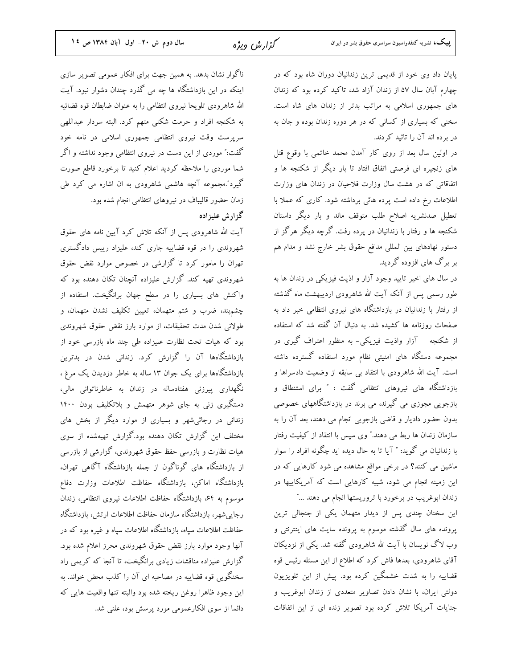یایان داد وی خود از قدیمی ترین زندانیان دوران شاه بود که در چهارم آبان سال ۵۷ از زندان آزاد شد، تاکید کرده بود که زندان های جمهوری اسلامی به مراتب بدتر از زندان های شاه است. سخنی که بسیاری از کسانی که در هر دوره زندان بوده و جان به در برده اند آن را تائید کردند.

در اولین سال بعد از روی کار آمدن محمد خاتمی با وقوع قتل های زنجیره ای فرصتی اتفاق افتاد تا بار دیگر از شکنجه ها و اتفاقاتی که در هشت سال وزارت فلاحیان در زندان های وزارت اطلاعات رخ داده است پرده هائی برداشته شود. کاری که عملا با تعطیل صدنشریه اصلاح طلب متوقف ماند و بار دیگر داستان شکنجه ها و رفتار با زندانیان در پرده رفت. گرچه دیگر هرگز از دستور نهادهای بین المللی مدافع حقوق بشر خارج نشد و مدام هم بر برگ های افزوده گردید.

در سال های اخیر تایید وجود آزار و اذیت فیزیکی در زندان ها به طور رسمی پس از آنکه آیت الله شاهرودی اردیبهشت ماه گذشته از رفتار با زندانیان در بازداشتگاه های نیروی انتظامی خبر داد به صفحات روزنامه ها کشیده شد. به دنبال آن گفته شد که استفاده از شکنجه – آزار واذیت فیزیکی- به منظور اعتراف گیری در مجموعه دستگاه های امنیتی نظام مورد استفاده گسترده داشته است. آیت الله شاهرودی با انتقاد بی سابقه از وضعیت دادسراها و بازداشتگاه های نیروهای انتظامی گفت : " برای استنطاق و بازجویی مجوزی می گیرند، می برند در بازداشتگاههای خصوصی بدون حضور دادیار و قاضی بازجویی انجام می دهند، بعد آن را به سازمان زندان ها ربط می دهند." وی سپس با انتقاد از کیفیت رفتار با زندانیان می گوید: " آیا تا به حال دیده اید چگونه افراد را سوار ماشین می کنند؟ در برخی مواقع مشاهده می شود کارهایی که در این زمینه انجام می شود، شبیه کارهایی است که آمریکاییها در زندان ابوغریب در برخورد با تروریستها انجام می دهند ..."

این سخنان چندی پس از دیدار متهمان یکی از جنجالی ترین پرونده های سال گذشته موسوم به پرونده سایت های اینترنتی و وب لاگ نویسان با آیت الله شاهرودی گفته شد. یکی از نزدیکان آقای شاهرودی، بعدها فاش کرد که اطلاع از این مسئله رئیس قوه قضاییه را به شدت خشمگین کرده بود. پیش از این تلویزیون دولتی ایران، با نشان دادن تصاویر متعددی از زندان ابوغریب و جنایات آمریکا تلاش کرده بود تصویر زنده ای از این اتفاقات

ناگوار نشان بدهد. به همین جهت برای افکار عمومی تصویر سازی اینکه در این بازداشتگاه ها چه می گذرد چندان دشوار نبود. آیت الله شاهرودي تلويحا نيروي انتظامى را به عنوان ضابطان قوه قضائيه به شکنجه افراد و حرمت شکنی متهم کرد. البته سردار عبداللهی سرپرست وقت نیروی انتظامی جمهوری اسلامی در نامه خود گفت:" موردی از این دست در نیروی انتظامی وجود نداشته و اگر شما موردی را ملاحظه کردید اعلام کنید تا برخورد قاطع صورت گیرد".مجموعه آنچه هاشمی شاهرودی به ان اشاره می کرد طی زمان حضور قالیباف در نیروهای انتظامی انجام شده بود. گزارش علیزاده

آیت الله شاهرودی پس از آنکه تلاش کرد آیین نامه های حقوق شهروندی را در قوه قضاییه جاری کند، علیزاد رییس دادگستری تهران را مامور کرد تا گزارشی در خصوص موارد نقض حقوق شهروندی تهیه کند. گزارش علیزاده آنچنان تکان دهنده بود که واکنش های بسیاری را در سطح جهان برانگیخت. استفاده از چشمېند، ضرب و شتم متهمان، تعيين تكليف نشدن متهمان، و طولانی شدن مدت تحقیقات، از موارد بارز نقض حقوق شهروندی بود که هیات تحت نظارت علیزاده طی چند ماه بازرسی خود از بازداشتگاهها آن را گزارش کرد. زندانی شدن در بدترین بازداشتگاهها برای یک جوان ۱۳ ساله به خاطر دزدیدن یک مرغ ، .<br>نگهداری پیرزنی هفتادساله در زندان به خاطرناتوانی مالی، دستگیری زنی به جای شوهر متهمش و بلاتکلیف بودن ۱۴۰۰ زندانی در رجائیشهر و بسیاری از موارد دیگر از بخش های مختلف این گزارش تکان دهنده بود.گزارش تهیهشده از سوی هیات نظارت و بازرسی حفظ حقوق شهروندی، گزارشی از بازرسی از بازداشتگاه های گوناگون از جمله بازداشتگاه آگاهی تهران، بازداشتگاه اماکن، بازداشتگاه حفاظت اطلاعات وزارت دفاع موسوم به ۶۴، بازداشتگاه حفاظت اطلاعات نیروی انتظامی، زندان رجاییشهر، بازداشتگاه سازمان حفاظت اطلاعات ارتش، بازداشتگاه حفاظت اطلاعات سیاه، بازداشتگاه اطلاعات سیاه و غیره بود که در آنها وجود موارد بارز نقض حقوق شهروندی محرز اعلام شده بود. گزارش علیزاده مناقشات زیادی برانگیخت، تا آنجا که کریمی راد سخنگویی قوه قضاییه در مصاحبه ای آن را کذب محض خواند. به اين وجود ظاهرا روغن ريخته شده بود والبته تنها واقعيت هايي كه دائما از سوی افکارعمومی مورد پرسش بود، علنی شد.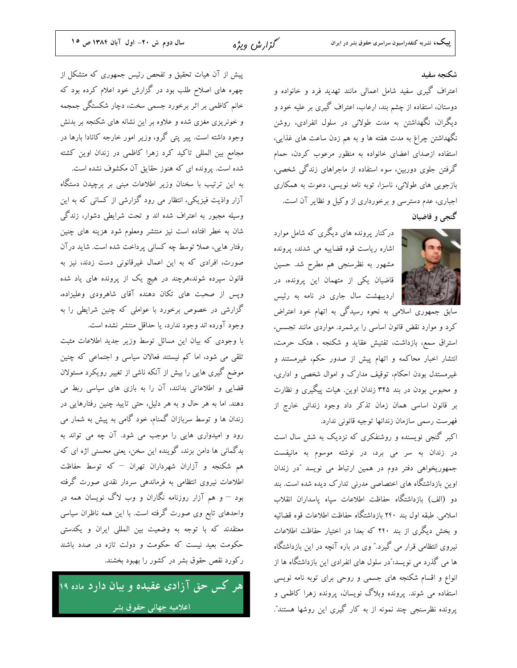### شكنجه سفيد

اعتراف گیری سفید شامل اعمالی مانند تهدید فرد و خانواده و دوستان، استفاده از چشم بند، ارعاب، اعتراف گیری بر علیه خود و دیگران، نگهداشتن به مدت طولانی در سلول انفرادی، روشن نگهداشتن چراغ به مدت هفته ها و به هم زدن ساعت های غذایی، استفاده ازصدای اعضای خانواده به منظور مرعوب کردن، حمام گرفتن جلوی دوربین، سوء استفاده از ماجراهای زندگی شخصی، بازجویی های طولانی، ناسزا، توبه نامه نویسی، دعوت به همکاری اجباری، عدم دسترسی و برخورداری از وکیل و نظایر آن است. گنجي و قاضيان

درکنار پرونده های دیگری که شامل موارد اشاره ریاست قوه قضاییه می شدند، پرونده مشهور به نظرسنجی هم مطرح شد. حسین | قاضیان یکی از متهمان این پرونده، در اردیبهشت سال جاری در نامه به رئیس

۔<br>سابق جمهوری اسلامی به نحوه رسیدگی به اتهام خود اعتراض کرد و موارد نقض قانون اساسی را برشمرد. مواردی مانند تجسس، استراق سمع، بازداشت، تفتیش عقاید و شکنجه ، هتک حرمت، انتشار اخبار محاکمه و اتهام پیش از صدور حکم، غیرمستند و غیرمستدل بودن احکام، توقیف مدارک و اموال شخصی و اداری، و محبوس بودن در بند ۳۲۵ زندان اوین. هیات پیگیری و نظارت بر قانون اساسی همان زمان تذکر داد وجود زندانی خارج از فهرست رسمي سازمان زندانها توجيه قانوني ندارد.

اکبر گنجی نویسنده و روشنفکری که نزدیک به شش سال است در زندان به سر می برد، در نوشته موسوم به مانیفست جمهوریخواهی دفتر دوم در همین ارتباط می نویسد "در زندان اوین بازداشتگاه های اختصاصی مدرنی تدارک دیده شده است. بند دو (الف) بازداشتگاه حفاظت اطلاعات سیاه یاسداران انقلاب اسلامی. طبقه اول بند ۲۴۰ بازداشتگاه حفاظت اطلاعات قوه قضائیه و بخش دیگری از بند ۲۴۰ که بعدا در اختیار حفاظت اطلاعات نیروی انتظامی قرار می گیرد.″ وی در باره آنچه در این بازداشتگاه ها می گذرد می نویسد:"در سلول های انفرادی این بازداشتگاه ها از انواع و اقسام شکنجه های جسمی و روحی برای توبه نامه نویسی استفاده می شوند. پرونده وبلاگ نویسان، پرونده زهرا کاظمی و پرونده نظرسنجی چند نمونه از به کار گیری این روشها هستند".

پیش از آن هیات تحقیق و تفحص رئیس جمهوری که متشکل از چهره های اصلاح طلب بود در گزارش خود اعلام کرده بود که خانم کاظمی بر اثر برخورد جسمی سخت، دچار شکستگی جمجمه و خونریزی مغزی شده و علاوه بر این نشانه های شکنجه بر بدنش وجود داشته است. پیر پتی گرو، وزیر امور خارجه کانادا بارها در مجامع بین المللی تاکید کرد زهرا کاظمی در زندان اوین کشته شده است. پرونده ای که هنوز حقایق آن مکشوف نشده است. به این ترتیب با سخنان وزیر اطلاعات مبنی بر برچیدن دستگاه آزار واذیت فیزیکی، انتظار می رود گزارشی از کسانی که به این وسیله مجبور به اعتراف شده اند و تحت شرایطی دشوار، زندگی شان به خطر افتاده است نیز منتشر ومعلوم شود هزینه های چنین رفتار هایی، عملا توسط چه کسانی پرداخت شده است. شاید در آن صورت، افرادی که به این اعمال غیرقانونی دست زدند، نیز به قانون سپرده شوند،هرچند در هیچ یک از پرونده های یاد شده وپس از صحبت های تکان دهنده آقای شاهرودی وعلیزاده، گزارشی در خصوص برخورد با عواملی که چنین شرایطی را به

وجود آورده اند وجود ندارد، يا حداقل منتشر نشده است. با وجودی که بیان این مسائل توسط وزیر جدید اطلاعات مثبت تلقی می شود، اما کم نیستند فعالان سیاسی و اجتماعی که چنین موضع گیری هایی را بیش از آنکه ناشی از تغییر رویکرد مسئولان قضایی و اطلاعاتی بدانند، آن را به بازی های سیاسی ربط می دهند. اما به هر حال و به هر دلیل، حتی تایید چنین رفتارهایی در زندان ها و توسط سربازان گمنام، خود گامی به پیش به شمار می رود و امیدواری هایی را موجب می شود. آن چه می تواند به بدگمانی ها دامن بزند، گوینده این سخن، یعنی محسنی اژه ای که هم شکنجه و آزاران شهرداران تهران – که توسط حفاظت اطلاعات نیروی انتظامی به فرماندهی سردار نقدی صورت گرفته بود – و هم آزار روزنامه نگاران و وب لاگ نویسان همه در واحدهای تابع وی صورت گرفته است. با این همه ناظران سیاسی معتقدند كه با توجه به وضعيت بين المللي ايران و يكدستي حکومت بعید نیست که حکومت و دولت تازه در صدد باشند رکورد نقص حقوق بشر در کشور را بهبود بخشند.

ر کس حق آزادی عقیده و بیان دارد ماده ۱۹ اعلاميه جهاني حقوق بشر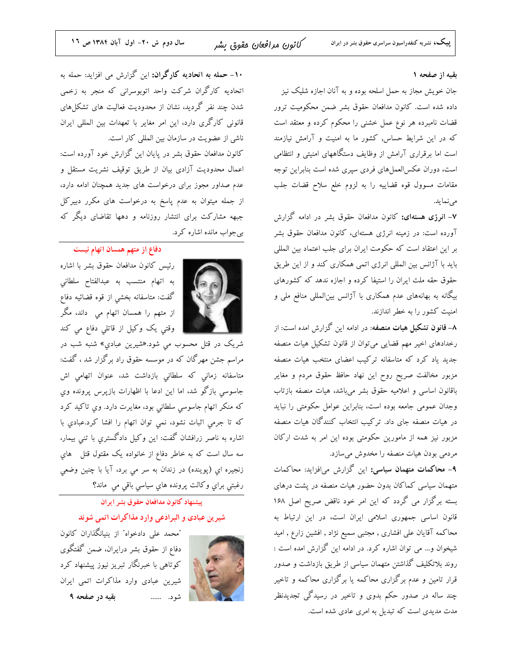#### بقيه از صفحه ١

جان خویش مجاز به حمل اسلحه بوده و به آنان اجازه شلیک نیز داده شده است. کانون مدافعان حقوق بشر ضمن محکومیت ترور قضات نامبرده هر نوع عمل خشنی را محکوم کرده و معتقد است که در این شرایط حساس, کشور ما به امنیت و آرامش نیازمند است اما برقراری آرامش از وظایف دستگاههای امنیتی و انتظامی است، دوران عکسالعملهای فردی سپری شده است بنابراین توجه مقامات مسوول قوه قضاييه را به لزوم خلع سلاح قضات جلب مي نمايد.

۷– انرژی هستهای: کانون مدافعان حقوق بشر در ادامه گزارش آورده است: در زمینه انرژی هستهای، کانون مدافعان حقوق بشر بر این اعتقاد است که حکومت ایران برای جلب اعتماد بین المللی باید با آژانس بین المللی انرژی اتمی همکاری کند و از این طریق حقوق حقه ملت ایران را استیفا کرده و اجازه ندهد که کشورهای بیگانه به بهانههای عدم همکاری با آژانس بین|لمللی منافع ملی و امنیت کشور را به خطر اندازند.

**۸**– قانون تشکیل هیات منصفه: در ادامه این گزارش امده است: از رخدادهای اخیر مهم قضایی میتوان از قانون تشکیل هیات منصفه جدید یاد کرد که متاسفانه ترکیب اعضای منتخب هیات منصفه مزبور مخالفت صريح روح اين نهاد حافظ حقوق مردم و مغاير باقانون اساسی و اعلامیه حقوق بشر میباشد، هیات منصفه بازتاب وجدان عمومی جامعه بوده است، بنابراین عوامل حکومتی را نباید در هیات منصفه جای داد. ترکیب انتخاب کنندگان هیات منصفه مزبور نیز همه از مامورین حکومتی بوده این امر به شدت ارکان مردمی بودن هیات منصفه را مخدوش میسازد.

۹- محاکمات متهمان سیاسی: این گزارش میافزاید: محاکمات متهمان سیاسی کماکان بدون حضور هیات منصفه در پشت درهای بسته برگزار می گردد که این امر خود ناقض صریح اصل ۱۶۸ .<br>قانون اساسی جمهوری اسلامی ایران است، در این ارتباط به محاکمه آقایان علی افشاری , مجتبی سمیع نژاد , افشین زارع , امید شیخوان و… می توان اشاره کرد. در ادامه این گزارش امده است : روند بلاتکلیف گذاشتن متهمان سیاسی از طریق بازداشت و صدور قرار تامین و عدم برگزاری محاکمه یا برگزاری محاکمه و تاخیر .<br>چند ساله در صدور حکم بدوی و تاخیر در رسیدگی تجدیدنظر مدت مدیدی است که تبدیل به امری عادی شده است.

۱۰- حمله به اتحادیه کارگران: این گزارش می افزاید: حمله به اتحادیه کارگران شرکت واحد اتوبوسرانی که منجر به زخمی شدن چند نفر گردید، نشان از محدودیت فعالیت های تشکلهای قانونی کارگری دارد، این امر مغایر با تعهدات بین المللی ایران ناشی از عضویت در سازمان بین المللی کار است.

کانون مدافعان حقوق بشر در پایان این گزارش خود آورده است: اعمال محدودیت آزادی بیان از طریق توقیف نشریت مستقل و عدم صداور مجوز برای درخواست های جدید همچنان ادامه دارد، از جمله میتوان به عدم پاسخ به درخواست های مکرر دبیرکل جبهه مشارکت برای انتشار روزنامه و دهها تقاضای دیگر که بی جواب مانده اشاره کرد.

## دفاع از متهم همسان اتهام نیست



رئيس كانون مدافعان حقوق بشر با اشاره به اتهام منتسب به عبدالفتاح سلطاني گفت: متاسفانه بخشی از قوه قضائیه دفاع از متهم را همسان اتهام می داند، مگر وقتي يک وکيل از قاتلي دفاع مي کند

شریک در قتل محسوب می شود.«شیرین عبادی» شنبه شب در مراسم جشن مهرگان که در موسسه حقوق راد برگزار شد ، گفت: متاسفانه زماني كه سلطاني بازداشت شد، عنوان اتهامي اش جاسوسی بازگو شد، اما این ادعا با اظهارات بازپرس پرونده وی که منکر اتهام جاسوسی سلطانی بود، مغایرت دارد. وي تاکید کرد که تا جرمی اثبات نشود، نمی توان اتهام را افشا کرد.عبادیِ با اشاره به ناصر زرافشان گفت: این وکیل دادگستري با تنی بیمار، سه سال است که به خاطر دفاع از خانواده یک مقتول قتل هاي زنجیره ای (پوینده) در زندان به سر می برد، آیا با چنین وضعی رغبتي براي وكالت پرونده هاي سياسي باقي مي ماند؟

> پیشنهاد کانون مدافعان حقوق بشر ایران شیرین عبادی و البرادعی وارد مذاکرات اتمی شوند



"محمد على دادخواه" از بنيانگذاران كانون دفاع از حقوق بشر درایران، ضمن گفتگوی کوتاهی با خبرنگار تبریز نیوز پیشنهاد کرد شیرین عبادی وارد مذاکرات اتمی ایران شود. ......

بقیه در صفحه ۹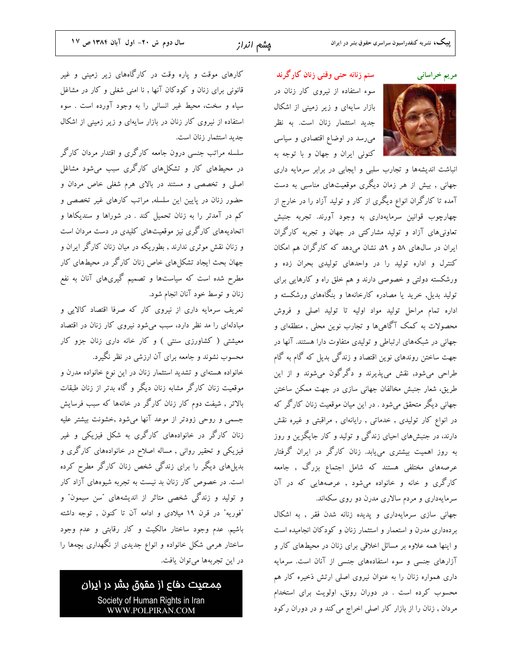

ستم زنانه حتى وقتى زنان كارگرند سوء استفاده از نیروی کار زنان در بازار سایهای و زیر زمینی از اشکال جدید استثمار زنان است. به نظر می رسد در اوضاع اقتصادی و سیاسی کنونی ایران و جهان و با توجه به

انباشت اندیشهها و تجارب سلبی و ایجابی در برابر سرمایه داری جهانی , بیش از هر زمان دیگری موقعیتهای مناسبی به دست آمده تا کارگران انواع دیگری از کار و تولید آزاد را در خارج از چهارچوب قوانین سرمایهداری به وجود آورند. تجربه جنبش تعاونیهای آزاد و تولید مشارکتی در جهان و تجربه کارگران ایران در سال@ای ۵۸ و ۵۹, نشان می،دهد که کارگران هم امکان کنترل و اداره تولید را در واحدهای تولیدی بحران زده و ورشکسته دولتی و خصوصی دارند و هم خلق راه و کارهایی برای تولید بدیل, خرید یا مصادره کارخانهها و بنگاههای ورشکسته و اداره تمام مراحل تولید مواد اولیه تا تولید اصلی و فروش محصولات به کمک آگاهیها و تجارب نوین محلی , منطقهای و جهانی در شبکههای ارتباطی و تولیدی متفاوت دارا هستند. آنها در جهت ساختن روندهای نوین اقتصاد و زندگی بدیل که گام به گام طراحی میشود, نقش میپذیرند و دگرگون میشوند و از این طريق، شعار جنبش مخالفان جهاني سازي در جهت ممكن ساختن جهانی دیگر متحقق میشود . در این میان موقعیت زنان کارگر که در انواع کار تولیدی , خدماتی , رایانهای , مراقبتی و غیره نقش دارند، در جنبشهای احیای زندگی و تولید و کار جایگزین و روز به روز اهمیت بیشتری می،یابد. زنان کارگر در ایران گرفتار عرصههای مختلفی هستند که شامل اجتماع بزرگ , جامعه کارگری و خانه و خانواده میشود , عرصههایی که در آن سرمایهداری و مردم سالاری مدرن دو روی سکهاند.

جهانی سازی سرمایهداری و پدیده زنانه شدن فقر , به اشکال بردهداری مدرن و استعمار و استثمار زنان و کودکان انجامیده است و اینها همه علاوه بر مسائل اخلاقی برای زنان در محیطهای کار و آزارهای جنسی و سوء استفادههای جنسی از آنان است. سرمایه داری همواره زنان را به عنوان نیروی اصلی ارتش ذخیره کار هم محسوب کرده است . در دوران رونق, اولویت برای استخدام مردان , زنان را از بازار کار اصلی اخراج می کند و در دوران رکود

کارهای موقت و یاره وقت در کارگاههای زیر زمینی و غیر قانونی برای زنان و کودکان آنها , نا امنی شغلی و کار در مشاغل سیاه و سخت، محیط غیر انسانی را به وجود آورده است . سوء استفاده از نیروی کار زنان در بازار سایهای و زیر زمینی از اشکال جديد استثمار زنان است.

سلسله مراتب جنسی درون جامعه کارگری و اقتدار مردان کارگر در محیطهای کار و تشکلهای کارگری سبب میشود مشاغل اصلی و تخصصی و مستند در بالای هرم شغلی خاص مردان و حضور زنان در پایین این سلسله, مراتب کارهای غیر تخصصی و کم در آمدتر را به زنان تحمیل کند . در شوراها و سندیکاها و اتحادیههای کارگری نیز موقعیتهای کلیدی در دست مردان است و زنان نقش موثری ندارند , بطوریکه در میان زنان کارگر ایران و جهان بحث ایجاد تشکلهای خاص زنان کارگر در محیطهای کار مطرح شده است که سیاستها و تصمیم گیریهای آنان به نفع زنان و توسط خود آنان انجام شود.

تعریف سرمایه داری از نیروی کار که صرفا اقتصاد کالایی و مبادلهای را مد نظر دارد، سبب میشود نیروی کار زنان در اقتصاد معیشتی ( کشاورزی سنتی ) و کار خانه داری زنان جزو کار محسوب نشوند و جامعه برای آن ارزشی در نظر نگیرد.

خانواده هستهای و تشدید استثمار زنان در این نوع خانواده مدرن و موقعیت زنان کارگر مشابه زنان دیگر و گاه بدتر از زنان طبقات بالاتر , شیفت دوم کار زنان کارگر در خانهها که سبب فرسایش جسمی و روحی زودتر از موعد آنها میشود ,خشونت بیشتر علیه زنان کارگر در خانوادههای کارگری به شکل فیزیکی و غیر فیزیکی و تحقیر روانی , مساله اصلاح در خانوادههای کارگری و بدیلهای دیگر را برای زندگی شخص زنان کارگر مطرح کرده است. در خصوص کار زنان بد نیست به تجربه شیوههای آزاد کار و تولید و زندگی شخصی متاثر از اندیشههای "سن سیمون" و "فوریه" در قرن ۱۹ میلادی و ادامه آن تا کنون , توجه داشته باشیم. عدم وجود ساختار مالکیت و کار رقابتی و عدم وجود ساختار هرمی شکل خانواده و انواع جدیدی از نگهداری بچهها را در این تجربهها می توان یافت.

> جمعيت دفاع از مقوق بشر در ايران Society of Human Rights in Iran WWW.POLPIRAN.COM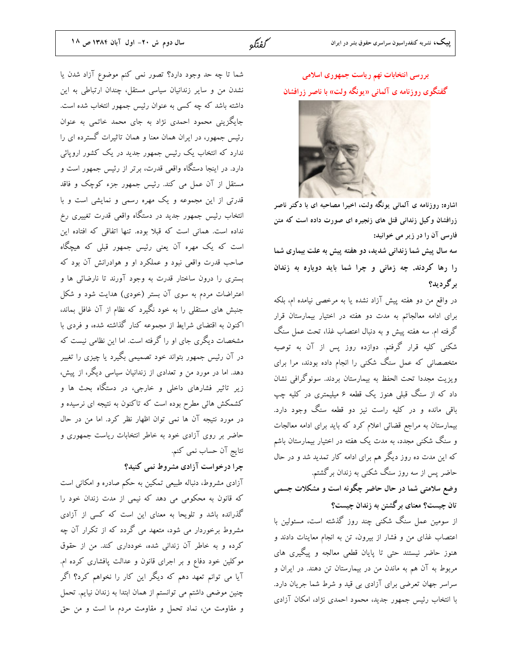بررسی انتخابات نهم ریاست جمهوری اسلامی گفتگوی روزنامه ی آلمانی «یونگه ولت» با ناصر زرافشان



اشاره: روزنامه ی آلمانی یونگه ولت، اخیرا مصاحبه ای با دکتر ناصر زرافشان وکیل زندانی قتل های زنجیره ای صورت داده است که متن فارسی آن را در زیر می خوانید:

سه سال پیش شما زندانی شدید، دو هفته پیش به علت بیماری شما را رها کردند. چه زمانی و چرا شما باید دوباره به زندان برگر دید؟

در واقع من دو هفته پیش آزاد نشده یا به مرخصی نیامده ام، بلکه برای ادامه معالجاتم به مدت دو هفته در اختیار بیمارستان قرار گرفته ام. سه هفته پیش و به دنبال اعتصاب غذا، تحت عمل سنگ شکنی کلیه قرار گرفتم. دوازده روز پس از آن به توصیه متخصصانی که عمل سنگ شکنی را انجام داده بودند، مرا برای ويزيت مجددا تحت الحفظ به بيمارستان بردند. سونوگرافي نشان داد که از سنگ قبلی هنوز یک قطعه ۶ میلیمتری در کلیه چپ باقی مانده و در کلیه راست نیز دو قطعه سنگ وجود دارد. بیمارستان به مراجع قضائی اعلام کرد که باید برای ادامه معالجات و سنگ شکنی مجدد، به مدت یک هفته در اختیار بیمارستان باشم که این مدت ده روز دیگر هم برای ادامه کار تمدید شد و در حال حاضر پس از سه روز سنگ شکنی به زندان برگشتم.

وضع سلامتی شما در حال حاضر چگونه است و مشکلات جسمی تان چیست؟ معنای برگشتن به زندان چیست؟

از سومین عمل سنگ شکنی چند روز گذشته است، مسئولین با اعتصاب غذای من و فشار از بیرون، تن به انجام معاینات دادند و هنوز حاضر نیستند حتی تا پایان قطعی معالجه و پیگیری های مربوط به آن هم به ماندن من در بیمارستان تن دهند. در ایران و سراسر جهان تعرضی برای آزادی بی قید و شرط شما جریان دارد. با انتخاب رئیس جمهور جدید، محمود احمدی نژاد، امکان آزادی

شما تا چه حد وجود دارد؟ تصور نمی کنم موضوع آزاد شدن یا نشدن من و سایر زندانیان سیاسی مستقل، چندان ارتباطی به این داشته باشد که چه کسی به عنوان رئیس جمهور انتخاب شده است. جایگزینی محمود احمدی نژاد به جای محمد خاتمی به عنوان رئیس جمهور، در ایران همان معنا و همان تاثیرات گسترده ای را ندارد که انتخاب یک رئیس جمهور جدید در یک کشور اروپائی دارد. در اینجا دستگاه واقعی قدرت، برتر از رئیس جمهور است و مستقل از آن عمل می کند. رئیس جمهور جزء کوچک و فاقد قدرتی از این مجموعه و یک مهره رسمی و نمایشی است و با انتخاب رئیس جمهور جدید در دستگاه واقعی قدرت تغییری رخ نداده است. همانی است که قبلا بوده. تنها اتفاقی که افتاده این است که یک مهره آن یعنی رئیس جمهور قبلی که هیچگاه صاحب قدرت واقعی نبود و عملکرد او و هوادرانش آن بود که بستری را درون ساختار قدرت به وجود آورند تا نارضائی ها و اعتراضات مردم به سوی آن بستر (خودی) هدایت شود و شکل جنبش های مستقلی را به خود نگیرد که نظام از آن غافل بماند، اکنون به اقتضای شرایط از مجموعه کنار گذاشته شده، و فردی با مشخصات دیگری جای او را گرفته است. اما این نظامی نیست که در آن رئیس جمهور بتواند خود تصمیمی بگیرد یا چیزی را تغییر دهد. اما در مورد من و تعدادی از زندانیان سیاسی دیگر، از پیش، زیر تاثیر فشارهای داخلی و خارجی، در دستگاه بحث ها و کشمکش هائی مطرح بوده است که تاکنون به نتیجه ای نرسیده و در مورد نتیجه آن ها نمی توان اظهار نظر کرد. اما من در حال حاضر بر روی آزادی خود به خاطر انتخابات ریاست جمهوری و نتايج آن حساب نمي كنم.

چرا درخواست آزادی مشروط نمی کنید؟

آزادی مشروط، دنباله طبیعی تمکین به حکم صادره و امکانی است که قانون به محکومی می دهد که نیمی از مدت زندان خود را گذرانده باشد و تلویحا به معنای این است که کسی از آزادی مشروط برخوردار می شود، متعهد می گردد که از تکرار آن چه کرده و به خاطر آن زندانی شده، خودداری کند. من از حقوق موکلین خود دفاع و بر اجرای قانون و عدالت پافشاری کرده ام. آیا می توانم تعهد دهم که دیگر این کار را نخواهم کرد؟ اگر چنین موضعی داشتم می توانستم از همان ابتدا به زندان نیایم. تحمل و مقاومت من، نماد تحمل و مقاومت مردم ما است و من حق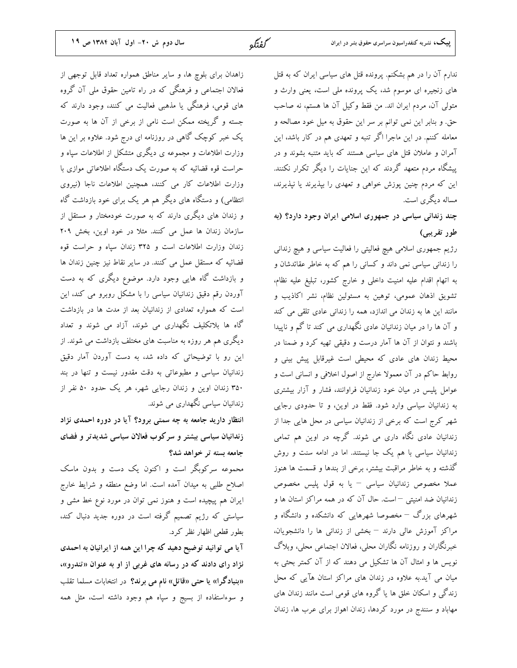زاهدان برای بلوچ ها، و سایر مناطق همواره تعداد قابل توجهی از فعالان اجتماعی و فرهنگی که در راه تامین حقوق ملی آن گروه های قومی، فرهنگی یا مذهبی فعالیت می کنند، وجود دارند که جسته و گریخته ممکن است نامی از برخی از آن ها به صورت یک خبر کوچک گاهی در روزنامه ای درج شود. علاوه بر این ها وزارت اطلاعات و مجموعه ی دیگری متشکل از اطلاعات سپاه و حراست قوه قضائیه که به صورت یک دستگاه اطلاعاتی موازی با وزارت اطلاعات کار می کنند، همچنین اطلاعات ناجا (نیروی انتظامی) و دستگاه های دیگر هم هر یک برای خود بازداشت گاه و زندان های دیگری دارند که به صورت خودمختار و مستقل از سازمان زندان ها عمل می کنند. مثلا در خود اوین، بخش ۲۰۹ زندان وزارت اطلاعات است و ۳۲۵ زندان سیاه و حراست قوه قضائیه که مستقل عمل می کنند. در سایر نقاط نیز چنین زندان ها و بازداشت گاه هایی وجود دارد. موضوع دیگری که به دست آوردن رقم دقیق زندانیان سیاسی را با مشکل روبرو می کند، این است که همواره تعدادی از زندانیان بعد از مدت ها در بازداشت گاه ها بلاتکلیف نگهداری می شوند، آزاد می شوند و تعداد دیگری هم هر روزه به مناسبت های مختلف بازداشت می شوند. از این رو با توضیحاتی که داده شد، به دست آوردن آمار دقیق زندانیان سیاسی و مطبوعاتی به دقت مقدور نیست و تنها در بند ۳۵۰ زندان اوین و زندان رجایی شهر، هر یک حدود ۵۰ نفر از زندانیان سیاسی نگهداری می شوند.

انتظار دارید جامعه به چه سمتی برود؟ آیا در دوره احمدی نژاد زندانیان سیاسی بیشتر و سرکوب فعالان سیاسی شدیدتر و فضای جامعه بسته تر خواهد شد؟

محموعه سرکوبگر است و اکنون یک دست و بدون ماسک اصلاح طلبی به میدان آمده است. اما وضع منطقه و شرایط خارج ایران هم پیچیده است و هنوز نمی توان در مورد نوع خط مشی و سیاستی که رژیم تصمیم گرفته است در دوره جدید دنبال کند، بطور قطعی اظهار نظر کرد.

آیا می توانید توضیح دهید که چرا این همه از ایرانیان به احمدی نژاد رای دادند که در رسانه های غربی از او به عنوان «تندرو»، «بنیادگرا» یا حتی «قاتل» نام می برند؟ در انتخابات مسلما تقلب و سوءاستفاده از بسیج و سپاه هم وجود داشته است، مثل همه

ندارم آن را در هم بشکنم. پرونده قتل های سیاسی ایران که به قتل های زنجیره ای موسوم شد، یک پرونده ملی است، یعنی وارث و متولى آن، مردم ايران اند. من فقط وكيل آن ها هستم، نه صاحب حق. و بنابر این نمی توانم بر سر این حقوق به میل خود مصالحه و معامله کننم. در این ماجرا اگر تنبه و تعهدی هم در کار باشد، این آمران و عاملان قتل های سیاسی هستند که باید متنبه بشوند و در پیشگاه مردم متعهد گردند که این جنایات را دیگر تکرار نکنند. این که مردم چنین پوزش خواهی و تعهدی را بپذیرند یا نپذیرند، مساله دیگری است.

چند زندانی سیاسی در جمهوری اسلامی ایران وجود دارد؟ (به طور تقریبی)

رژیم جمهوری اسلامی هیچ فعالیتی را فعالیت سیاسی و هیچ زندانی را زندانی سیاسی نمی داند و کسانی را هم که به خاطر عقائدشان و به اتهام اقدام علیه امنیت داخلی و خارج کشور، تبلیغ علیه نظام، تشویق اذهان عمومی، توهین به مسئولین نظام، نشر اکاذیب و مانند این ها به زندان می اندازد، همه را زندانی عادی تلقی می کند و آن ها را در میان زندانیان عادی نگهداری می کند تا گم و ناییدا باشند و نتوان از آن ها آمار درست و دقیقی تهیه کرد و ضمنا در محیط زندان های عادی که محیطی است غیرقابل پیش بینی و روابط حاکم در آن معمولا خارج از اصول اخلافی و انسانی است و عوامل پلیس در میان خود زندانیان فراوانند، فشار و آزار بیشتری به زندانیان سیاسی وارد شود. فقط در اوین، و تا حدودی رجایی شهر کرج است که برخی از زندانیان سیاسی در محل هایی جدا از زندانیان عادی نگاه داری می شوند. گرچه در اوین هم تمامی زندانیان سیاسی با هم یک جا نیستند. اما در ادامه سنت و روش گذشته و به خاطر مراقبت بیشتر، برخی از بندها و قسمت ها هنوز عملا مخصوص زندانیان سیاسی <sup>—</sup> یا به قول پلیس مخصوص زندانیان ضد امنیتی –است. حال آن که در همه مراکز استان ها و شهرهای بزرگ <sup>—</sup> مخصوصا شهرهای<sub>ی</sub> که دانشکده و دانشگاه و مراکز آموزش عالی دارند – بخشی از زندانی ها را دانشجویان، خبرنگاران و روزنامه نگاران محلی، فعالان اجتماعی محلی، وبلاگ نویس ها و امثال آن ها تشکیل می دهند که از آن کمتر بحثی به میان می آید.به علاوه در زندان های مراکز استان هآیی که محل زندگی و اسکان خلق ها یا گروه های قومی است مانند زندان های مهاباد و سنندج در مورد کردها، زندان اهواز برای عرب ها، زندان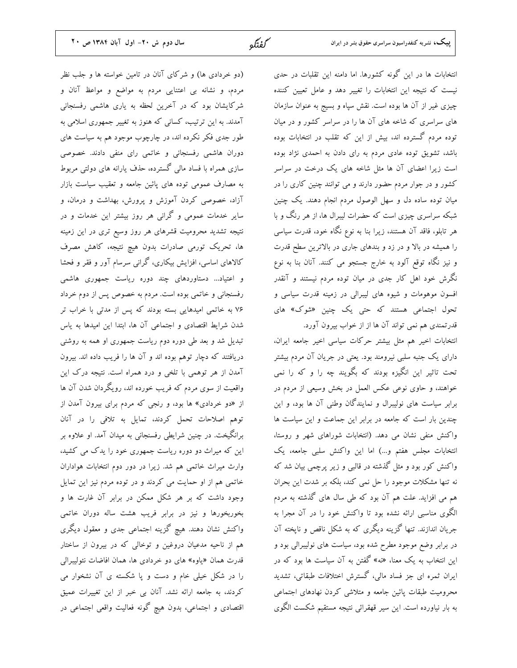كفتكه

(دو خردادی ها) و شرکای آنان در تامین خواسته ها و جلب نظر مردم، و نشانه بی اعتنایی مردم به مواضع و مواعظ آنان و شرکایشان بود که در آخرین لحظه به یاری هاشمی رفسنجانی آمدند. به این ترتیب، کسانی که هنوز به تغییر جمهوری اسلامی به طور جدی فکر نکرده اند، در چارچوب موجود هم به سیاست های دوران هاشمی رفسنجانی و خاتمی رای منفی دادند. خصوصی سازی همراه با فساد مالی گسترده، حذف یارانه های دولتی مربوط به مصارف عمومی توده های پائین جامعه و تعقیب سیاست بازار آزاد، خصوصی کردن آموزش و پرورش، بهداشت و درمان، و سایر خدمات عمومی و گرانی هر روز بیشتر این خدمات و در نتیجه تشدید محرومیت قشرهای هر روز وسیع تری در این زمینه ها، تحریک تورمی صادرات بدون هیچ نتیجه، کاهش مصرف کالاهای اساسی، افزایش بیکاری، گرانی سرسام آور و فقر و فحشا و اعتیاد... دستاوردهای چند دوره ریاست جمهوری هاشمی رفسنجانی و خاتمی بوده است. مردم به خصوص پس از دوم خرداد ۷۶ به خاتمی امیدهایی بسته بودند که پس از مدتی با خراب تر شدن شرایط اقتصادی و اجتماعی آن ها، ابتدا این امیدها به یاس تبدیل شد و بعد طی دوره دوم ریاست جمهوری او همه به روشنی دریافتند که دچار توهم بوده اند و آن ها را فریب داده اند. بیرون آمدن از هر توهمی با تلخی و درد همراه است. نتیجه درک این واقعیت از سوی مردم که فریب خورده اند، رویگردان شدن آن ها از «دو خردادی» ها بود، و رنجی که مردم برای بیرون آمدن از توهم اصلاحات تحمل كردند، تمايل به تلافى را در آنان برانگیخت. در چنین شرایطی رفسنجانی به میدان آمد. او علاوه بر این که میراث دو دوره ریاست جمهوری خود را یدک می کشید، وارث میراث خاتمی هم شد. زیرا در دور دوم انتخابات هواداران خاتمی هم از او حمایت می کردند و در توده مردم نیز این تمایل وجود داشت که بر هر شکل ممکن در برابر آن غارت ها و بخوربخورها و نيز در برابر فريب هشت ساله دوران خاتمى واکنش نشان دهند. هیچ گزینه اجتماعی جدی و معقول دیگری هم از ناحیه مدعیان دروغین و توخالی که در بیرون از ساختار قدرت همان «یاوه» های دو خردادی ها، همان افاضات نئولیبرالی را در شکل خیلی خام و دست و پا شکسته ی آن نشخوار می كردند، به جامعه ارائه نشد. آنان بي خبر از اين تغييرات عميق اقتصادی و اجتماعی، بدون هیچ گونه فعالیت واقعی اجتماعی در

انتخابات ها در این گونه کشورها. اما دامنه این تقلبات در حدی نیست که نتیجه این انتخابات را تغییر دهد و عامل تعیین کننده چیزی غیر از آن ها بوده است. نقش سپاه و بسیج به عنوان سازمان های سراسری که شاخه های آن ها را در سراسر کشور و در میان توده مردم گسترده اند، بیش از این که تقلب در انتخابات بوده باشد، تشویق توده عادی مردم به رای دادن به احمدی نژاد بوده است زیرا اعضای آن ها مثل شاخه های یک درخت در سراسر کشور و در جوار مردم حضور دارند و می توانند چنین کاری را در میان توده ساده دل و سهل الوصول مردم انجام دهند. یک چنین شبکه سراسری چیزی است که حضرات لیبرال ها، از هر رنگ و با هر تابلو، فاقد آن هستند، زیرا بنا به نوع نگاه خود، قدرت سیاسی را همیشه در بالا و در زد و بندهای جاری در بالاترین سطح قدرت و نیز نگاه توقع آلود به خارج جستجو می کنند. آنان بنا به نوع نگرش خود اهل کار جدی در میان توده مردم نیستند و آنقدر افسون موهومات و شیوه های لیبرالی در زمینه قدرت سیاسی و تحول اجتماعی هستند که حتی یک چنین «شوک» های قدرتمندی هم نمی تواند آن ها از از خواب بیرون آورد.

انتخابات اخیر هم مثل بیشتر حرکات سیاسی اخیر جامعه ایران، دارای یک جنبه سلبی نیرومند بود. یعتی در جریان آن مردم بیشتر تحت تاثیر این انگیزه بودند که بگویند چه را و که را نمی خواهند، و حاوي نوعي عكس العمل در بخش وسيعي از مردم در برابر سیاست های نولیبرال و نمایندگان وطنی آن ها بود، و این چندین بار است که جامعه در برابر این جماعت و این سیاست ها واکنش منفی نشان می دهد. (انتخابات شوراهای شهر و روستا، انتخابات مجلس هفتم و…) اما این واکنش سلبی جامعه، یک واکنش کور بود و مثل گذشته در قالبی و زیر پرچمی بیان شد که نه تنها مشکلات موجود را حل نمی کند، بلکه بر شدت این بحران هم می افزاید. علت هم آن بود که طی سال های گذشته به مردم الگوی مناسبی ارائه نشده بود تا واکنش خود را در آن مجرا به جریان اندازند. تنها گزینه دیگری که به شکل ناقص و نایخته آن در برابر وضع موجود مطرح شده بود، سیاست های نولیبرالی بود و این انتخاب به یک معنا، «نه» گفتن به آن سیاست ها بود که در ایران ثمره ای جز فساد مالی، گسترش اختلافات طبقاتی، تشدید محرومیت طبقات پائین جامعه و متلاشی کردن نهادهای اجتماعی به بار نیاورده است. این سیر قهقرائی نتیجه مستقیم شکست الگوی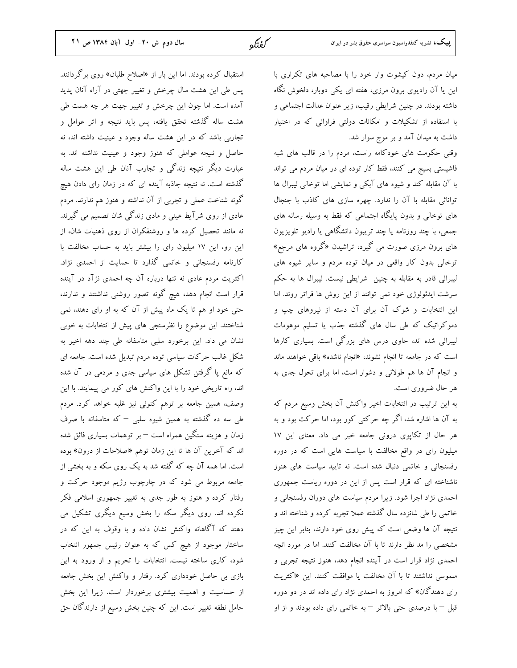استقبال کرده بودند. اما این بار از «اصلاح طلبان» روی برگردانند. پس طی این هشت سال چرخش و تغییر جهتی در آراء آنان پدید آمده است. اما چون این چرخش و تغییر جهت هر چه هست طی هشت ساله گذشته تحقق یافته، پس باید نتیجه و اثر عوامل و تجاربی باشد که در این هشت ساله وجود و عینیت داشته اند، نه حاصل و نتیجه عواملی که هنوز وجود و عینیت نداشته اند. به عبارت دیگر نتیچه زندگی و تجارب آنان طی این هشت ساله گذشته است. نه نتیجه جاذبه آینده ای که در زمان رای دادن هیچ گونه شناخت عملی و تجربی از آن نداشته و هنوز هم ندارند. مردم عادی از روی شرآیط عینی و مادی زندگی شان تصمیم می گیرند. نه مانند تحصیل کرده ها و روشنفکران از روی ذهنیات شان، از این رو، این ۱۷ میلیون رای را بیشتر باید به حساب مخالفت با کارنامه رفسنجانی و خاتمی گذارد تا حمایت از احمدی نژاد. اکثریت مردم عادی نه تنها درباره آن چه احمدی نژآد در آینده قرار است انجام دهد، هیچ گونه تصور روشنی نداشتند و ندارند، حتی خود او هم تا یک ماه پیش از آن که به او رای دهند، نمی شناختند. این موضوع را نظرسنجی های پیش از انتخابات به خوبی نشان می داد. این برخورد سلبی متاسفانه طی چند دهه اخیر به شکل غالب حرکات سیاسی توده مردم تبدیل شده است. جامعه ای که مانع پا گرفتن تشکل های سیاسی جدی و مردمی در آن شده اند، راه تاریخی خود را با این واکنش های کور می پیمایند. با این وصف، همین جامعه بر توهم کنونی نیز غلبه خواهد کرد. مردم طی سه ده گذشته به همین شیوه سلبی – که متاسفانه با صرف زمان و هزینه سنگین همراه است — بر توهمات بسیاری فائق شده اند که آخرین آن ها تا این زمان توهم «اصلاحات از درون» بوده است. اما همه آن چه که گفته شد به یک روی سکه و به بخشی از جامعه مربوط می شود که در چارچوب رژیم موجود حرکت و رفتار کرده و هنوز به طور جدی به تغییر جمهوری اسلامی فکر نکرده اند. روی دیگر سکه را بخش وسیع دیگری تشکیل می دهند که آگاهانه واکنش نشان داده و با وقوف به این که در ساختار موجود از هیچ کس که به عنوان رئیس جمهور انتخاب شود، کاری ساخته نیست. انتخابات را تحریم و از ورود به این بازی بی حاصل خودداری کرد. رفتار و واکنش این بخش جامعه از حساسیت و اهمیت بیشتری برخوردار است. زیرا این بخش حامل نطفه تغییر است. این که چنین بخش وسیع از دارندگان حق

میان مردم، دون کیشوت وار خود را با مصاحبه های تکراری با این یا آن رادیوی برون مرزی، هفته ای یکی دوبار، دلخوش نگاه داشته بودند. در چنین شرایطی رقیب، زیر عنوان عدالت اجتماعی و با استفاده از تشکیلات و امکانات دولتی فراوانی که در اختیار داشت به میدان آمد و بر موج سوار شد.

وقتی حکومت های خودکامه راست، مردم را در قالب های شبه فاشیستی بسیج می کنند، فقط کار توده ای در میان مردم می تواند با آن مقابله کند و شیوه های آبکی و نمایشی اما توخالی لیبرال ها توانائی مقابله با آن را ندارد. چهره سازی های کاذب با جنجال های توخالی و بدون پایگاه اجتماعی که فقط به وسیله رسانه های جمعی، با چند روزنامه یا چند تریبون دانشگاهی یا رادیو تلویزیون های برون مرزی صورت می گیرد، تراشیدن «گروه های مرجع» توخالی بدون کار واقعی در میان توده مردم و سایر شیوه های لیبرالی قادر به مقابله به چنین شرایطی نیست. لیبرال ها به حکم سرشت ایدئولوژی خود نمی توانند از این روش ها فراتر روند. اما این انتخابات و شوک آن برای آن دسته از نیروهای چپ و دموکراتیک که طی سال های گذشته جذب یا تسلیم موهومات لیبرالی شده اند، حاوی درس های بزرگی است. بسیاری کارها است که در جامعه تا انجام نشوند، «انجام ناشده» باقی خواهند ماند و انجام آن ها هم طولانی و دشوار است، اما برای تحول جدی به هر حال ضروري است.

به این ترتیب در انتخابات اخیر واکنش آن بخش وسیع مردم که به آن ها اشاره شد، اگر چه حرکتی کور بود، اما حرکت بود و به هر حال از تکاپوی درونی جامعه خبر می داد. معنای این ۱۷ میلیون رای در واقع مخالفت با سیاست هایی است که در دوره رفسنجانی و خاتمی دنبال شده است. نه تایید سیاست های هنوز ناشناخته ای که قرار است پس از این در دوره ریاست جمهوری احمدی نژاد اجرا شود. زیرا مردم سیاست های دوران رفسنجانی و خاتمی را طی شانزده سال گذشته عملا تجربه کرده و شناخته اند و نتیجه آن ها وضعی است که پیش روی خود دارند، بنابر این چیز مشخصی را مد نظر دارند تا با آن مخالفت کنند. اما در مورد انچه احمدی نژاد قرار است در آینده انجام دهد، هنوز نتیجه تجربی و ملموسی نداشتند تا با آن مخالفت یا موافقت کنند. این «اکثریت رای دهندگان» که امروز به احمدی نژاد رای داده اند در دو دوره قبل <sup>—</sup> با درصدی حتی بالاتر <sup>—</sup> به خاتمی رای داده بودند و از او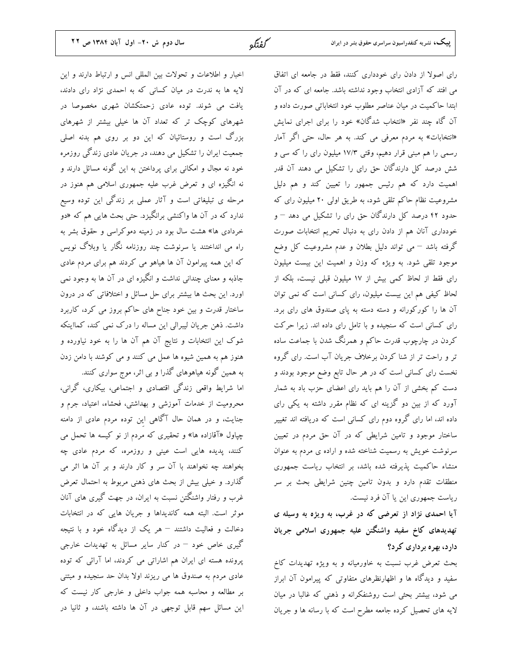اخبار و اطلاعات و تحولات بين المللي انس و ارتباط دارند و اين لایه ها به ندرت در میان کسانی که به احمدی نژاد رای دادند، یافت می شوند. توده عادی زحمتکشان شهری مخصوصا در شهرهای کوچک تر که تعداد آن ها خیلی بیشتر از شهرهای بزرگ است و روستائیان که این دو بر روی هم بدنه اصلی جمعیت ایران را تشکیل می دهند، در جریان عادی زندگی روزمره خود نه مجال و امکانی برای پرداختن به این گونه مسائل دارند و نه انگیزه ای و تعرض غرب علیه جمهوری اسلامی هم هنوز در مرحله ی تبلیغاتی است و آثار عملی بر زندگی این توده وسیع ندارد که در آن ها واکنشی برانگیزد. حتی بحث هایی هم که «دو خردادی ها» هشت سال بود در زمینه دموکراسی و حقوق بشر به راه می انداختند یا سرنوشت چند روزنامه نگار یا وبلاگ نویس که این همه پیرامون آن ها هیاهو می کردند هم برای مردم عادی جاذبه و معنای چندانی نداشت و انگیزه ای در آن ها به وجود نمی اورد. این بحث ها بیشتر برای حل مسائل و اختلافاتی که در درون ساختار قدرت و بین خود جناح های حاکم بروز می کرد، کاربرد داشت. ذهن جریان لیبرالی این مساله را درک نمی کند، کمااینکه شوک این انتخابات و نتایج آن هم آن ها را به خود نیاورده و هنوز هم به همین شیوه ها عمل می کنند و می کوشند با دامن زدن به همین گونه هیاهوهای گذرا و بی اثر، موج سواری کنند.

اما شرایط واقعی زندگی اقتصادی و اجتماعی، بیکاری، گرانی، محرومیت از خدمات آموزشی و بهداشتی، فحشاء، اعتیاد، جرم و جنایت، و در همان حال آگاهی این توده مردم عادی از دامنه چپاول «آقازاده ها» و تحقیری که مردم از نو کیسه ها تحمل می کنند، پدیده هایی است عینی و روزمره، که مردم عادی چه بخواهند چه نخواهند با آن سر و کار دارند و بر آن ها اثر می گذارد. و خیلی بیش از بحث های ذهنی مربوط به احتمال تعرض غرب و رفتار واشنگتن نسبت به ایران، در جهت گیری های آنان موثر است. البته همه كانديداها و جريان هايي كه در انتخابات دخالت و فعالیت داشتند – هر یک از دیدگاه خود و با نتیجه گیری خاص خود – در کنار سایر مسائل به تهدیدات خارجی پرونده هسته ای ایران هم اشاراتی می کردند، اما آرائی که توده عادی مردم به صندوق ها می ریزند اولا بدان حد سنجیده و مبتنی بر مطالعه و محاسبه همه جواب داخلی و خارجی کار نیست که این مسائل سهم قابل توجهی در آن ها داشته باشند، و ثانیا در

رای اصولا از دادن رای خودداری کنند، فقط در جامعه ای اتفاق می افتد که آزادی انتخاب وجود نداشته باشد. جامعه ای که در آن ابتدا حاکمیت در میان عناصر مطلوب خود انتخاباتی صورت داده و آن گاه چند نفر «انتخاب شدگان» خود را برای اجرای نمایش «انتخابات» به مردم معرفی می کند. به هر حال، حتی اگر آمار رسمی را هم مبنی قرار دهیم، وقتی ۱۷/۳ میلیون رای را که سی و شش درصد کل دارندگان حق رای را تشکیل می دهند آن قدر اهمیت دارد که هم رئیس جمهور را تعیین کند و هم دلیل مشروعیت نظام حاکم تلقی شود، به طریق اولی ۲۰ میلیون رای که حدود ۴۲ درصد کل دارندگان حق رای را تشکیل می دهد – و خودداری آنان هم از دادن رای به دنبال تحریم انتخابات صورت گرفته باشد – می تواند دلیل بطلان و عدم مشروعیت کل وضع موجود تلقی شود. به ویژه که وزن و اهمیت این بیست میلیون رای فقط از لحاظ کمی بیش از ۱۷ میلیون قبلی نیست، بلکه از لحاظ کیفی هم این بیست میلیون، رای کسانی است که نمی توان آن ها را کورکورانه و دسته دسته به پای صندوق های رای برد. رای کسانی است که سنجیده و با تامل رای داده اند. زیرا حرکت کردن در چارچوب قدرت حاکم و همرنگ شدن با جماعت ساده تر و راحت تر از شنا کردن برخلاف جریان آب است. رای گروه نخست رای کسانی است که در هر حال تابع وضع موجود بودند و دست کم بخشی از آن را هم باید رای اعضای حزب باد به شمار آورد که از بین دو گزینه ای که نظام مقرر داشته به یکی رای داده اند، اما رای گروه دوم رای کسانی است که دریافته اند تغییر ساختار موجود و تامین شرایطی که در آن حق مردم در تعیین سرنوشت خویش به رسمیت شناخته شده و اراده ی مردم به عنوان منشاء حاكميت پذيرفته شده باشد، بر انتخاب رياست جمهوري منطقات تقدم دارد و بدون تامین چنین شرایطی بحث بر سر ریاست جمهوری این یا آن فرد نیست.

آیا احمدی نژاد از تعرضی که در غرب، به ویژه به وسیله ی تهدیدهای کاخ سفید واشنگتن علیه جمهوری اسلامی جریان دارد، بهره برداری کرد؟

بحث تعرض غرب نسبت به خاورمیانه و به ویژه تهدیدات کاخ سفید و دیدگاه ها و اظهارنظرهای متفاوتی که پیرامون آن ابراز می شود، بیشتر بحثی است روشنفکرانه و ذهنی که غالبا در میان لایه های تحصیل کرده جامعه مطرح است که با رسانه ها و جریان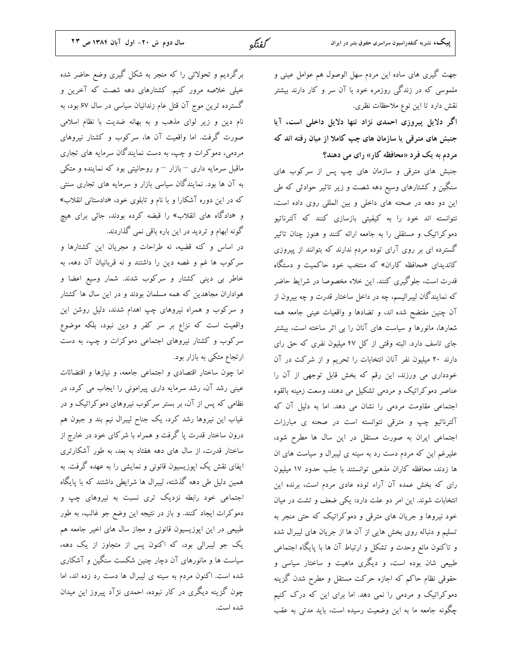كفتكه

برگردیم و تحولاتی را که منجر به شکل گیری وضع حاضر شده خیلی خلاصه مرور کنیم. کشتارهای دهه شصت که آخرین و گسترده ترین موج آن قتل عام زندانیان سیاسی در سال ۶۷ بود، به نام دین و زیر لوای مذهب و به بهانه ضدیت با نظام اسلامی صورت گرفت. اما واقعیت آن ها، سرکوب و کشتار نیروهای مردمی، دموکرات و چپ، به دست نمایندگان سرمایه های تجاری ماقبل سرمایه داری – بازار – و روحانیتی بود که نماینده و متکی به آن ها بود. نمایندگان سیاسی بازار و سرمایه های تجاری سنتی که در این دوره آشکارا و با نام و تابلوی خود، «دادستانی انقلاب» و «دادگاه های انقلاب» را قبضه کرده بودند، جائی برای هیچ گونه ابهام و تردید در این باره باقی نمی گذاردند.

در اساس و کنه قضیه، نه طراحات و مجریان این کشتارها و سرکوب ها غم و غصه دین را داشتند و نه قربانیان آن دهه، به خاطر بی دینی کشتار و سرکوب شدند. شمار وسیع اعضا و هواداران مجاهدین که همه مسلمان بودند و در این سال ها کشتار و سرکوب و همراه نیروهای چپ اهدام شدند، دلیل روشن این واقعیت است که نزاع بر سر کفر و دین نبود، بلکه موضوع سرکوب و کشتار نیروهای اجتماعی دموکرات و چپ، به دست ارتجاع متکی به بازار بود.

اما چون ساختار اقتصادی و اجتماعی جامعه، و نیازها و اقتضائات عینی رشد آن، رشد سرمایه داری پیرامونی را ایجاب می کرد، در نظامی که پس از آن، بر بستر سرکوب نیروهای دموکراتیک و در غیاب این نیروها رشد کرد، یک جناح لیبرال نیم بند و جبون هم درون ساختار قدرت پا گرفت و همراه با شرکای خود در خارج از ساختار قدرت، از سال های دهه هفتاد به بعد، به طور آشکارتری ایفای نقش یک اپوزیسیون قانونی و نمایشی را به عهده گرفت. به همین دلیل طی دهه گذشته، لیبرال ها شرایطی داشتند که با پایگاه اجتماعی خود رابطه نزدیک تری نسبت به نیروهای چپ و دموکرات ایجاد کنند. و باز در نتیجه این وضع جو غالب، به طور طبیعی در این اپوزیسیون قانونی و مجاز سال های اخیر جامعه هم یک جو لیبرالی بود، که اکنون پس از متجاوز از یک دهه، سیاست ها و مانورهای آن دچار چنین شکست سنگین و آشکاری شده است. اکنون مردم به سینه ی لیبرال ها دست رد زده اند، اما چون گزینه دیگری در کار نبوده، احمدی نژآد پیروز این میدان شده است.

جهت گیری های ساده این مردم سهل الوصول هم عوامل عینی و ملموسی که در زندگی روزمره خود با آن سر و کار دارند بیشتر نقش دارد تا این نوع ملاحظات نظری.

اگر دلایل پیروزی احمدی نژاد تنها دلایل داخلی است، آیا جنبش های مترقی یا سازمان های چپ کاملا از میان رفته اند که مردم به یک فرد «محافظه کار» رای می دهند؟

جنبش های مترقی و سازمان های چپ پس از سرکوب های سنگین و کشتارهای وسیع دهه شصت و زیر تاثیر حوادثی که طی این دو دهه در صحنه های داخلی و بین المللی روی داده است، نتوانسته اند خود را به کیفیتی بازسازی کنند که آلترناتیو دموکراتیک و مستقلی را به جامعه ارائه کنند و هنوز چنان تاثیر گسترده ای بر روی آرای توده مردم ندارند که بتوانند از پیروزی کاندیدای «محافظه کاران» که منتخب خود حاکمیت و دستگاه قدرت است، جلوگیری کنند. این خلاء مخصوصا در شرایط حاضر که نمایندگان لیبرالیسم، چه در داخل ساختار قدرت و چه بیرون از آن چنین مفتضح شده اند، و تضادها و واقعیات عینی جامعه همه شعارها، مانورها و سیاست های آنان را بی اثر ساخته است، بیشتر جای تاسف دارد. البته وقتی از کل ۴۷ میلیون نفری که حق رای دارند ۲۰ میلیون نفر آنان انتخابات را تحریم و از شرکت در آن خودداری می ورزند، این رقم که بخش قابل توجهی از آن را عناصر دموکراتیک و مردمی تشکیل می دهند، وسعت زمینه بالقوه اجتماعی مقاومت مردمی را نشان می دهد. اما به دلیل آن که آلترناتیو چپ و مترقی نتوانسته است در صحنه ی مبارزات اجتماعی ایران به صورت مستقل در این سال ها مطرح شود، علیرغم این که مردم دست رد به سینه ی لیبرال و سیاست های ان ها زدند، محافظه کاران مذهبی توانستند با جلب حدود ۱۷ میلیون رای که بخش عمده آن آراء توده عادی مردم است، برنده این انتخابات شوند. این امر دو علت دارد: یکی ضعف و تشت در میان .<br>خود نیروها و جریان های مترقی و دموکراتیک که حت<sub>ی</sub> منجر به تسلیم و دنباله روی بخش هایی از آن ها از جریان های لیبرال شده و تاکنون مانع وحدت و تشکل و ارتباط آن ها با پایگاه اجتماعی طبیعی شان بوده است، و دیگری ماهیت و ساختار سیاسی و حقوقی نظام حاکم که اجازه حرکت مستقل و مطرح شدن گزینه دموکراتیک و مردمی را نمی دهد. اما برای این که درک کنیم چگونه جامعه ما به این وضعیت رسیده است، باید مدت<sub>ی</sub> به عقب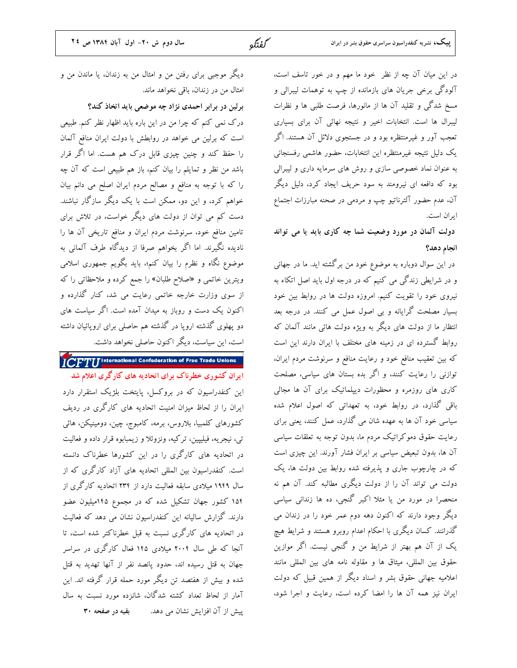در این میان آن چه از نظر خود ما مهم و در خور تاسف است، آلودگی برخی جریان های بازمانده از چپ به توهمات لیبرالی و مسخ شدگی و تقلید آن ها از مانورها، فرصت طلبی ها و نظرات لیبرال ها است. انتخابات اخیر و نتیجه نهائی آن برای بسیاری تعجب آور و غیرمنتظره بود و در جستجوی دلائل آن هستند. اگر یک دلیل نتیجه غیرمنتظره این انتخابات، حضور هاشمی رفسنجانی به عنوان نماد خصوصی سازی و روش های سرمایه داری و لیبرالی بود که دافعه ای نیرومند به سود حریف ایجاد کرد، دلیل دیگر آن، عدم حضور آلترناتيو چپ و مردمی در صحنه مبارزات اجتماع ابران است.

دولت آلمان در مورد وضعیت شما چه کاری باید یا می تواند انجام دهد؟

در این سوال دوباره به موضوع خود من برگشته اید. ما در جهانی و در شرایطی زندگی می کنیم که در درجه اول باید اصل اتکاء به نیروی خود را تقویت کنیم. امروزه دولت ها در روابط بین خود بسیار مصلحت گرایانه و بی اصول عمل می کنند. در درجه بعد انتظار ما از دولت های دیگر به ویژه دولت هائی مانند آلمان که روابط گسترده ای در زمینه های مختلف با ایران دارند این است که بین تعقیب منافع خود و رعایت منافع و سرنوشت مردم ایران، توازنی را رعایت کنند، و اگر بده بستان های سیاسی، مصلحت کاری های روزمره و محظورات دیپلماتیک برای آن ها مجالی باقی گذارد، در روابط خود، به تعهداتی که اصول اعلام شده سیاسی خود آن ها به عهده شان می گذارد، عمل کنند، یعنی برای رعایت حقوق دموکراتیک مردم ما، بدون توجه به تعلقات سیاسی آن ها، بدون تبعیض سیاسی بر ایران فشار آورند. این چیزی است که در چارچوب جاری و پذیرفته شده روابط بین دولت ها، یک دولت می تواند آن را از دولت دیگری مطالبه کند. آن هم نه منحصرا در مورد من یا مثلا اکبر گنجی، ده ها زندانی سیاسی دیگر وجود دارند که اکنون دهه دوم عمر خود را در زندان می گذرانند. کسان دیگری با احکام اعدام روبرو هستند و شرایط هیچ یک از آن هم بهتر از شرایط من و گنجی نیست. اگر موازین حقوق بين المللي، ميثاق ها و مقاوله نامه هاى بين المللي مانند اعلامیه جهانی حقوق بشر و اسناد دیگر از همین قبیل که دولت ایران نیز همه آن ها را امضا کرده است، رعایت و اجرا شود،

دیگر موجبی برای رفتن من و امثال من به زندان، یا ماندن من و امثال من در زندان، باقی نخواهد ماند.

برلین در برابر احمدی نژاد چه موضعی باید اتخاذ کند؟ درک نمی کنم که چرا من در این باره باید اظهار نظر کنم. طبیعی است که برلین می خواهد در روابطش با دولت ایران منافع آلمان را حفظ کند و چنین چیزی قابل درک هم هست. اما اگر قرار باشد من نظر و تمایلم را بیان کنم، باز هم طبیعی است که آن چه را که با توجه به منافع و مصالح مردم ایران اصلح می دانم بیان خواهم کرد، و این دو، ممکن است با یک دیگر سازگار نباشند. دست کم می توان از دولت های دیگر خواست، در تلاش برای تامین منافع خود، سرنوشت مردم ایران و منافع تاریخی آن ها را نادیده نگیرند. اما اگر بخواهم صرفا از دیدگاه طرف آلمانی به موضوع نگاه و نظرم را بیان کنم؛، باید بگویم جمهوری اسلامی ویترین خاتمی و «اصلاح طلبان» را جمع کرده و ملاحظاتی را که از سوی وزارت خارجه خاتمی رعایت می شد، کنار گذارده و اکنون یک دست و روباز به میدان آمده است. اگر سیاست های دو پهلوی گذشته اروپا در گذشته هم حاصلی برای اروپائیان داشته است، این سیاست، دیگر اکنون حاصلی نخواهد داشت. **TCFTU** International Confederation of Free Trade Unions

ایران کشوری خطرناک برای اتحادیه های کارگری اعلام شد این کنفدراسیون که در بروکسل، پایتخت بلژیک استقرار دارد ایران را از لحاظ میزان امنیت اتحادیه های کارگری در ردیف کشورهای کلمبیا، بلاروس، برمه، کامبوج، چین، دومینیکن، هائی تی، نیجریه، فیلیپین، ترکیه، ونزوئلا و زیمبابوه قرار داده و فعالیت در اتحادیه های کارگری را در این کشورها خطرناک دانسته است. کنفدراسیون بین المللی اتحادیه های آزاد کارگری که از سال ۱۹۴۹ میلادی سابقه فعالیت دارد از ۲۳۴ اتحادیه کارگری از ۱۵۴ کشور جهان تشکیل شده که در مجموع ۱۴۵میلیون عضو دارند. گزارش سالیانه این کنفدراسیون نشان می دهد که فعالیت در اتحادیه های کارگری نسبت به قبل خطرناکتر شده است، تا آنجا که طی سال ۲۰۰۴ میلادی ۱۴۵ فعال کارگری در سراسر جهان به قتل رسيده اند، حدود يانصد نفر از آنها تهديد به قتل شده و بیش از هفتصد تن دیگر مورد حمله قرار گرفته اند. این .<br>آمار از لحاظ تعداد کشته شدگان، شانزده مورد نسبت به سال پیش از آن افزایش نشان می دهد. بقیه در صفحه ۳۰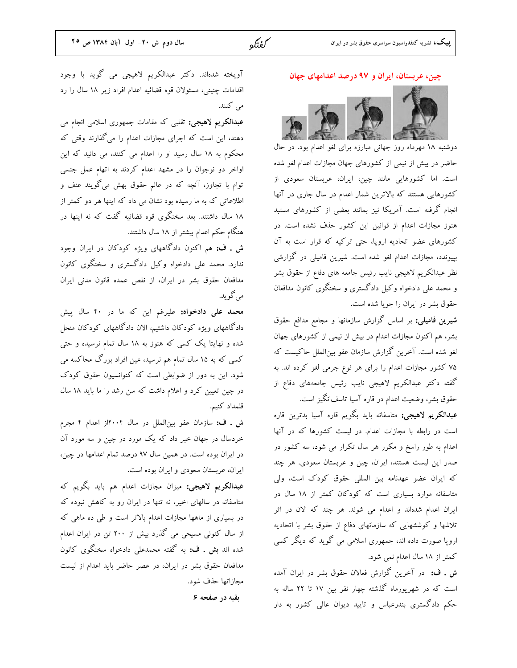## چین، عربستان، ایران و ۹۷ درصد اعدامهای جهان



دوشنبه ۱۸ مهرماه روز جهانی مبارزه برای لغو اعدام بود. در حال حاضر در بیش از نیمی از کشورهای جهان مجازات اعدام لغو شده است. اما كشورهايي مانند چين، ايران، عربستان سعودي از کشورهایی هستند که بالاترین شمار اعدام در سال جاری در آنها انجام گرفته است. آمریکا نیز بمانند بعضی از کشورهای مستبد هنوز مجازات اعدام از قوانین این کشور حذف نشده است. در کشورهای عضو اتحادیه اروپا، حتی ترکیه که قرار است به آن بپیوندد، مجازات اعدام لغو شده است. شیرین فامیلی در گزارشی نظر عبدالكريم لاهيجي نايب رئيس جامعه هاي دفاع از حقوق بشر و محمد علی دادخواه وکیل دادگستری و سخنگوی کانون مدافعان حقوق بشر در ایران را جویا شده است.

شیرین فامیلی: بر اساس گزارش سازمانها و مجامع مدافع حقوق بشر، هم اکنون مجازات اعدام در بیش از نیمی از کشورهای جهان لغو شده است. آخرین گزارش سازمان عفو بینالملل حاکیست که ۷۵ کشور مجازات اعدام را برای هر نوع جرمی لغو کرده اند. به گفته دکتر عبدالکریم لاهیجی نایب رئیس جامعههای دفاع از حقوق بشر، وضعیت اعدام در قاره آسیا تاسفانگیز است.

عبدالکریم لاهیجی: متاسفانه باید بگویم قاره آسیا بدترین قاره است در رابطه با مجازات اعدام. در لیست کشورها که در آنها اعدام به طور راسخ و مکرر هر سال تکرار می شود، سه کشور در صدر این لیست هستند، ایران، چین و عربستان سعودی. هر چند که ایران عضو عهدنامه بین المللی حقوق کودک است، ولی متاسفانه موارد بسیاری است که کودکان کمتر از ۱۸ سال در ایران اعدام شدهاند و اعدام می شوند. هر چند که الان در اثر تلاشها و کوششهایی که سازمانهای دفاع از حقوق بشر با اتحادیه اروپا صورت داده اند، جمهوری اسلامی می گوید که دیگر کسی کمتر از ۱۸ سال اعدام نمی شود.

ش . ف: در آخرین گزارش فعالان حقوق بشر در ایران آمده است که در شهریورماه گذشته چهار نفر بین ۱۷ تا ۲۲ ساله به ۔<br>حکم دادگستری بندرعباس و تایید دیوان عالی کشور به دار

آویخته شدهاند. دکتر عبدالکریم لاهیجی می گوید با وجود اقدامات چنینی، مسئولان قوه قضائیه اعدام افراد زیر ۱۸ سال را رد می کنند.

عبدالکریم لاهیجی: تقلبی که مقامات جمهوری اسلامی انجام می دهند، این است که اجرای مجازات اعدام را میگذارند وقتی که محکوم به ۱۸ سال رسید او را اعدام می کنند، می دانید که این اواخر دو نوجوان را در مشهد اعدام کردند به اتهام عمل جنسی توام با تجاوز، آنچه که در عالم حقوق بهش میگویند عنف و اطلاعاتی که به ما رسیده بود نشان می داد که اینها هر دو کمتر از ۱۸ سال داشتند. بعد سخنگوی قوه قضائیه گفت که نه اینها در هنگام حکم اعدام بیشتر از ۱۸ سال داشتند.

ش . ف: هم اکنون دادگاههای ویژه کودکان در ایران وجود ندارد. محمد علی دادخواه وکیل دادگستری و سخنگوی کانون مدافعان حقوق بشر در ایران، از نقص عمده قانون مدنی ایران مي گو يد.

محمد على دادخواه: عليرغم اين كه ما در ۴۰ سال پيش دادگاههای ویژه کودکان داشتیم، الان دادگاههای کودکان منحل شده و نهایتا یک کسی که هنوز به ۱۸ سال تمام نرسیده و حتی کسی که به ۱۵ سال تمام هم نرسید، عین افراد بزرگ محاکمه می شود. این به دور از ضوابطی است که کنوانسیون حقوق کودک در چین تعیین کرد و اعلام داشت که سن رشد را ما باید ۱۸ سال قلمداد كنيم.

ش . ف: سازمان عفو بین|لملل در سال ۲۰۰۴|ز اعدام ۴ مجرم خردسال در جهان خبر داد که یک مورد در چین و سه مورد آن در ایران بوده است. در همین سال ۹۷ درصد تمام اعدامها در چین، ایران، عربستان سعودی و ایران بوده است.

**عبدالکریم لاهیجی:** میزان مجازات اعدام هم باید بگویم که متاسفانه در سالهای اخیر، نه تنها در ایران رو به کاهش نبوده که در بسیاری از ماهها مجازات اعدام بالاتر است و طی ده ماهی که از سال کنونی مسیحی می گذرد بیش از ۲۰۰ تن در ایران اعدام شده اند بش . ف: به گفته محمدعلی دادخواه سخنگوی کانون مدافعان حقوق بشر در ایران، در عصر حاضر باید اعدام از لیست مجازاتها حذف شود. بقیه در صفحه ۶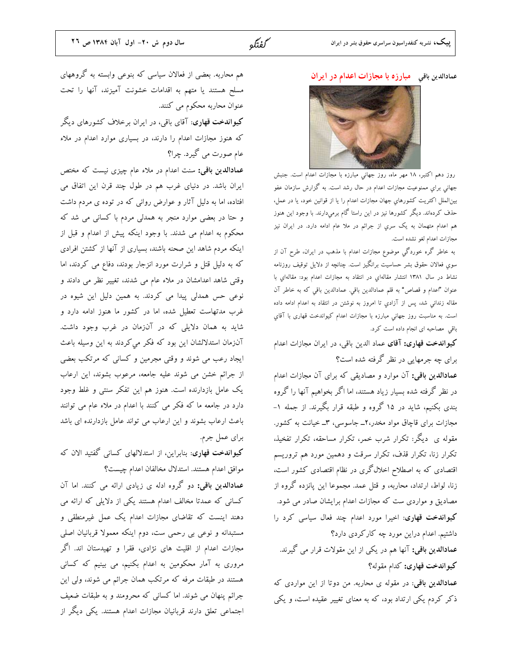كفتكه

### عمادالدین باقی مبارزه با مجازات اعدام در ایران



روز دهم اکتبر، ۱۸ مهر ماه، روز جهانی مبارزه با مجازات اعدام است. جنبش جهاني براي ممنوعيت مجازات اعدام در حال رشد است. به گزارش سازمان عفو بين|لملل اكثريت كشورهاي جهان مجازات اعدام را يا از قوانين خود، يا در عمل، حذف کردهاند. دیگر کشورها نیز در این راستا گام برمیدارند. با وجود این هنوز هم اعدام متهمان به یک سری از جرائم در ملا عام ادامه دارد. در ایران نیز مجازات اعدام لغو نشده است.

به خاطر گره خوردگی موضوع مجازات اعدام با مذهب در ایران، طرح آن از سوی فعالان حقوق بشر حساسیت برانگیز است. چنانچه از دلایل توقیف روزنامه نشاط در سال ۱۳۸۱ انتشار مقالهای در انتقاد به مجازات اعدام بود: مقالهای با عنوان "اعدام و قصاص" به قلم عمادالدين باقي. عمادالدين باقي كه به خاطر آن مقاله زندانی شد، پس از آزادی تا امروز به نوشتن در انتقاد به اعدام ادامه داده است. به مناسبت روز جهاني مبارزه با مجازات اعدام کیواندخت قهاری با آقای باقی مصاحبه ای انجام داده است کرد.

کیواندخت قهاری: آقای عماد الدین باقی، در ایران مجازات اعدام برای چه جرمهایی در نظر گرفته شده است؟

عم<mark>ادالدین باقی:</mark> آن موارد و مصادیقی که برای آن مجازات اعدام در نظر گرفته شده بسیار زیاد هستند، اما اگر بخواهیم آنها را گروه بندی بکنیم، شاید در ۱۵ گروه و طبقه قرار بگیرند. از جمله ۱-مجازات برای قاچاق مواد مخدر،۲ـ جاسوسی، ۳ـ خیانت به کشور. مقوله ی دیگر: تکرار شرب خمر، تکرار مساحقه، تکرار تفخیذ، تکرار زنا، تکرار قذف، تکرار سرقت و دهمین مورد هم تروریسم اقتصادی که به اصطلاح اخلالگری در نظام اقتصادی کشور است، زنا، لواط، ارتداد، محاربه، و قتل عمد. مجموعا این پانزده گروه از مصادیق و مواردی ست که مجازات اعدام برایشان صادر می شود. کیواندخت قهاری: اخیرا مورد اعدام چند فعال سیاسی کرد را داشتیم. اعدام دراین مورد چه کارکردی دارد؟ عم**ادالدین باقی:** آنها هم در یکی از این مقولات قرار می گیرند.

كيواندخت قهارى: كدام مقوله؟ عمادالدین باقی: در مقوله ی محاربه. من دوتا از این مواردی که

ذکر کردم یکی ارتداد بود، که به معنای تغییر عقیده است، و یکی

هم محاربه. بعضی از فعالان سیاسی که بنوعی وابسته به گروههای مسلح هستند یا متهم به اقدامات خشونت آمیزند، آنها را تحت عنوان محاربه محکوم می کنند.

**کیواندخت قهاری**: آقای باقی، در ایران برخلاف کشورهای دیگر که هنوز مجازات اعدام را دارند، در بسیاری موارد اعدام در ملاء عام صورت می گیرد. چرا؟

عم<mark>ادالدین باقی:</mark> سنت اعدام در ملاء عام چیزی نیست که مختص ایران باشد. در دنیای غرب هم در طول چند قرن این اتفاق می افتاده، اما به دلیل آثار و عوارض روانی که در توده ی مردم داشت و حتا در بعضی موارد منجر به همدلی مردم با کسانی می شد که محکوم به اعدام می شدند. با وجود اینکه پیش از اعدام و قبل از اینکه مردم شاهد این صحنه باشند، بسیاری از آنها از کشتن افرادی که به دلیل قتل و شرارت مورد انزجار بودند، دفاع می کردند، اما وقتی شاهد اعدامشان در ملاء عام می شدند، تغییر نظر می دادند و نوعی حس همدلی پیدا می کردند. به همین دلیل این شیوه در غرب مدتهاست تعطیل شده، اما در کشور ما هنوز ادامه دارد و شاید به همان دلایلی که در آنزمان در غرب وجود داشت. آنزمان استدلالشان این بود که فکر می کردند به این وسیله باعث ایجاد رعب می شوند و وقتی مجرمین و کسانی که مرتکب بعضی از جرائم خشن می شوند علیه جامعه، مرعوب بشوند، این ارعاب یک عامل بازدارنده است. هنوز هم این تفکر سنتی و غلط وجود دارد در جامعه ما که فکر می کنند با اعدام در ملاء عام می توانند باعث ارعاب بشوند و این ارعاب می تواند عامل بازدارنده ای باشد براي عمل جرم.

**کیواندخت قهاری**: بنابراین، از استدلالهای کسان<sub>ی</sub> گفتید الان که موافق اعدام هستند. استدلال مخالفان اعدام چیست؟

عمادالدین باقی: دو گروه ادله ی زیادی ارائه می کنند. اما آن کسانی که عمدتا مخالف اعدام هستند یکی از دلایلی که ارائه می دهند اینست که تقاضای مجازات اعدام یک عمل غیرمنطقی و مستبدانه و نوعی بی رحمی ست، دوم اینکه معمولا قربانیان اصلی مجازات اعدام از اقلیت های نژادی، فقرا و تهیدستان اند. اگر مروری به آمار محکومین به اعدام بکنیم، می بینیم که کسانی هستند در طبقات مرفه که مرتکب همان جرائم می شوند، ولی این جرائم پنهان می شوند. اما کسانی که محرومند و به طبقات ضعیف اجتماعی تعلق دارند قربانیان مجازات اعدام هستند. یکی دیگر از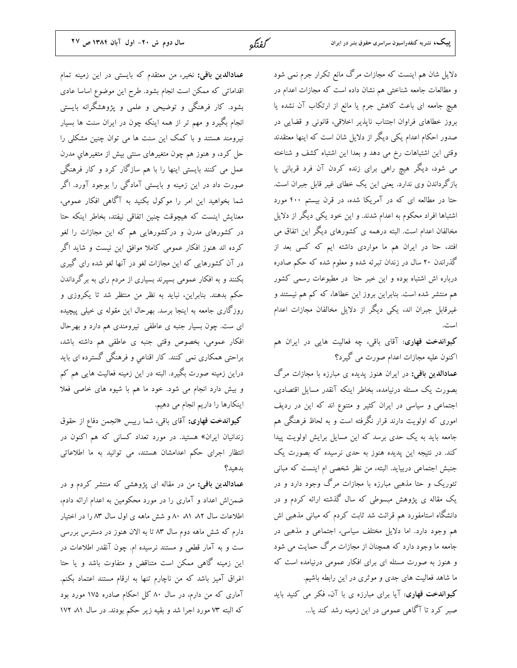سال دوم ش ٢٠- اول آبان ١٣٨٤ ص ٢٧

دلایل شان هم اینست که مجازات مرگ مانع تکرار جرم نمی شود و مطالعات جامعه شناختی هم نشان داده است که مجازات اعدام در هیچ جامعه ای باعث کاهش جرم یا مانع از ارتکاب آن نشده یا بروز خطاهای فراوان اجتناب ناپذیر اخلاقی، قانونی و قضایی در صدور احکام اعدام یکی دیگر از دلایل شان است که اینها معتقدند وقتی این اشتباهات رخ می دهد و بعدا این اشتباه کشف و شناخته می شود، دیگر هیچ راهی برای زنده کردن آن فرد قربانی یا بازگرداندن وی ندارد. یعنی این یک خطای غیر قابل جبران است. حتا در مطالعه ای که در آمریکا شده، در قرن بیستم ۴۰۰ مورد اشتباها افراد محکوم به اعدام شدند. و این خود یکی دیگر از دلایل مخالفان اعدام است. البته درهمه ی کشورهای دیگر این اتفاق می افتد، حتا در ایران هم ما مواردی داشته ایم که کسی بعد از گذراندن ۲۰ سال در زندان تبرئه شده و معلوم شده که حکم صادره درباره اش اشتباه بوده و این خبر حتا ً در مطبوعات رسمی کشور هم منتشر شده است. بنابراین بروز این خطاها، که کم هم نیستند و غیرقابل جبران اند، یکی دیگر از دلایل مخالفان مجازات اعدام است.

**کیواندخت قهاری**: آقای باقی، چه فعالیت هایی در ایران هم اکنون علیه مجازات اعدام صورت می گیرد؟

عمادالدین باقی: در ایران هنوز پدیده ی مبارزه با مجازات مرگ بصورت يک مسئله درنيامده، بخاطر اينکه آنقدر مسايل اقتصادي، اجتماعی و سیاسی در ایران کثیر و متنوع اند که این در ردیف اموری که اولویت دارند قرار نگرفته است و به لحاظ فرهنگی هم جامعه باید به یک حدی برسد که این مسایل برایش اولویت پیدا کند. در نتیجه این پدیده هنوز به حدی نرسیده که بصورت یک جنبش اجتماعی دربیاید. البته، من نظر شخصی ام اینست که مبانی تئوریک و حتا مذهبی مبارزه با مجازات مرگ وجود دارد و در یک مقاله ی پژوهش مبسوطی که سال گذشته ارائه کردم و در دانشگاه استامفورد هم قرائت شد ثابت کردم که مبانی مذهبی اش هم وجود دارد. اما دلایل مختلف سیاسی، اجتماعی و مذهبی در جامعه ما وجود دارد که همچنان از مجازات مرگ حمایت می شود و هنوز به صورت مسئله ای برای افکار عمومی درنیامده است که ما شاهد فعالیت های جدی و موثری در این رابطه باشیم. کیواندخت قهاری: آیا برای مبارزه ی با آن، فکر می کنید باید صبر کرد تا آگاهی عمومی در این زمینه رشد کند یا...

عمادالدین باقی: نخیر، من معتقدم که بایستی در این زمینه تمام اقداماتی که ممکن است انجام بشود. طرح این موضوع اساسا عادی بشود. کار فرهنگی و توضیحی و علمی و پژوهشگرانه بایستی انجام بگیرد و مهم تر از همه اینکه چون در ایران سنت ها بسیار نیرومند هستند و با کمک این سنت ها می توان چنین مشکلی را حل کرد، و هنوز هم چون متغیرهای سنتی بیش از متغیرهایِ مدرن عمل می کنند بایستی اینها را با هم سازگار کرد و کار فرهنگی صورت داد در این زمینه و بایستی آمادگی را بوجود آورد. اگر شما بخواهید این امر را موکول بکنید به آگاهی افکار عمومی، معنایش اینست که هیچوقت چنین اتفاقی نیفتد، بخاطر اینکه حتا در کشورهای مدرن و درکشورهایی هم که این مجازات را لغو کرده اند هنوز افکار عمومی کاملا موافق این نیست و شاید اگر در آن کشورهایی که این مجازات لغو در آنها لغو شده رای گیری بکنند و به افکار عمومی بسپرند بسیاری از مردم رای به برگرداندن حکم بدهند. بنابراین، نباید به نظر من منتظر شد تا یکروزی و روزگاری جامعه به اینجا برسد. بهرحال این مقوله ی خیلی پیچیده ای ست. چون بسیار جنبه ی عاطفی نیرومندی هم دارد و بهرحال افکار عمومی، بخصوص وقتی جنبه ی عاطفی هم داشته باشد، براحتی همکاری نمی کنند. کار اقناعی و فرهنگی گسترده ای باید دراین زمینه صورت بگیرد. البته در این زمینه فعالیت هایی هم کم و بیش دارد انجام می شود. خود ما هم با شیوه های خاصی فعلا اینکارها را داریم انجام می دهیم.

کیواندخت قهاری: آقای باقی، شما رییس «انجمن دفاع از حقوق زندانیان ایران» هستید. در مورد تعداد کسانی که هم اکنون در انتظار اجرای حکم اعدامشان هستند، می توانید به ما اطلاعاتی بدهيد؟

عم<mark>ادالدین باقی:</mark> من در مقاله ای پژوهشی که منتشر کردم و در ضمن|ش اعداد و آماری را در مورد محکومین به اعدام ارائه دادم، اطلاعات سال ۸۲ ۸۱، ۸۱ و شش ماهه ی اول سال ۸۳ را در اختیار دارم که شش ماهه دوم سال ۸۳ تا به الان هنوز در دسترس بررسی ست و به آمار قطعی و مستند نرسیده ام. چون آنقدر اطلاعات در این زمینه گاهی ممکن است متناقض و متفاوت باشد و یا حتا اغراق آمیز باشد که من ناچارم تنها به ارقام مستند اعتماد بکنم. آماری که من دارم، در سال ۸۰ کل احکام صادره ۱۷۵ مورد بود که البته ۷۳ مورد اجرا شد و بقیه زیر حکم بودند. در سال ۸۱ ۱۷۲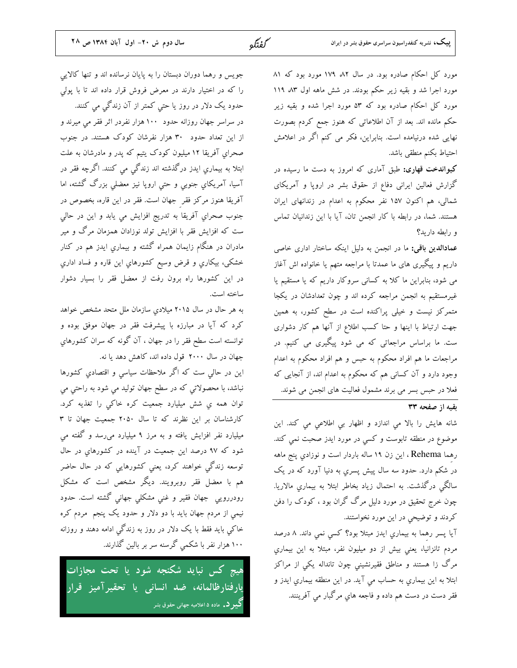كفتكه

مورد کل احکام صادره بود. در سال ۸۲ ۱۷۹ مورد بود که ۸۱ مورد اجرا شد و بقیه زیر حکم بودند. در شش ماهه اول ۸۳ ۱۱۹ مورد کل احکام صادره بود که ۵۳ مورد اجرا شده و بقیه زیر حکم مانده اند. بعد از آن اطلاعاتی که هنوز جمع کردم بصورت نهایی شده درنیامده است. بنابراین، فکر می کنم اگر در اعلامش احتياط بكنم منطقى باشد.

کیواندخت قهاری: طبق آماری که امروز به دست ما رسیده در گزارش فعالین ایرانی دفاع از حقوق بشر در اروپا و آمریکای شمالی، هم اکنون ۱۵۷ نفر محکوم به اعدام در زندانهای ایران هستند. شما، در رابطه با کار انجمن تان، آیا با این زندانیان تماس و رابطه دارید؟

عمادالدین باقی: ما در انجمن به دلیل اینکه ساختار اداری خاصی داریم و پیگیری های ما عمدتا با مراجعه متهم یا خانواده اش آغاز می شود، بنابراین ما کلا به کسانی سروکار داریم که یا مستقیم یا غیرمستقیم به انجمن مراجعه کرده اند و چون تعدادشان در یکجا متمرکز نیست و خیلی پراکنده است در سطح کشور، به همین جهت ارتباط با اینها و حتا کسب اطلاع از آنها هم کار دشواری ست. ما براساس مراجعاتی که می شود پیگیری می کنیم. در مراجعات ما هم افراد محکوم به حبس و هم افراد محکوم به اعدام وجود دارد و آن کسانی هم که محکوم به اعدام اند، از آنجایی که فعلا در حبس بسر می برند مشمول فعالیت های انجمن می شوند.

بقيه از صفحه ٣٣

شانه هایش را بالا می اندازد و اظهار بی اطلاعی می کند. این موضوع در منطقه تابوست و کسي در مورد ايدز صحبت نمي کند. رهما Rehema، این زن ۱۹ ساله باردار است و نوزادی پنج ماهه در شکم دارد. حدود سه سال پیش پسری به دنیا آورد که در یک سالگی درگذشت. به احتمال زیاد بخاطر ابتلا به بیماری مالاریا. چون خرج تحقیق در مورد دلیل مرگ گران بود ، کودک را دفن کردند و توضیحی در این مورد نخواستند.

آیا پسر رهما به بیماری ایدز مبتلا بود؟ کسی نمی داند. ۸ درصد مردم تانزانیا، یعنی بیش از دو میلیون نفر، مبتلا به این بیماری مرگ زا هستند و مناطق فقیرنشینی چون تانداله یکی از مراکز ابتلا به اين بيماري به حساب مي آيد. در اين منطقه بيماري ايدز و .<br>فقر دست در دست هم داده و فاجعه های مرگبار می آفرینند.

جویس و رهما دوران دبستان را به پایان نرسانده اند و تنها کالایی را که در اختیار دارند در معرض فروش قرار داده اند تا با پولی حدود یک دلار در روز یا حتی کمتر از آن زندگی می کنند.

در سراسر جهان روزانه حدود ۱۰۰ هزار نفردر اثر فقر می میرند و از این تعداد حدود ۳۰ هزار نفرشان کودک هستند. در جنوب صحرای آفریقا ۱۲ میلیون کودک پتیم که پدر و مادرشان به علت ابتلا به بیماری ایدز درگذشته اند زندگی می کنند. اگرچه فقر در آسیا، آمریکاي جنوبی و حتی اروپا نیز معضلی بزرگ گشته، اما آفریقا هنوز مرکز فقر جهان است. فقر در این قاره، بخصوص در جنوب صحراي آفريقا به تدريج افزايش مي يابد و اين در حالي ست که افزایش فقر با افزایش تولد نوزادان همزمان مرگ و میر مادران در هنگام زایمان همراه گشته و بیماري ایدز هم در کنار خشکی، بیکاري و قرض وسیع کشورهاي اين قاره و فساد اداري در این کشورها راه برون رفت از معضل فقر را بسیار دشوار ساخته است.

به هر حال در سال ۲۰۱۵ میلادیِ سازمان ملل متحد مشخص خواهد کرد که آیا در مبارزه با پیشرفت فقر در جهان موفق بوده و توانسته است سطح فقر را در جهان ، آن گونه که سران کشورهاي جهان در سال ۲۰۰۰ قول داده اند، کاهش دهد یا نه.

این در حالی ست که اگر ملاحظات سیاسی و اقتصادیِ کشورها نباشد، با محصولاتی که در سطح جهان تولید می شود به راحتی می توان همه ی شش میلیارد جمعیت کره خاکی را تغذیه کرد. کارشناسان بر این نظرند که تا سال ۲۰۵۰ جمعیت جهان تا ۳ میلیارد نفر افزایش یافته و به مرز ۹ میلیارد میرسد و گفته می شود که ۹۷ درصد این جمعیت در آینده در کشورهای در حال توسعه زندگی خواهند کرد، یعنی کشورهایی که در حال حاضر هم با معضل فقر روبرویند. دیگر مشخص است که مشکل رودررویی جهان فقیر و غنی مشکلی جهانی گشته است. حدود نیمی از مردم جهان باید با دو دلار و حدود یک پنجم ً مردم کره خاکی باید فقط با یک دلار در روز به زندگی ادامه دهند و روزانه ۱۰۰ هزار نفر با شکمی گرسنه سر بر بالین گذارند.

هیچ کس نباید شکنجه شود یا تحت مجازات یارفتارظالمانه، ضد انسانی یا تحقیرآمیز قرار **گیبر د.** ماده ۵ اعلامیه جهانی حقوق بشر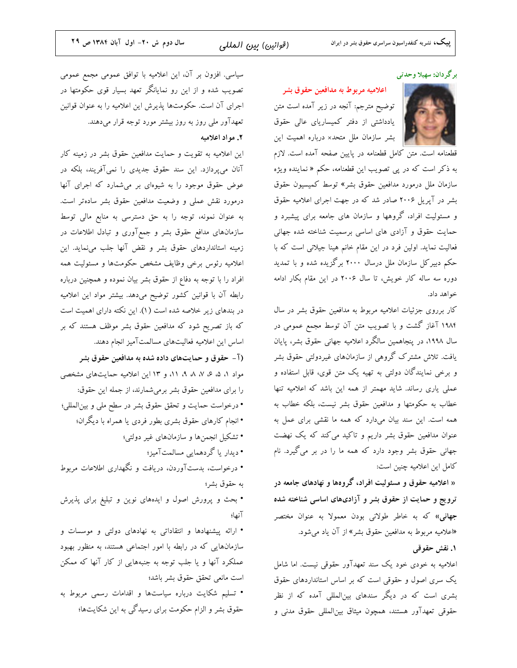#### برگردان: سهيلا وحدتبي

#### اعلاميه مربوط به مدافعين حقوق بشر

توضیح مترجم: آنجه در زیر آمده است متن یادداشتی از دفتر کمیساریای عالی حقوق المستقل المجموع سازمان ملل متحد× درباره اهميت اين

قطعنامه است. متن كامل قطعنامه در پايين صفحه آمده است. لازم به ذکر است که در پی تصویب این قطعنامه، حکم « نماینده ویژه سازمان ملل درمورد مدافعین حقوق بشر» توسط کمیسیون حقوق بشر در آپریل ۲۰۰۶ صادر شد که در جهت اجرای اعلامیه حقوق و مسئولیت افراد، گروهها و سازمان های جامعه برای پیشبرد و حمایت حقوق و آزادی های اساسی برسمیت شناخته شده جهانی فعالیت نماید. اولین فرد در این مقام خانم هینا جیلانی است که با حکم دبیرکل سازمان ملل درسال ۲۰۰۰ برگزیده شده و با تمدید دوره سه ساله کار خویش، تا سال ۲۰۰۶ در این مقام بکار ادامه خواهد داد.

کار برروی جزئیات اعلامیه مربوط به مدافعین حقوق بشر در سال ۱۹۸۴ آغاز گشت و با تصویب متن آن توسط مجمع عمومی در سال ۱۹۹۸، در پنجاهمین سالگرد اعلامیه جهانی حقوق بشر، پایان یافت. تلاش مشترک گروهی از سازمانهای غیردولتی حقوق بشر و برخی نمایندگان دولتی به تهیه یک متن قوی، قابل استفاده و عملی یاری رساند. شاید مهمتر از همه این باشد که اعلامیه تنها خطاب به حکومتها و مدافعین حقوق بشر نیست، بلکه خطاب به همه است. این سند بیان میدارد که همه ما نقشی برای عمل به عنوان مدافعین حقوق بشر داریم و تاکید می کند که یک نهضت جهانی حقوق بشر وجود دارد که همه ما را در بر میگیرد. نام كامل اين اعلاميه چنين است:

« اعلامیه حقوق و مسئولیت افراد، گروهها و نهادهای جامعه در ترویج و حمایت از حقوق بشر و آزادیهای اساسی شناخته شده جهانی» که به خاطر طولانی بودن معمولا به عنوان مختصر «اعلامیه مربوط به مدافعین حقوق بشر» از آن یاد می شود.

١. نقش حقوقي

اعلامیه به خودی خود یک سند تعهدآور حقوقی نیست. اما شامل یک سری اصول و حقوقی است که بر اساس استانداردهای حقوق بشری است که در دیگر سندهای بینالمللی آمده که از نظر حقوقی تعهدآور هستند، همچون میثاق بین المللی حقوق مدنی و

سیاسی. افزون بر آن، این اعلامیه با توافق عمومی مجمع عمومی تصویب شده و از این رو نمایانگر تعهد بسیار قوی حکومتها در اجرای آن است. حکومتها پذیرش این اعلامیه را به عنوان قوانین تعهدآور ملی روز به روز بیشتر مورد توجه قرار میدهند.

## ٢. مواد اعلاميه

این اعلامیه به تقویت و حمایت مدافعین حقوق بشر در زمینه کار آنان میپردازد. این سند حقوق جدیدی را نمی آفریند، بلکه در عوض حقوق موجود را به شیوهای بر می شمارد که اجرای آنها درمورد نقش عملی و وضعیت مدافعین حقوق بشر سادهتر است. به عنوان نمونه، توجه را به حق دسترسی به منابع مالی توسط سازمانهای مدافع حقوق بشر و جمع آوری و تبادل اطلاعات در زمینه استانداردهای حقوق بشر و نقض آنها جلب مینماید. این اعلامیه رئوس برخی وظایف مشخص حکومتها و مسئولیت همه افراد را با توجه به دفاع از حقوق بشر بیان نموده و همچنین درباره رابطه آن با قوانین کشور توضیح میدهد. بیشتر مواد این اعلامیه در بندهای زیر خلاصه شده است (۱). این نکته دارای اهمیت است که باز تصریح شود که مدافعین حقوق بشر موظف هستند که بر اساس این اعلامیه فعالیتهای مسالمتآمیز انجام دهند. (آ - حقوق و حمایتهای داده شده به مدافعین حقوق بشر مواد ۱، ۵، ۶، ۸، ۸، ۹، ۱۱، و ۱۳ این اعلامیه حمایتهای مشخصی را برای مدافعین حقوق بشر برمی شمارند، از جمله این حقوق: • درخواست حمايت و تحقق حقوق بشر در سطح ملي و بين|لمللي؛ • انجام کارهای حقوق بشری بطور فردی یا همراه با دیگران؛ • تشکیل انجمنها و سازمانهای غیر دولتی؛ • دیدار یا گردهمایی مسالمتآمیز؛ • درخواست، بدستآوردن، دریافت و نگهداری اطلاعات مربوط به حقوق بشر؛ • بحث و پرورش اصول و ایدههای نوین و تبلیغ برای پذیرش آنها؛ • ارائه پیشنهادها و انتقاداتی به نهادهای دولتی و موسسات و

سازمانهایی که در رابطه با امور اجتماعی هستند، به منظور بهبود عملکرد آنها و یا جلب توجه به جنبههایی از کار آنها که ممکن است مانعی تحقق حقوق بشر باشد؛

• تسلیم شکایت درباره سیاستها و اقدامات رسمی مربوط به حقوق بشر و الزام حکومت برای رسیدگی به این شکایتها؛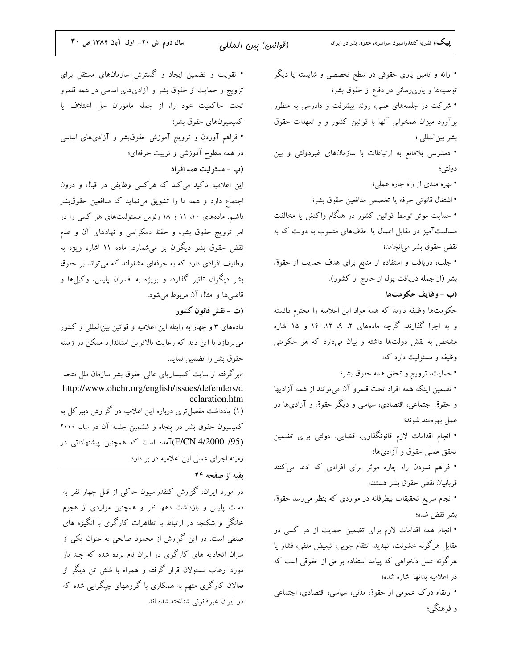| سال دوم ش ۲۰- اول آبان ۱۳۸۴ ص ۳۰                                                                                   | (قوانین) بین المللی | <b>پیک،</b> نشریه کنفدراسیون سراسری حقوق بشر در ایران                 |
|--------------------------------------------------------------------------------------------------------------------|---------------------|-----------------------------------------------------------------------|
| • تقویت و تضمین ایجاد و گسترش سازمانهای مستقل برای                                                                 |                     | • ارائه و تامین یاری حقوقی در سطح تخصصی و شایسته یا دیگر              |
| ترویج و حمایت از حقوق بشر و آزادیهای اساسی در همه قلمرو                                                            |                     | توصیهها و یاریرسانی در دفاع از حقوق بشر؛                              |
| تحت حاکمیت خود را، از جمله ماموران حل اختلاف یا                                                                    |                     | • شرکت در جلسههای علنی، روند پیشرفت و دادرسی به منظور                 |
| كميسيونهاي حقوق بشر؛                                                                                               |                     | برآورد میزان همخوانی آنها با قوانین کشور و و تعهدات حقوق              |
| • فراهم آوردن و ترویج آموزش حقوقبشر و آزادیهای اساسی                                                               |                     | بشر بينالمللي ؛                                                       |
| در همه سطوح آموزشی و تربیت حرفهای؛                                                                                 |                     | • دسترسی بلامانع به ارتباطات با سازمانهای غیردولتی و بین              |
| (پ – مسئولیت همه افراد                                                                                             |                     | دولتي؛                                                                |
| این اعلامیه تاکید میکند که هرکسی وظایفی در قبال و درون                                                             |                     | • بهره مندی از راه چاره عملی؛                                         |
| اجتماع دارد و همه ما را تشویق میٖنماید که مدافعین حقوقبشر                                                          |                     | • اشتغال قانوني حرفه يا تخصص مدافعين حقوق بشر؛                        |
| باشیم. مادههای ۱۰، ۱۱ و ۱۸ رئوس مسئولیتهای هر کسی را در                                                            |                     | • حمایت موثر توسط قوانین کشور در هنگام واکنش یا مخالفت                |
| امر ترویج حقوق بشر، و حفظ دمکراسی و نهادهای آن و عدم                                                               |                     | مسالمتآمیز در مقابل اعمال یا حذفهای منسوب به دولت که به               |
| نقض حقوق بشر دیگران بر میشمارد. ماده ۱۱ اشاره ویژه به                                                              |                     | نقض حقوق بشر مى نجامد؛                                                |
| وظایف افرادی دارد که به حرفهای مشغولند که میتواند بر حقوق                                                          |                     | • جلب، دریافت و استفاده از منابع برای هدف حمایت از حقوق               |
| بشر دیگران تاثیر گذارد، و بویژه به افسران پلیس، وکیلها و                                                           |                     | بشر (از جمله دریافت پول از خارج از کشور).                             |
| قاضیها و امثال آن مربوط میشود.                                                                                     |                     | (ب - وظایف حکومتها                                                    |
| (ت - نقش قانون كشور                                                                                                |                     | حکومتها وظیفه دارند که همه مواد این اعلامیه را محترم دانسته           |
| مادههای ۳ و چهار به رابطه این اعلامیه و قوانین بین لمللی و کشور                                                    |                     | و به اجرا گذارند. گرچه مادههای ۲، ۹، ۱۲، ۱۴ و ۱۵ اشاره                |
| میپردازد با این دید که رعایت بالاترین استاندارد ممکن در زمینه                                                      |                     | مشخص به نقش دولتها داشته و بیان میدارد که هر حکومتی                   |
| حقوق بشر را تضمین نماید.                                                                                           |                     | وظیفه و مسئولیت دارد که:                                              |
| ×برگرفته از سایت کمیساریای عالی حقوق بشر سازمان ملل متحد                                                           |                     | • حمايت، ترويج و تحقق همه حقوق بشر؛                                   |
| http://www.ohchr.org/english/issues/defenders/d                                                                    |                     | • تضمین اینکه همه افراد تحت قلمرو آن میتوانند از همه آزادیها          |
|                                                                                                                    |                     | و حقوق اجتماعی، اقتصادی، سیاسی و دیگر حقوق و آزادیها در               |
| کمیسیون حقوق بشر در پنجاه و ششمین جلسه آن در سال ۲۰۰۰                                                              |                     | عمل بهرهمند شوند؛                                                     |
| (E/CN.4/2000 /95)آمده است که همچنین پیشنهاداتی در                                                                  |                     | • انجام اقدامات لازم قانونگذاری، قضایی، دولتی برای تضمین              |
| زمینه اجرای عملی این اعلامیه در بر دارد.                                                                           |                     | تحقق عملی حقوق و آزادیها؛                                             |
|                                                                                                                    | بقیه از صفحه ۲۴     | • فراهم نمودن راه چاره موثر برای افرادی که ادعا میکنند                |
| در مورد ایران، گزارش کنفدراسیون حاکی از قتل چهار نفر به                                                            |                     | قربانيان نقض حقوق بشر هستند؛                                          |
| دست پلیس و بازداشت دهها نفر و همچنین مواردی از هجوم                                                                |                     | • انجام سریع تحقیقات بیطرفانه در مواردی که بنظر میرسد حقوق            |
| خانگی و شکنجه در ارتباط با تظاهرات کارگری با انگیزه های                                                            |                     | بشر نقض شده؛                                                          |
| صنفی است. در این گزارش از محمود صالحی به عنوان یکی از                                                              |                     | • انجام همه اقدامات لازم برای تضمین حمایت از هر کسی در                |
| سران اتحادیه های کارگری در ایران نام برده شده که چند بار<br>مورد ارعاب مسئولان قرار گرفته و همراه با شش تن دیگر از |                     | مقابل هرگونه خشونت، تهدید، انتقام جویی، تبعیض منفی، فشار یا           |
|                                                                                                                    |                     | هرگونه عمل دلخواهی که پیامد استفاده برحق از حقوقی است که              |
| فعالان کارگری متهم به همکاری با گروههای چپگرایی شده که                                                             |                     | در اعلامیه بدانها اشاره شده؛                                          |
| در ایران غیرقانونی شناخته شده اند                                                                                  |                     | • ارتقاء درک عمومی از حقوق مدنی، سیاسی، اقتصادی، اجتماعی<br>و فرهنگی؛ |
|                                                                                                                    |                     |                                                                       |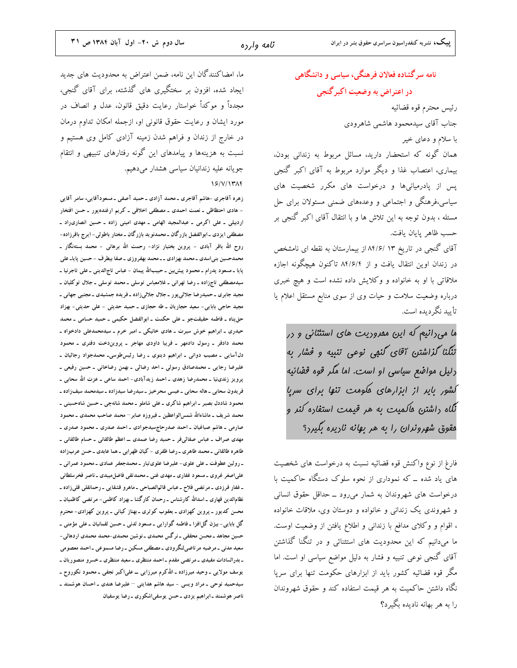ما، امضاکنندگان این نامه، ضمن اعتراض به محدودیت های جدید ایجاد شده، افزون بر سختگیری های گذشته، برای آقای گنجی، مجدداً و موکداً خواستار رعایت دقیق قانون، عدل و انصاف در مورد ایشان و رعایت حقوق قانونی او، ازجمله امکان تداوم درمان در خارج از زندان و فراهم شدن زمینه آزادی کامل وی هستیم و نسبت به هزینهها و پیامدهای این گونه رفتارهای تنبیهی و انتقام جویانه علیه زندانیان سیاسی هشدار میدهیم.

### 18/V/1۳۸F

زهره آقاجری -هاشم آقاجری ــ محمد آزادی ــ حمید آصفی ــ مسعودآقایی، سامر آقایی - هادی احتظاظی ـ نعمت احمدی ـ مصطفی اخلاقی ـ کریم ارغندهپور ـ حسن افتخار اردیلی ـ علی اکرمی ـ عبدالمجید الهامی ـ مهدی امینی زاده ـ حسین انصاری راد ـ مصطفی ایزدی ـ ابوالفضل بازرگان ـ محمدنوید بازرگان ـ مختار باطولی– ایرج باقرزاده– روح الله باقر آبادی - پروین بختیار نژاد- رحمت الله برهانی - محمد بستهنگار ـ محمدحسین بنی|سدی ـ محمد بهزادی ـ ـ محمد بهفروزی ـ صفا بیطرف - حسین پایاـ علی پایا ـ مسعود پدرام ـ محمود پیش،ین ـ حبیبالله پیمان – عباس تاج|لدینی ـ علی تاجرنیا ـ سیدمصطفی تاجزاده ـ رضا تهرانی ـ غلامعباس توسلی ـ محمد توسلی ـ جلال توکلیان ـ مجید جابری ـ حمیدرضا جلائیپور ـ جلال جلالیزاده ـ فریده جمشیدی ـ مجتبی جهانی ـ مجید حاجی بابایی- سعید حجاریان ـ طه حجازی ـ حمید حدیثی - علی حدیثی- بهزاد حق پناه ـ فاطمه حقیقتجو ـ علی حکمت ـ ابوالفضل حکیمی ـ حمید حسامی ـ محمد حیدری ـ ابراهیم خوش سیرت ـ هادی خانیکی ـ امیر خرم ـ سیدمحمدعلی دادخواه ـ محمد دادفر <sub>- (</sub>سول دادمهر <sub>-</sub> فریبا داودی مهاجر <sub>-</sub> پرویندخت دفتری <mark>- مح</mark>مود دلآسایی ـ مصیب دوانی ـ ابراهیم دینوی ـ رضا رئیس طوسیـ محمدجواد رجائیان ـ علیرضا رجایی ـ محمدصادق رسولی ـ احد رضائی ـ بهمن رضاخانی ـ حسین رفیعی ـ پرویز زندی،نیا ــ محمدرضا زهدی ــ احمد زیدآبادی- احمد ساعی ــ عزت الله سحابی ــ فریدون سحابی ـ هاله سحابی ـ عیسی سحرخیز ـ سیدرضا سیدزاده ـ سیدمحمد سیفزاده ـ محمود شاددل بصیر ـ ابراهیم شاکری ـ علی شاملو ـ محمد شانهچی ـ حسین شاهحسینی ـ محمد شریف ـ ماشاءالله شمس|لواعظین ـ فیروزه صابر−محمد صاحب محمدی ـ محمود صارمی ـ هاشم صباغیان ـ احمد صدرحاجسیدجوادی ـ احمد صدری ـ محمود صدری ـ مهدی صراف ــ عباس صفائیفر ــ حمید رضا صمدی ـــ اعظم طالقانی ــ حسام طالقانی ــ طاهره طالقانی ـ محمد طاهری ـ رضا ظفری - کیان ظهرابی ـ هما عابدی ـ حسن عربزاده ۔ روئین عطوفت ۔ علی علوی- علیرضا علوی تبار ۔ محمدجعفر عمادی ۔ محمود عمرانی ۔ علیاصغر غروی ـ مسعود غفاری ـ مهدی غنی ـ محمدتقی فاضل.میبدی ـ ناصر فخرسلطانی ـ غفار فرزدي ـ مرتضى فلاح ـ عباس قائم|لصباحي ـ ماهرو قشقايي ـ رحمانقلي قليزاده ـ نظام|لدین قهاری ـ اسدالله کارشناس ـ رحمان کارگشا ـ بهزاد کاظمی- مرتضی کاظمیان ـ محسن کدیور ـ پروین کهزادی ـ یعقوب کوثری ـ بهناز کیانی ـ پروین کهزادی- محترم گل بابایی- بیژن گلافزا ـ فاطمه گوارایی ـ مسعود لدنی ـ حسین لقمانیان ـ علی مؤمنی ـ حسین مجاهد ــ محسن محققی ــ نر گس محمدی ــ نوشین محمدی-محمد محمدی اردهالی-سعید مدنی ـ مرضیه مر تاضیلنگرودی ـ مصطفی مسکین ـ رضا مسموعی ـ احمد معصومی ـ بدرالسادات مفیدی ـ مرتضی مقدم ـ احمد منتظری ـ سعید منتظری ـ خسرو منصوریان ـ یوسف مولایی ـ وحید میرزاده ـ الله کرم میرزایی ــ علیاکبر نجفی ـ محمود نکوروح ـ سیدحمید نوحی ـ مراد ویسی - سید هاشم هدایتی - علیرضا هندی ـ احسان هوشمند ـ ناصر هوشمند ـ ابراهیم یزدی ـ حسن یوسفی\شکوری ـ رضا یوسفیان نامه سر گشاده فعالان فرهنگی، سیاسی و دانشگاهی در اعتراض به وضعیت اکبر گنجی

> رئيس محترم قوه قضائيه جناب آقاى سيدمحمود هاشمى شاهرودى با سلام و دعای خیر

همان گونه که استحضار دارید، مسائل مربوط به زندانی بودن، بیماری، اعتصاب غذا و دیگر موارد مربوط به آقای اکبر گنجی یس از یادرمیانیها و درخواست های مکرر شخصیت های سیاسی،فرهنگی و اجتماعی و وعدههای ضمنی مسئولان برای حل مسئله ، بدون توجه به این تلاش ها و با انتقال آقای اکبر گنجی بر حسب ظاهر يايان يافت.

آقای گنجی در تاریخ ۸۴/۶/ ۱۳ از بیمارستان به نقطه ای نامشخص در زندان اوین انتقال یافت و از ۸۴/۶/۴ تاکنون هیچگونه اجازه ملاقاتی با او به خانواده و وکلایش داده نشده است و هیچ خبری درباره وضعیت سلامت و حیات وی از سوی منابع مستقل اعلام یا تأييد نگرديده است.

ما می رانیم که این ممروریت های استثنائی و رر تنگنا گذاشتن آقای گنهی نوعی تنبیه و فشار به رلیل مواضع سیاسی او است. اما مگر قوه قضائیه کشور بایر از ابزارهای مکومت تنها برای سریا نگاه راشتن ماکمیت به هر قیمت استفاده کنر و مقوق شهرونران را به هر بهانه ناریره بگیرد؟

فارغ از نوع واکنش قوه قضائیه نسبت به درخواست های شخصیت های یاد شده ــ که نموداری از نحوه سلوک دستگاه حاکمیت با درخواست های شهروندان به شمار میرود ــ حداقل حقوق انسانی و شهروندی یک زندانی و خانواده و دوستان وی، ملاقات خانواده ، اقوام و وكلاى مدافع با زندانى و اطلاع يافتن از وضعيت اوست. ما میدانیم که این محدودیت های استثنائی و در تنگنا گذاشتن آقای گنجی نوعی تنبیه و فشار به دلیل مواضع سیاسی او است. اما مگر قوه قضائیه کشور باید از ابزارهای حکومت تنها برای سریا نگاه داشتن حاکمیت به هر قیمت استفاده کند و حقوق شهروندان را به هر بهانه نادیده بگیرد؟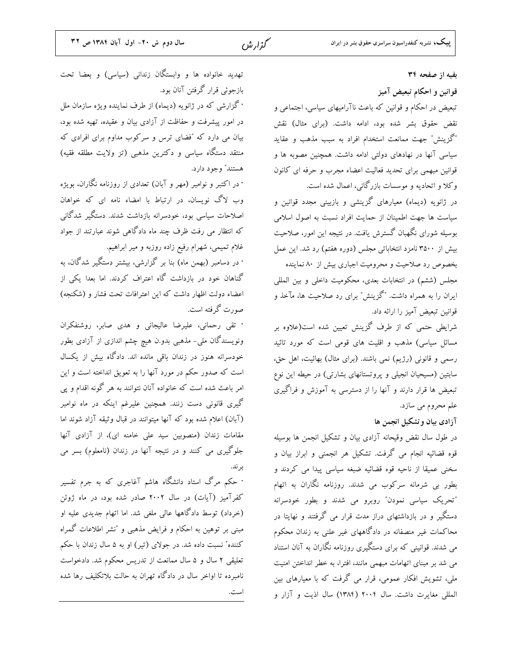**پیک،** نشریه کنفدراسیون سراسری حقوق بشر در ایران

تهدید خانواده ها و وابستگان زندانی (سیاسی) و بعضا تحت بازجوئي قرار گرفتن آنان بود. <sup>.</sup>گزارشی که در ژانویه (دیماه) از طرف نماینده ویژه سازمان ملل در امور پیشرفت و حفاظت از آزادی بیان و عقیده، تهیه شده بود، بیان می دارد که "فضای ترس و سرکوب مداوم برای افرادی که منتقد دستگاه سیاسی و دکترین مذهبی (تز ولایت مطلقه فقیه) هستند″ وجود دارد.

۰ در اکتبر و نوامبر (مهر و آبان) تعدادی از روزنامه نگاران، بویژه وب لاگ نویسان، در ارتباط با امضاء نامه ای که خواهان اصلاحات سیاسی بود، خودسرانه بازداشت شدند. دستگیر شدگانی که انتظار می رفت ظرف چند ماه دادگاهی شوند عبارتند از جواد غلام تمیمی، شهرام رفیع زاده روزبه و میر ابراهیم.

<sup>.</sup> در دسامبر (بهمن ماه) بنا بر گزارشی، بیشتر دستگیر شدگان، به گناهان خود در بازداشت گاه اعتراف کردند. اما بعدا یکی از اعضاء دولت اظهار داشت كه اين اعترافات تحت فشار و (شكنجه) صورت گرفته است.

· تقى رحمانى، عليرضا عاليجانى و هدى صابر، روشنفكران ونویسندگان ملی- مذهبی بدو.ن هیچ چشم اندازی از آزادی بطور خودسرانه هنوز در زندان باقی مانده اند. دادگاه بیش از یکسال است که صدور حکم در مورد آنها را به تعویق انداخته است و این امر باعث شده است که خانواده آنان نتوانند به هر گونه اقدام و پی گیری قانونی دست زنند. همچنین علیرغم اینکه در ماه نوامبر (آبان) اعلام شده بود که آنها میتوانند در قبال وثیقه آزاد شوند اما مقامات زندان (منصوبین سید علی خامنه ای)، از آزادی آنها جلوگیری می کنند و در نتیجه آنها در زندان (نامعلوم) بسر می بر ند.

· حکم مرگ استاد دانشگاه هاشم آغاجری که به جرم تفسیر کفرآمیز (آیات) در سال ۲۰۰۲ صادر شده بود، در ماه ژوئن (خرداد) توسط دادگاهها عالی ملغی شد. اما اتهام جدیدی علیه او مبنی بر توهین به احکام و فرایض مذهبی و "نشر اطلاعات گمراه کننده" نسبت داده شد. در جولای (تیر) او به ۵ سال زندان با حکم تعلیقی ۲ سال و ۵ سال ممانعت از تدریس محکوم شد. دادخواست نامبرده تا اواخر سال در دادگاه تهران به حالت بلاتکلیف رها شده است.

### بفيه از صفحه ٣٤

قوانین و احکام تبعیض آمیز

تبعیض در احکام و قوانین که باعث ناآرامیهای سیاسی، اجتماعی و نقض حقوق بشر شده بود، ادامه داشت. (برای مثال) نقش "گزینش" جهت ممانعت استخدام افراد به سبب مذهب و عقاید سیاسی آنها در نهادهای دولت<sub>ی</sub> ادامه داشت. همچنین مصوبه ها و قوانین مبهمی برای تحدید فعالیت اعضاء مجرب و حرفه ای کانون وکلا و اتحادیه و موسسات بازرگانی، اعمال شده است.

در ژانویه (دیماه) معیارهای گزینشی و بازبینی مجدد قوانین و سیاست ها جهت اطمینان از حمایت افراد نسبت به اصول اسلامی بوسیله شورای نگهبان گسترش یافت. در نتیجه این امور، صلاحیت بیش از ۳۵۰۰ نامزد انتخاباتی مجلس (دوره هفتم) رد شد. این عمل بخصوص رد صلاحیت و محرومیت اجباری بیش از ۸۰ نماینده مجلس (ششم) در انتخابات بعدی، محکومیت داخلی و بین المللی ایران را به همراه داشت. "گزینش" برای رد صلاحیت ها، مآخذ و قوانین تبعیض آمیز را ارائه داد.

شرایطی حتمی که از طرف گزینش تعیین شده است(علاوه بر مسائل سیاسی) مذهب و اقلیت های قومی است که مورد تائید رسمی و قانونی (رژیم) نمی باشند. (برای مثال) بهائیت، اهل حق، سابتین (مسیحیان انجیلی و پروتستانهای بشارتی) در حیطه این نوع تبعیض ها قرار دارند و آنها را از دسترسی به آموزش و فراگیری علم محروم می سازد.

آزادی بیان وتشکیل انجمن ها

در طول سال نقض وقیحانه آزادی بیان و تشکیل انجمن ها بوسیله قوه قضائیه انجام می گرفت. تشکیل هر انجمنی و ابراز بیان و سخني عميقا از ناحيه قوه قضائيه ضبغه سياسي پيدا مي كردند و بطور بی شرمانه سرکوب می شدند. روزنامه نگاران به اتهام "تحریک سیاسی نمودن" روبرو می شدند و بطور خودسرانه دستگیر و در بازداشتهای دراز مدت قرار می گرفتند و نهایتا در محاکمات غیر منصفانه در دادگاههای غیر علنی به زندان محکوم می شدند. قوانینی که برای دستگیری روزنامه نگاران به آنان استناد می شد بر مبنای اتهامات مبهمی مانند، افترا، به خطر انداختن امنیت ملی، تشویش افکار عمومی، قرار می گرفت که با معیارهای بین المللی مغایرت داشت. سال ۲۰۰۴ (۱۳۸۴) سال اذیت و آزار و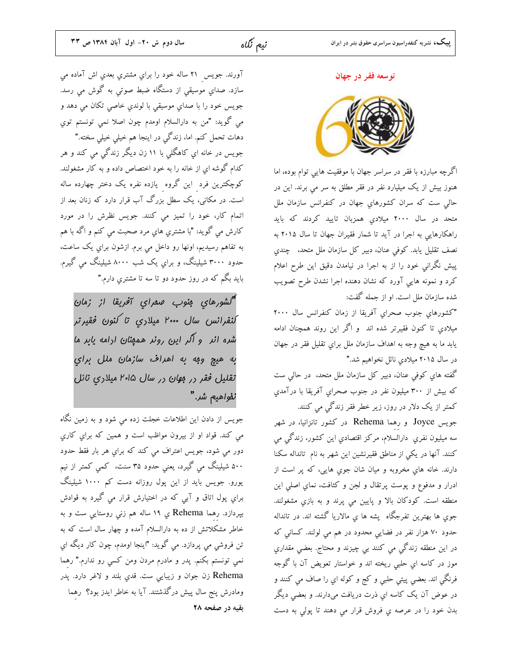توسعه فقر در جهان



اگرچه مبارزه با فقر در سراسر جهان با موفقيت هايي توام بوده، اما هنوز بیش از یک میلیارد نفر در فقر مطلق به سر می برند. این در حالي ست كه سران كشورهاي جهان در كنفرانس سازمان ملل متحد در سال ۲۰۰۰ میلادی همزبان تایید کردند که باید راهکارهایی به اجرا در آید تا شمار فقیران جهان تا سال ۲۰۱۵ به نصف تقليل يابد. كوفي عنان، دبير كل سازمان ملل متحد، چندي پیش نگرانی خود را از به اجرا در نیامدن دقیق این طرح اعلام کرد و نمونه هایی آورد که نشان دهنده اجرا نشدن طرح تصویب شده سازمان ملل است. او از جمله گفت:

"کشورهای جنوب صحرای آفریقا از زمان کنفرانس سال ۲۰۰۰ میلادي تا کنون فقیرتر شده اند و اگر این روند همچنان ادامه يابد ما به هيچ وجه به اهداف سازمان ملل براي تقليل فقر در جهان در سال ۲۰۱۵ میلادی نائل نخواهیم شد."

گفته های کوفی عنان، دبیر کل سازمان ملل متحد، در حالی ست که بیش از ۳۰۰ میلیون نفر در جنوب صحرای آفریقا با درآمدی کمتر از یک دلار در روز، زیر خطر فقر زندگی می کنند.

جویس Joyce و رهما Rehema در کشور تانزانیا، در شهر سه ميليون نفري دارالسلام، مركز اقتصادي اين كشور، زندگی می کنند. آنها در یکی از مناطق فقیرنشین این شهر به نام تانداله سکنا دارند. خانه های مخروبه و میان شان جوی هایی، که پر است از ادرار و مدفوع و پوست پرتقال و لجن و کثافت، نماي اصلي اين منطقه است. کودکان بالا و پایین می پرند و به بازی مشغولند. جوی ها بهترین تفرجگاه پشه ها ی مالاریا گشته اند. در تانداله حدود ۷۰ هزار نفر در فضایی محدود در هم می لولند. کسانی که در اين منطقه زندگي مي كنند بي چيزند و محتاج. بعضي مقداري موز در کاسه اي حلبي ريخته اند و خواستار تعويض آن با گوجه فرنگي اند. بعضي پيتي حلبي و کج و کوله اي را صاف مي کنند و در عوض آن یک کاسه ای ذرت دریافت میدارند. و بعضی دیگر بدن خود را در عرصه ي فروش قرار مي دهند تا پولي به دست

آورند. جويس ٢١ ساله خود را براي مشتري بعدي اش آماده مي سازد. صداي موسيقى از دستگاه ضبط صوتى به گوش مى رسد. جویس خود را با صدای موسیقی با لوندی خاصی تکان می دهد و می گوید: "من به دارالسلام اومدم چون اصلا نمی تونستم توی دهات تحمل كنم. اما، زندگي در اينجا هم خيلي خيلي سخته." جویس در خانه ای کاهگلی با ۱۱ زن دیگر زندگی می کند و هر كدام گوشه اي از خانه را به خود اختصاص داده و به كار مشغولند. کوچکترین فرد این گروه یازده نفره یک دختر چهارده ساله است. در مکانی، یک سطل بزرگ آب قرار دارد که زنان بعد از اتمام کار، خود را تمیز می کنند. جویس نظرش را در مورد کارش مي گويد: "با مشتري هاي مرد صحبت مي کنم و اگه با هم به تفاهم رسيديم، اونها رو داخل مي برم. ازشون براي يک ساعت، حدود ۳۰۰۰ شیلینگ، و براي یک شب ۸۰۰۰ شیلینگ مي گیرم. بايد بگم که در روز حدود دو تا سه تا مشتري دارم."

ششورهاي بنوب صمراي آفريقا از زمان لنفرانس سال ۲۰۰۰ میلاري تا کنون فقیرتر شره انر و آگر این رونر همپنان ارامه یابر ما به هيچ وبه به اهراف سازمان ملل براي تقلیل فقر در موان در سال ۲۰۱۵ میلاری نائل نفواهيم شر."

جویس از دادن این اطلاعات خجلت زده می شود و به زمین نگاه می کند. قواد او از بیرون مواظب است و همین که براي کاري دور مي شود، جويس اعتراف مي كند كه براي هر بار فقط حدود ۵۰۰ شیلینگ می گیرد، یعنی حدود ۳۵ سنت، کمی کمتر از نیم یورو. جویس باید از این پول روزانه دست کم ۱۰۰۰ شیلینگ براي پول اتاق و آبي که در اختيارش قرار مي گيرد به قوادش بپردازد. رهما Rehema ي ١٩ ساله هم زني روستايي ست و به خاطر مشکلاتش از ده به دارالسلام آمده و چهار سال است که به تن فروشي مي پردازد. مي گويد: "اينجا اومدم، چون کار ديگه اي نمی تونستم بکنم. پدر و مادرم مردن ومن کسی رو ندارم." رهما Rehema زن جوان و زيبايي ست. قدي بلند و لاغر دارد. پدر ومادرش پنج سال پیش درگذشتند. آیا به خاطر ایدز بود؟ رهما بقیه در صفحه ۲۸